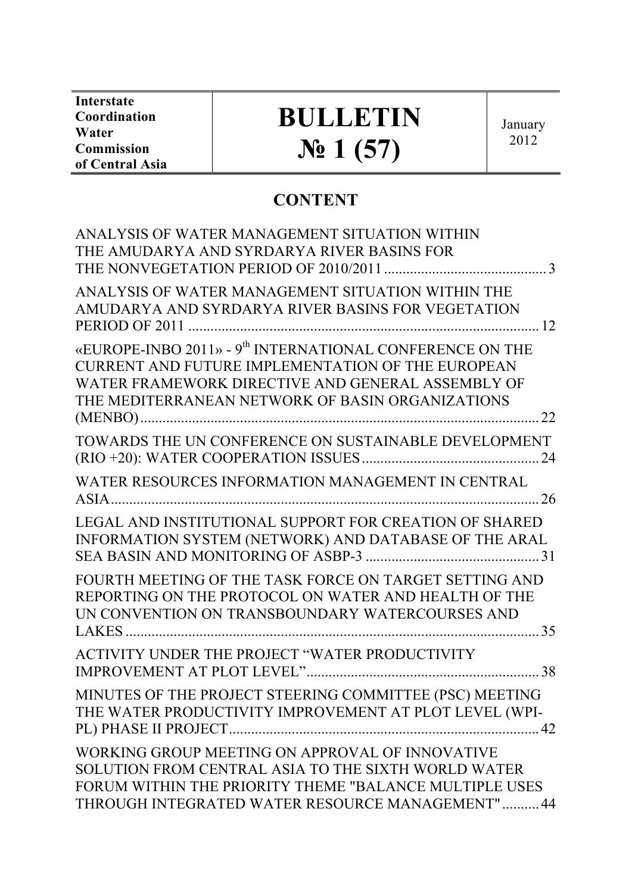**Interstate Coordination Water Commission of Central Asia**

# **BULLETIN № 1 (57)**

January 2012

## **CONTENT**

| ANALYSIS OF WATER MANAGEMENT SITUATION WITHIN                                                                                                                                                                                      |  |
|------------------------------------------------------------------------------------------------------------------------------------------------------------------------------------------------------------------------------------|--|
| THE AMUDARYA AND SYRDARYA RIVER BASINS FOR                                                                                                                                                                                         |  |
| ANALYSIS OF WATER MANAGEMENT SITUATION WITHIN THE<br>AMUDARYA AND SYRDARYA RIVER BASINS FOR VEGETATION                                                                                                                             |  |
| «EUROPE-INBO 2011» - 9 <sup>th</sup> INTERNATIONAL CONFERENCE ON THE<br>CURRENT AND FUTURE IMPLEMENTATION OF THE EUROPEAN<br>WATER FRAMEWORK DIRECTIVE AND GENERAL ASSEMBLY OF<br>THE MEDITERRANEAN NETWORK OF BASIN ORGANIZATIONS |  |
| TOWARDS THE UN CONFERENCE ON SUSTAINABLE DEVELOPMENT                                                                                                                                                                               |  |
| WATER RESOURCES INFORMATION MANAGEMENT IN CENTRAL<br>ASIA.                                                                                                                                                                         |  |
| LEGAL AND INSTITUTIONAL SUPPORT FOR CREATION OF SHARED<br>INFORMATION SYSTEM (NETWORK) AND DATABASE OF THE ARAL                                                                                                                    |  |
| FOURTH MEETING OF THE TASK FORCE ON TARGET SETTING AND<br>REPORTING ON THE PROTOCOL ON WATER AND HEALTH OF THE<br>UN CONVENTION ON TRANSBOUNDARY WATERCOURSES AND                                                                  |  |
| ACTIVITY UNDER THE PROJECT "WATER PRODUCTIVITY                                                                                                                                                                                     |  |
| MINUTES OF THE PROJECT STEERING COMMITTEE (PSC) MEETING<br>THE WATER PRODUCTIVITY IMPROVEMENT AT PLOT LEVEL (WPI-                                                                                                                  |  |
| WORKING GROUP MEETING ON APPROVAL OF INNOVATIVE<br>SOLUTION FROM CENTRAL ASIA TO THE SIXTH WORLD WATER<br>FORUM WITHIN THE PRIORITY THEME "BALANCE MULTIPLE USES<br>THROUGH INTEGRATED WATER RESOURCE MANAGEMENT" 44               |  |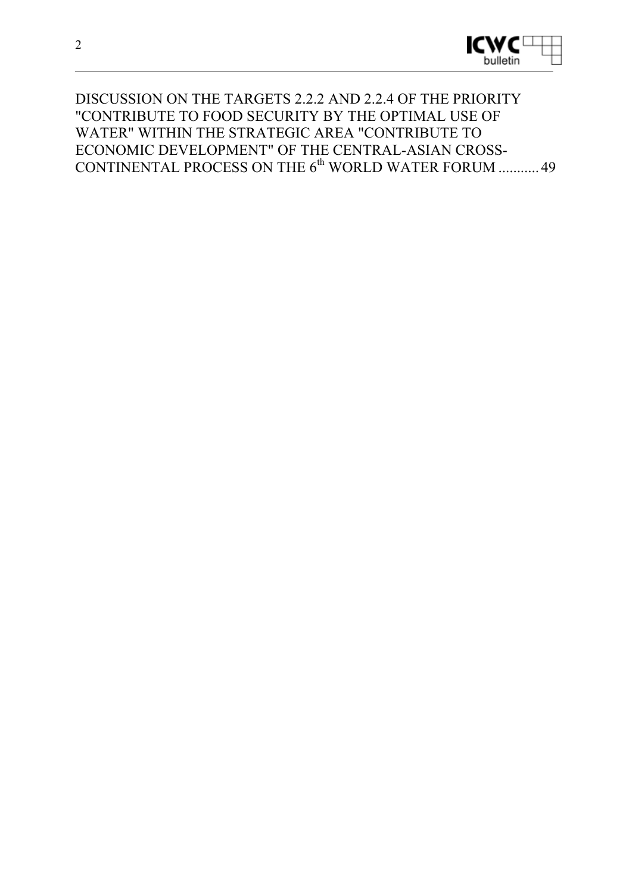

#### DISCUSSION ON THE TARGETS 2.2.2 AND 2.2.4 OF THE PRIORITY "CONTRIBUTE TO FOOD SECURITY BY THE OPTIMAL USE OF WATER" WITHIN THE STRATEGIC AREA "CONTRIBUTE TO ECONOMIC DEVELOPMENT" OF THE CENTRAL-ASIAN CROSS-CONTINENTAL PROCESS ON THE  $6<sup>th</sup>$  WORLD WATER FORUM ........... 49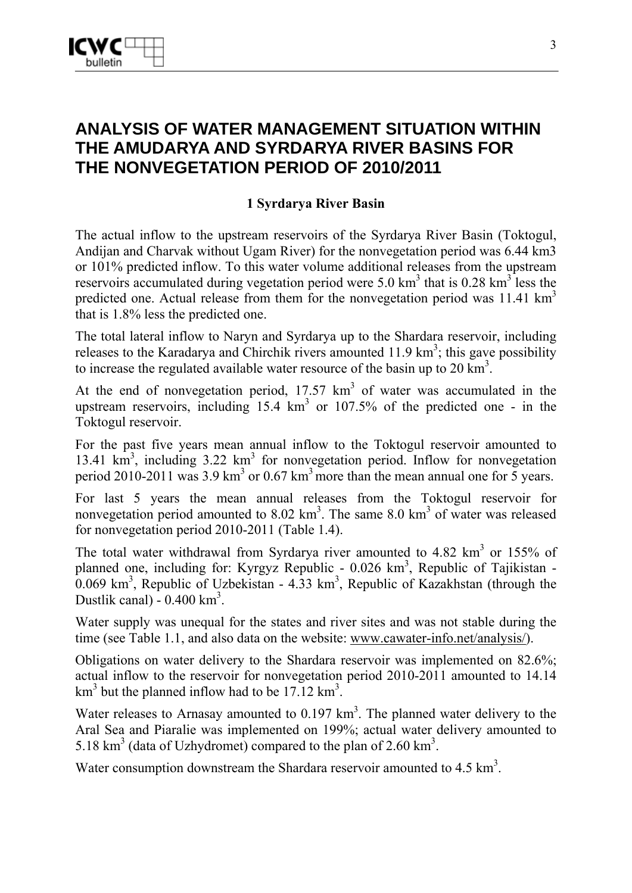

## **ANALYSIS OF WATER MANAGEMENT SITUATION WITHIN THE AMUDARYA AND SYRDARYA RIVER BASINS FOR THE NONVEGETATION PERIOD OF 2010/2011**

#### **1 Syrdarya River Basin**

The actual inflow to the upstream reservoirs of the Syrdarya River Basin (Toktogul, Andijan and Charvak without Ugam River) for the nonvegetation period was 6.44 km3 or 101% predicted inflow. To this water volume additional releases from the upstream reservoirs accumulated during vegetation period were 5.0 km<sup>3</sup> that is 0.28 km<sup>3</sup> less the predicted one. Actual release from them for the nonvegetation period was  $11.41 \text{ km}^3$ that is 1.8% less the predicted one.

The total lateral inflow to Naryn and Syrdarya up to the Shardara reservoir, including releases to the Karadarya and Chirchik rivers amounted  $11.9 \text{ km}^3$ ; this gave possibility to increase the regulated available water resource of the basin up to  $20 \text{ km}^3$ .

At the end of nonvegetation period,  $17.57 \text{ km}^3$  of water was accumulated in the upstream reservoirs, including  $15.4 \text{ km}^3$  or  $107.5\%$  of the predicted one - in the Toktogul reservoir.

For the past five years mean annual inflow to the Toktogul reservoir amounted to 13.41 km<sup>3</sup>, including 3.22 km<sup>3</sup> for nonvegetation period. Inflow for nonvegetation period 2010-2011 was 3.9 km<sup>3</sup> or 0.67 km<sup>3</sup> more than the mean annual one for 5 years.

For last 5 years the mean annual releases from the Toktogul reservoir for nonvegetation period amounted to  $8.02 \text{ km}^3$ . The same  $8.0 \text{ km}^3$  of water was released for nonvegetation period 2010-2011 (Table 1.4).

The total water withdrawal from Syrdarya river amounted to  $4.82 \text{ km}^3$  or 155% of planned one, including for: Kyrgyz Republic - 0.026 km<sup>3</sup>, Republic of Tajikistan - $0.069$  km<sup>3</sup>, Republic of Uzbekistan - 4.33 km<sup>3</sup>, Republic of Kazakhstan (through the Dustlik canal) -  $0.400 \text{ km}^3$ .

Water supply was unequal for the states and river sites and was not stable during the time (see Table 1.1, and also data on the website: www.cawater-info.net/analysis/).

Obligations on water delivery to the Shardara reservoir was implemented on 82.6%; actual inflow to the reservoir for nonvegetation period 2010-2011 amounted to 14.14  $km<sup>3</sup>$  but the planned inflow had to be 17.12 km<sup>3</sup>.

Water releases to Arnasay amounted to  $0.197 \text{ km}^3$ . The planned water delivery to the Aral Sea and Piaralie was implemented on 199%; actual water delivery amounted to 5.18  $\text{km}^3$  (data of Uzhydromet) compared to the plan of 2.60  $\text{km}^3$ .

Water consumption downstream the Shardara reservoir amounted to  $4.5 \text{ km}^3$ .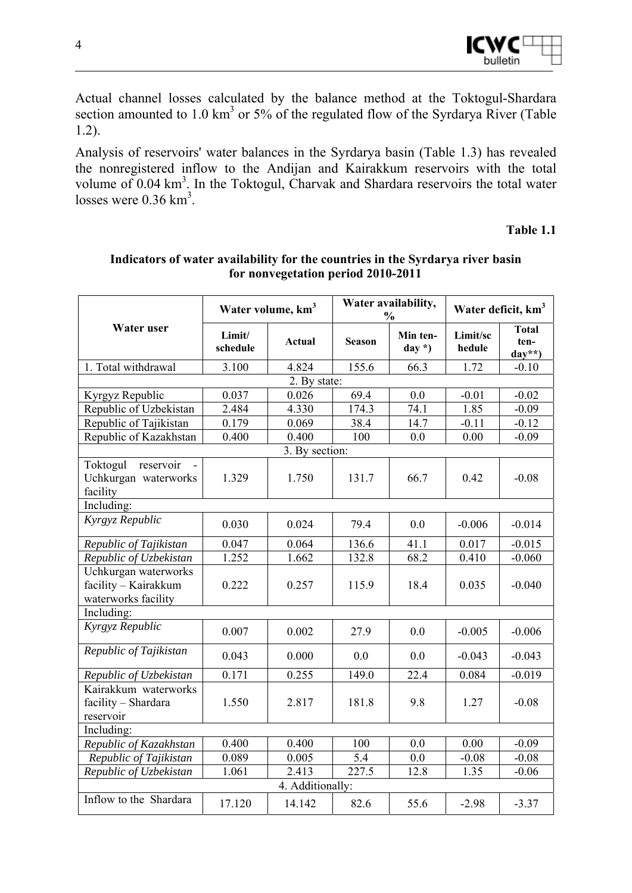

Actual channel losses calculated by the balance method at the Toktogul-Shardara section amounted to  $1.0 \text{ km}^3$  or 5% of the regulated flow of the Syrdarya River (Table 1.2).

Analysis of reservoirs' water balances in the Syrdarya basin (Table 1.3) has revealed the nonregistered inflow to the Andijan and Kairakkum reservoirs with the total volume of 0.04 km<sup>3</sup>. In the Toktogul, Charvak and Shardara reservoirs the total water losses were  $0.36 \text{ km}^3$ .

**Table 1.1** 

|                                                                     | Water availability,<br>Water volume, km <sup>3</sup><br>$\frac{6}{9}$ |                  |               |                     | Water deficit, km <sup>3</sup> |                                  |
|---------------------------------------------------------------------|-----------------------------------------------------------------------|------------------|---------------|---------------------|--------------------------------|----------------------------------|
| <b>Water user</b>                                                   | Limit/<br>schedule                                                    | Actual           | <b>Season</b> | Min ten-<br>$day *$ | Limit/sc<br>hedule             | <b>Total</b><br>ten-<br>$day**)$ |
| 1. Total withdrawal                                                 | 3.100                                                                 | 4.824            | 155.6         | 66.3                | 1.72                           | $-0.10$                          |
|                                                                     |                                                                       | 2. By state:     |               |                     |                                |                                  |
| Kyrgyz Republic                                                     | 0.037                                                                 | 0.026            | 69.4          | 0.0                 | $-0.01$                        | $-0.02$                          |
| Republic of Uzbekistan                                              | 2.484                                                                 | 4.330            | 174.3         | 74.1                | 1.85                           | $-0.09$                          |
| Republic of Tajikistan                                              | 0.179                                                                 | 0.069            | 38.4          | 14.7                | $-0.11$                        | $-0.12$                          |
| Republic of Kazakhstan                                              | 0.400                                                                 | 0.400            | 100           | 0.0                 | 0.00                           | $-0.09$                          |
|                                                                     |                                                                       | 3. By section:   |               |                     |                                |                                  |
| Toktogul<br>reservoir<br>Uchkurgan waterworks<br>facility           | 1.329                                                                 | 1.750            | 131.7         | 66.7                | 0.42                           | $-0.08$                          |
| Including:                                                          |                                                                       |                  |               |                     |                                |                                  |
| Kyrgyz Republic                                                     | 0.030                                                                 | 0.024            | 79.4          | 0.0                 | $-0.006$                       | $-0.014$                         |
| Republic of Tajikistan                                              | 0.047                                                                 | 0.064            | 136.6         | 41.1                | 0.017                          | $-0.015$                         |
| Republic of Uzbekistan                                              | 1.252                                                                 | 1.662            | 132.8         | 68.2                | 0.410                          | $-0.060$                         |
| Uchkurgan waterworks<br>facility - Kairakkum<br>waterworks facility | 0.222                                                                 | 0.257            | 115.9         | 18.4                | 0.035                          | $-0.040$                         |
| Including:                                                          |                                                                       |                  |               |                     |                                |                                  |
| Kyrgyz Republic                                                     | 0.007                                                                 | 0.002            | 27.9          | 0.0                 | $-0.005$                       | $-0.006$                         |
| Republic of Tajikistan                                              | 0.043                                                                 | 0.000            | 0.0           | 0.0                 | $-0.043$                       | $-0.043$                         |
| Republic of Uzbekistan                                              | 0.171                                                                 | 0.255            | 149.0         | 22.4                | 0.084                          | $-0.019$                         |
| Kairakkum waterworks<br>facility - Shardara<br>reservoir            | 1.550                                                                 | 2.817            | 181.8         | 9.8                 | 1.27                           | $-0.08$                          |
| Including:                                                          |                                                                       |                  |               |                     |                                |                                  |
| Republic of Kazakhstan                                              | 0.400                                                                 | 0.400            | 100           | 0.0                 | 0.00                           | $-0.09$                          |
| Republic of Tajikistan                                              | 0.089                                                                 | 0.005            | 5.4           | 0.0                 | $-0.08$                        | $-0.08$                          |
| Republic of Uzbekistan                                              | 1.061                                                                 | 2.413            | 227.5         | 12.8                | 1.35                           | $-0.06$                          |
|                                                                     |                                                                       | 4. Additionally: |               |                     |                                |                                  |
| Inflow to the Shardara                                              | 17.120                                                                | 14.142           | 82.6          | 55.6                | $-2.98$                        | $-3.37$                          |

#### **Indicators of water availability for the countries in the Syrdarya river basin for nonvegetation period 2010-2011**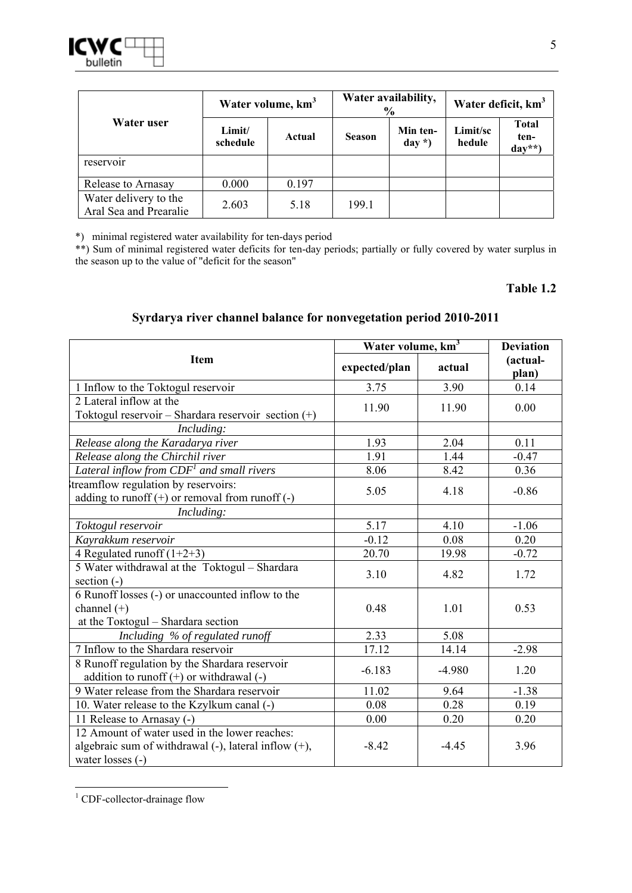|                                                 | Water volume, km <sup>3</sup> |        |               | Water availability,<br>$\frac{6}{6}$ | Water deficit, km <sup>3</sup> |                                 |
|-------------------------------------------------|-------------------------------|--------|---------------|--------------------------------------|--------------------------------|---------------------------------|
| Water user                                      | Limit/<br>schedule            | Actual | <b>Season</b> | Min ten-<br>$day *$                  | Limit/sc<br>hedule             | <b>Total</b><br>ten-<br>$day**$ |
| reservoir                                       |                               |        |               |                                      |                                |                                 |
| Release to Arnasay                              | 0.000                         | 0.197  |               |                                      |                                |                                 |
| Water delivery to the<br>Aral Sea and Prearalie | 2.603                         | 5.18   | 199.1         |                                      |                                |                                 |

\*) minimal registered water availability for ten-days period

\*\*) Sum of minimal registered water deficits for ten-day periods; partially or fully covered by water surplus in the season up to the value of "deficit for the season"

#### **Table 1.2**

#### **Syrdarya river channel balance for nonvegetation period 2010-2011**

|                                                            | Water volume, km <sup>3</sup> | <b>Deviation</b> |                   |  |
|------------------------------------------------------------|-------------------------------|------------------|-------------------|--|
| <b>Item</b>                                                | expected/plan                 | actual           | (actual-<br>plan) |  |
| 1 Inflow to the Toktogul reservoir                         | 3.75                          | 3.90             | 0.14              |  |
| 2 Lateral inflow at the                                    | 11.90                         | 11.90            | 0.00              |  |
| Toktogul reservoir - Shardara reservoir section $(+)$      |                               |                  |                   |  |
| Including:                                                 |                               |                  |                   |  |
| Release along the Karadarya river                          | 1.93                          | 2.04             | 0.11              |  |
| Release along the Chirchil river                           | 1.91                          | 1.44             | $-0.47$           |  |
| Lateral inflow from $CDF1$ and small rivers                | 8.06                          | 8.42             | 0.36              |  |
| treamflow regulation by reservoirs:                        | 5.05                          | 4.18             | $-0.86$           |  |
| adding to runoff $(+)$ or removal from runoff $(-)$        |                               |                  |                   |  |
| Including:                                                 |                               |                  |                   |  |
| Toktogul reservoir                                         | 5.17                          | 4.10             | $-1.06$           |  |
| Kayrakkum reservoir                                        | $-0.12$                       | 0.08             | 0.20              |  |
| 4 Regulated runoff $(1+2+3)$                               | 20.70                         | 19.98            | $-0.72$           |  |
| 5 Water withdrawal at the Toktogul - Shardara              | 3.10                          | 4.82             | 1.72              |  |
| section $(-)$                                              |                               |                  |                   |  |
| 6 Runoff losses (-) or unaccounted inflow to the           |                               |                  |                   |  |
| channel $(+)$                                              | 0.48                          | 1.01             | 0.53              |  |
| at the Toktogul - Shardara section                         |                               |                  |                   |  |
| Including % of regulated runoff                            | 2.33                          | 5.08             |                   |  |
| 7 Inflow to the Shardara reservoir                         | 17.12                         | 14.14            | $-2.98$           |  |
| 8 Runoff regulation by the Shardara reservoir              | $-6.183$                      | $-4.980$         | 1.20              |  |
| addition to runoff $(+)$ or withdrawal $(-)$               |                               |                  |                   |  |
| 9 Water release from the Shardara reservoir                | 11.02                         | 9.64             | $-1.38$           |  |
| 10. Water release to the Kzylkum canal (-)                 | 0.08                          | 0.28             | 0.19              |  |
| 11 Release to Arnasay (-)                                  | 0.00                          | 0.20             | 0.20              |  |
| 12 Amount of water used in the lower reaches:              |                               |                  |                   |  |
| algebraic sum of withdrawal $(-)$ , lateral inflow $(+)$ , | $-8.42$                       | $-4.45$          | 3.96              |  |
| water losses (-)                                           |                               |                  |                   |  |

<sup>&</sup>lt;sup>1</sup> CDF-collector-drainage flow

<u>.</u>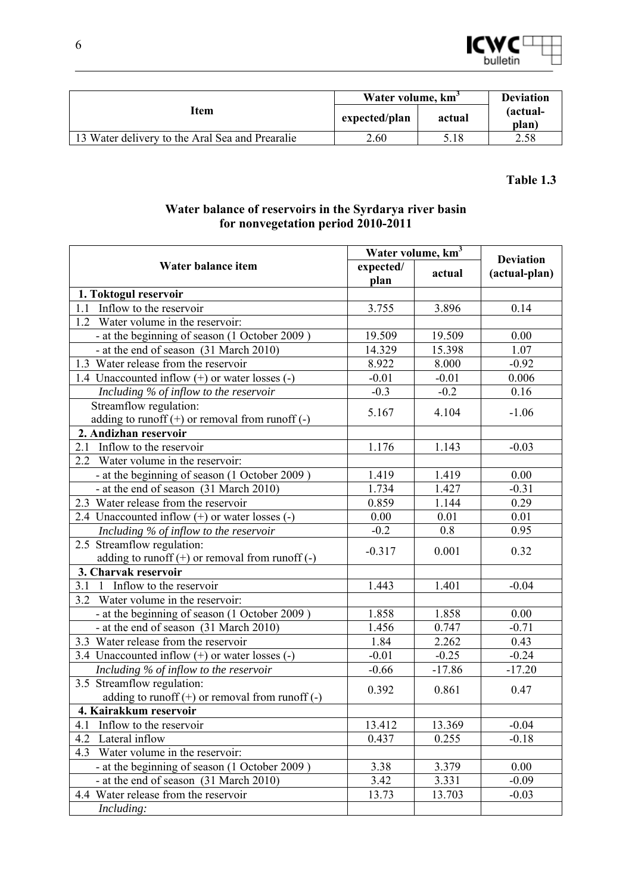

|                                                 | Water volume, km <sup>3</sup> | <b>Deviation</b> |                   |
|-------------------------------------------------|-------------------------------|------------------|-------------------|
| Item                                            | expected/plan                 | actual           | (actual-<br>plan) |
| 13 Water delivery to the Aral Sea and Prearalie | 2.60                          | 5.18             | 2.58              |

#### **Water balance of reservoirs in the Syrdarya river basin for nonvegetation period 2010-2011**

|                                                     | Water volume, km <sup>3</sup> | <b>Deviation</b> |               |
|-----------------------------------------------------|-------------------------------|------------------|---------------|
| Water balance item                                  | expected/                     | actual           | (actual-plan) |
|                                                     | plan                          |                  |               |
| 1. Toktogul reservoir                               |                               |                  |               |
| Inflow to the reservoir<br>1.1                      | 3.755                         | 3.896            | 0.14          |
| 1.2<br>Water volume in the reservoir:               |                               |                  |               |
| - at the beginning of season (1 October 2009)       | 19.509                        | 19.509           | 0.00          |
| - at the end of season (31 March 2010)              | 14.329                        | 15.398           | 1.07          |
| 1.3 Water release from the reservoir                | 8.922                         | 8.000            | $-0.92$       |
| 1.4 Unaccounted inflow $(+)$ or water losses $(-)$  | $-0.01$                       | $-0.01$          | 0.006         |
| Including % of inflow to the reservoir              | $-0.3$                        | $-0.2$           | 0.16          |
| Streamflow regulation:                              | 5.167                         | 4.104            | $-1.06$       |
| adding to runoff $(+)$ or removal from runoff $(-)$ |                               |                  |               |
| 2. Andizhan reservoir                               |                               |                  |               |
| Inflow to the reservoir<br>2.1                      | 1.176                         | 1.143            | $-0.03$       |
| Water volume in the reservoir:<br>2.2               |                               |                  |               |
| - at the beginning of season (1 October 2009)       | 1.419                         | 1.419            | 0.00          |
| - at the end of season (31 March 2010)              | 1.734                         | 1.427            | $-0.31$       |
| 2.3 Water release from the reservoir                | 0.859                         | 1.144            | 0.29          |
| 2.4 Unaccounted inflow $(+)$ or water losses $(-)$  | 0.00                          | 0.01             | 0.01          |
| Including % of inflow to the reservoir              | $-0.2$                        | 0.8              | 0.95          |
| $\overline{2.5}$ Streamflow regulation:             | $-0.317$                      | 0.001            | 0.32          |
| adding to runoff $(+)$ or removal from runoff $(-)$ |                               |                  |               |
| 3. Charvak reservoir                                |                               |                  |               |
| 1 Inflow to the reservoir<br>3.1                    | 1.443                         | 1.401            | $-0.04$       |
| 3.2<br>Water volume in the reservoir:               |                               |                  |               |
| - at the beginning of season (1 October 2009)       | 1.858                         | 1.858            | 0.00          |
| - at the end of season (31 March 2010)              | 1.456                         | 0.747            | $-0.71$       |
| 3.3 Water release from the reservoir                | 1.84                          | 2.262            | 0.43          |
| 3.4 Unaccounted inflow $(+)$ or water losses $(-)$  | $-0.01$                       | $-0.25$          | $-0.24$       |
| Including % of inflow to the reservoir              | $-0.66$                       | $-17.86$         | $-17.20$      |
| 3.5 Streamflow regulation:                          |                               |                  |               |
| adding to runoff $(+)$ or removal from runoff $(-)$ | 0.392                         | 0.861            | 0.47          |
| 4. Kairakkum reservoir                              |                               |                  |               |
| 4.1<br>Inflow to the reservoir                      | 13.412                        | 13.369           | $-0.04$       |
| 4.2<br>Lateral inflow                               | 0.437                         | 0.255            | $-0.18$       |
| 4.3<br>Water volume in the reservoir:               |                               |                  |               |
| - at the beginning of season (1 October 2009)       | 3.38                          | 3.379            | 0.00          |
| - at the end of season (31 March 2010)              | 3.42                          | 3.331            | $-0.09$       |
| 4.4 Water release from the reservoir                | 13.73                         | 13.703           | $-0.03$       |
| Including:                                          |                               |                  |               |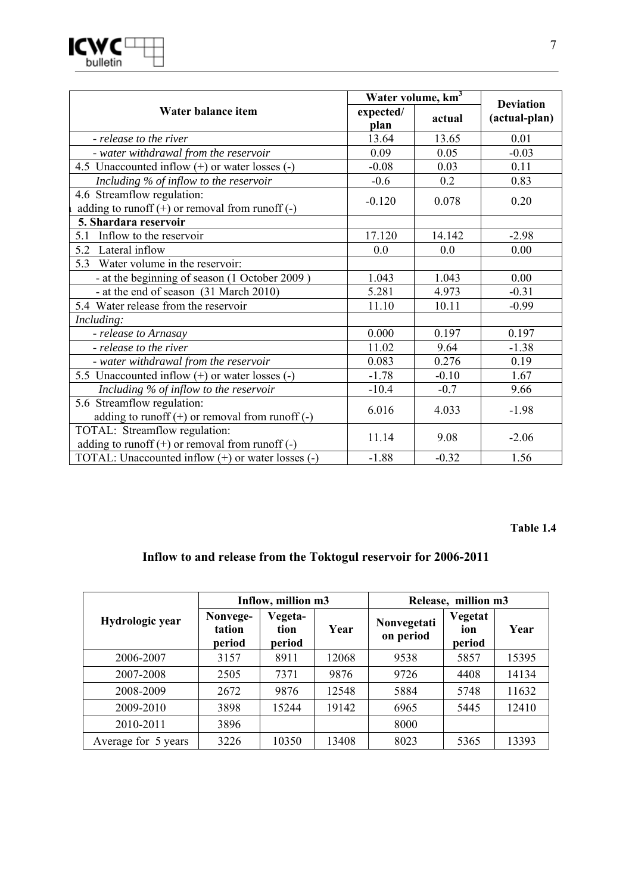

|                                                                                      | Water volume, km <sup>3</sup> |         |                                   |
|--------------------------------------------------------------------------------------|-------------------------------|---------|-----------------------------------|
| Water balance item                                                                   | expected/<br>plan             | actual  | <b>Deviation</b><br>(actual-plan) |
| - release to the river                                                               | 13.64                         | 13.65   | 0.01                              |
| - water withdrawal from the reservoir                                                | 0.09                          | 0.05    | $-0.03$                           |
| 4.5 Unaccounted inflow $(+)$ or water losses $(-)$                                   | $-0.08$                       | 0.03    | 0.11                              |
| Including % of inflow to the reservoir                                               | $-0.6$                        | 0.2     | 0.83                              |
| 4.6 Streamflow regulation:<br>adding to runoff $(+)$ or removal from runoff $(-)$    | $-0.120$                      | 0.078   | 0.20                              |
| 5. Shardara reservoir                                                                |                               |         |                                   |
| Inflow to the reservoir<br>5.1                                                       | 17.120                        | 14.142  | $-2.98$                           |
| Lateral inflow<br>5.2                                                                | 0.0                           | 0.0     | 0.00                              |
| Water volume in the reservoir:<br>5.3                                                |                               |         |                                   |
| - at the beginning of season (1 October 2009)                                        | 1.043                         | 1.043   | 0.00                              |
| - at the end of season (31 March 2010)                                               | 5.281                         | 4.973   | $-0.31$                           |
| 5.4 Water release from the reservoir                                                 | 11.10                         | 10.11   | $-0.99$                           |
| Including:                                                                           |                               |         |                                   |
| - release to Arnasay                                                                 | 0.000                         | 0.197   | 0.197                             |
| - release to the river                                                               | 11.02                         | 9.64    | $-1.38$                           |
| - water withdrawal from the reservoir                                                | 0.083                         | 0.276   | 0.19                              |
| 5.5 Unaccounted inflow $(+)$ or water losses $(-)$                                   | $-1.78$                       | $-0.10$ | 1.67                              |
| Including % of inflow to the reservoir                                               | $-10.4$                       | $-0.7$  | 9.66                              |
| 5.6 Streamflow regulation:<br>adding to runoff $(+)$ or removal from runoff $(-)$    | 6.016                         | 4.033   | $-1.98$                           |
| TOTAL: Streamflow regulation:<br>adding to runoff $(+)$ or removal from runoff $(-)$ | 11.14                         | 9.08    | $-2.06$                           |
| TOTAL: Unaccounted inflow (+) or water losses (-)                                    | $-1.88$                       | $-0.32$ | 1.56                              |

### **Inflow to and release from the Toktogul reservoir for 2006-2011**

|                     | Inflow, million m3           |                           |       | Release, million m3      |                          |       |  |
|---------------------|------------------------------|---------------------------|-------|--------------------------|--------------------------|-------|--|
| Hydrologic year     | Nonvege-<br>tation<br>period | Vegeta-<br>tion<br>period | Year  | Nonvegetati<br>on period | Vegetat<br>ion<br>period | Year  |  |
| 2006-2007           | 3157                         | 8911                      | 12068 | 9538                     | 5857                     | 15395 |  |
| 2007-2008           | 2505                         | 7371                      | 9876  | 9726                     | 4408                     | 14134 |  |
| 2008-2009           | 2672                         | 9876                      | 12548 | 5884                     | 5748                     | 11632 |  |
| 2009-2010           | 3898                         | 15244                     | 19142 | 6965                     | 5445                     | 12410 |  |
| 2010-2011           | 3896                         |                           |       | 8000                     |                          |       |  |
| Average for 5 years | 3226                         | 10350                     | 13408 | 8023                     | 5365                     | 13393 |  |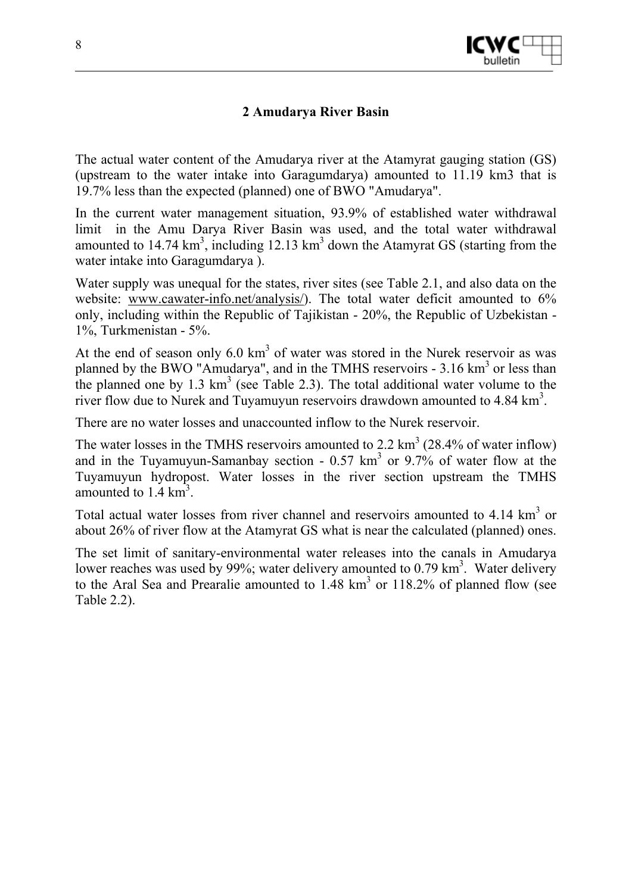

#### **2 Amudarya River Basin**

The actual water content of the Amudarya river at the Atamyrat gauging station (GS) (upstream to the water intake into Garagumdarya) amounted to 11.19 km3 that is 19.7% less than the expected (planned) one of BWO "Amudarya".

In the current water management situation, 93.9% of established water withdrawal limit in the Amu Darya River Basin was used, and the total water withdrawal amounted to  $14.74 \text{ km}^3$ , including  $12.13 \text{ km}^3$  down the Atamyrat GS (starting from the water intake into Garagumdarya ).

Water supply was unequal for the states, river sites (see Table 2.1, and also data on the website: www.cawater-info.net/analysis/). The total water deficit amounted to  $6\%$ only, including within the Republic of Tajikistan - 20%, the Republic of Uzbekistan - 1%, Turkmenistan - 5%.

At the end of season only  $6.0 \text{ km}^3$  of water was stored in the Nurek reservoir as was planned by the BWO "Amudarya", and in the TMHS reservoirs  $-3.16 \text{ km}^3$  or less than the planned one by 1.3  $km^3$  (see Table 2.3). The total additional water volume to the river flow due to Nurek and Tuyamuyun reservoirs drawdown amounted to  $4.84 \text{ km}^3$ .

There are no water losses and unaccounted inflow to the Nurek reservoir.

The water losses in the TMHS reservoirs amounted to 2.2  $\text{km}^3$  (28.4% of water inflow) and in the Tuyamuyun-Samanbay section -  $0.57 \text{ km}^3$  or  $9.7\%$  of water flow at the Tuyamuyun hydropost. Water losses in the river section upstream the TMHS amounted to  $1.4 \text{ km}^3$ .

Total actual water losses from river channel and reservoirs amounted to  $4.14 \text{ km}^3$  or about 26% of river flow at the Atamyrat GS what is near the calculated (planned) ones.

The set limit of sanitary-environmental water releases into the canals in Amudarya lower reaches was used by 99%; water delivery amounted to 0.79  $\text{km}^3$ . Water delivery to the Aral Sea and Prearalie amounted to  $1.48 \text{ km}^3$  or  $118.2\%$  of planned flow (see Table 2.2).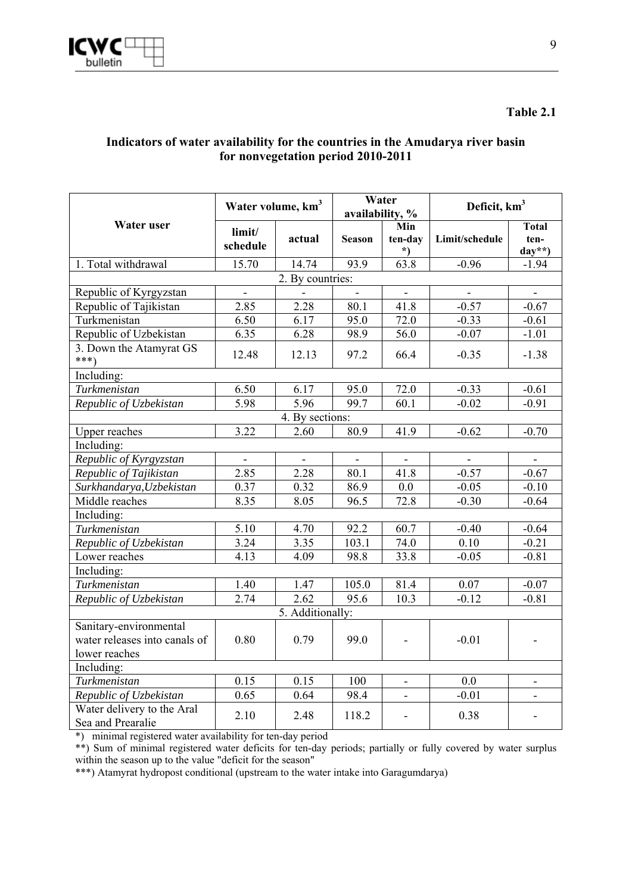#### **Indicators of water availability for the countries in the Amudarya river basin for nonvegetation period 2010-2011**

|                                                                          | Water volume, km <sup>3</sup> |                  | Water<br>availability, % |                              | Deficit, km <sup>3</sup> |                                 |
|--------------------------------------------------------------------------|-------------------------------|------------------|--------------------------|------------------------------|--------------------------|---------------------------------|
| Water user                                                               | limit/<br>schedule            | actual           | <b>Season</b>            | Min<br>ten-day<br>$^*)$      | Limit/schedule           | <b>Total</b><br>ten-<br>$day**$ |
| 1. Total withdrawal                                                      | 15.70                         | 14.74            | 93.9                     | 63.8                         | $-0.96$                  | $-1.94$                         |
|                                                                          |                               | 2. By countries: |                          |                              |                          |                                 |
| Republic of Kyrgyzstan                                                   |                               |                  |                          |                              |                          |                                 |
| Republic of Tajikistan                                                   | 2.85                          | 2.28             | 80.1                     | 41.8                         | $-0.57$                  | $-0.67$                         |
| Turkmenistan                                                             | 6.50                          | 6.17             | 95.0                     | 72.0                         | $-0.33$                  | $-0.61$                         |
| Republic of Uzbekistan                                                   | 6.35                          | 6.28             | 98.9                     | $\frac{1}{56.0}$             | $-0.07$                  | $-1.01$                         |
| 3. Down the Atamyrat GS<br>$***)$                                        | 12.48                         | 12.13            | 97.2                     | 66.4                         | $-0.35$                  | $-1.38$                         |
| Including:                                                               |                               |                  |                          |                              |                          |                                 |
| Turkmenistan                                                             | 6.50                          | 6.17             | 95.0                     | 72.0                         | $-0.33$                  | $-0.61$                         |
| Republic of Uzbekistan                                                   | 5.98                          | 5.96             | 99.7                     | 60.1                         | $-0.02$                  | $-0.91$                         |
|                                                                          |                               | 4. By sections:  |                          |                              |                          |                                 |
| <b>Upper reaches</b>                                                     | 3.22                          | 2.60             | 80.9                     | 41.9                         | $-0.62$                  | $-0.70$                         |
| Including:                                                               |                               |                  |                          |                              |                          |                                 |
| Republic of Kyrgyzstan                                                   | $\overline{a}$                |                  |                          |                              |                          |                                 |
| Republic of Tajikistan                                                   | 2.85                          | 2.28             | 80.1                     | 41.8                         | $-0.57$                  | $-0.67$                         |
| Surkhandarya, Uzbekistan                                                 | 0.37                          | 0.32             | 86.9                     | 0.0                          | $-0.05$                  | $-0.10$                         |
| Middle reaches                                                           | 8.35                          | 8.05             | 96.5                     | 72.8                         | $-0.30$                  | $-0.64$                         |
| Including:                                                               |                               |                  |                          |                              |                          |                                 |
| Turkmenistan                                                             | 5.10                          | 4.70             | 92.2                     | 60.7                         | $-0.40$                  | $-0.64$                         |
| Republic of Uzbekistan                                                   | 3.24                          | 3.35             | 103.1                    | 74.0                         | 0.10                     | $-0.21$                         |
| Lower reaches                                                            | 4.13                          | 4.09             | 98.8                     | 33.8                         | $-0.05$                  | $-0.81$                         |
| Including:                                                               |                               |                  |                          |                              |                          |                                 |
| Turkmenistan                                                             | 1.40                          | 1.47             | 105.0                    | 81.4                         | 0.07                     | $-0.07$                         |
| Republic of Uzbekistan                                                   | 2.74                          | 2.62             | 95.6                     | 10.3                         | $-0.12$                  | $-0.81$                         |
|                                                                          |                               | 5. Additionally: |                          |                              |                          |                                 |
| Sanitary-environmental<br>water releases into canals of<br>lower reaches | 0.80                          | 0.79             | 99.0                     | $\qquad \qquad \blacksquare$ | $-0.01$                  | $\qquad \qquad \blacksquare$    |
| Including:                                                               |                               |                  |                          |                              |                          |                                 |
| Turkmenistan                                                             | 0.15                          | 0.15             | 100                      | $\blacksquare$               | 0.0                      | $\overline{\phantom{a}}$        |
| Republic of Uzbekistan                                                   | 0.65                          | 0.64             | 98.4                     | $\blacksquare$               | $-0.01$                  | $\frac{1}{2}$                   |
| Water delivery to the Aral<br>Sea and Prearalie                          | 2.10                          | 2.48             | 118.2                    | $\overline{\phantom{0}}$     | 0.38                     |                                 |

\*) minimal registered water availability for ten-day period

\*\*) Sum of minimal registered water deficits for ten-day periods; partially or fully covered by water surplus within the season up to the value "deficit for the season"

\*\*\*) Atamyrat hydropost conditional (upstream to the water intake into Garagumdarya)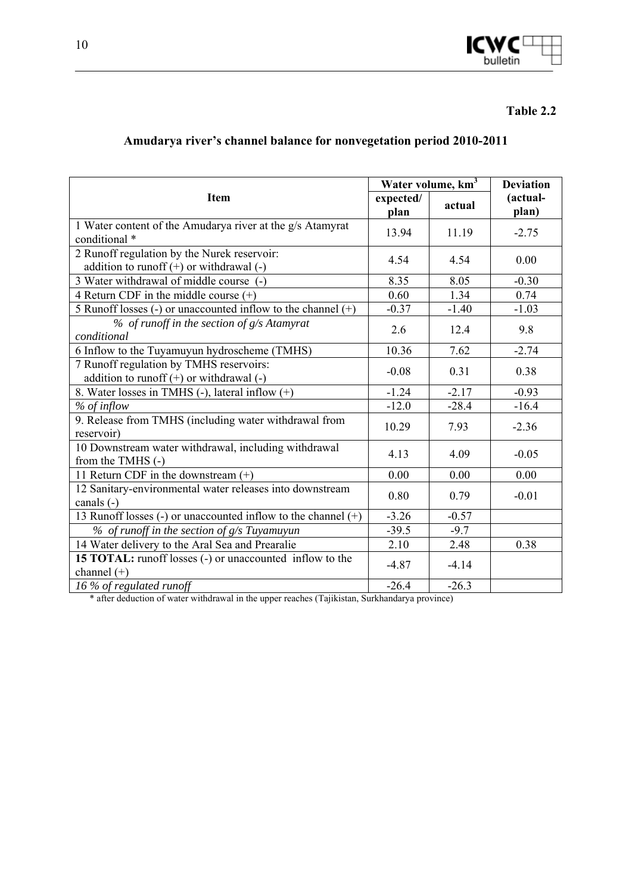

### **Amudarya river's channel balance for nonvegetation period 2010-2011**

|                                                                                             |                   | Water volume, km <sup>3</sup> |                   |  |
|---------------------------------------------------------------------------------------------|-------------------|-------------------------------|-------------------|--|
| <b>Item</b>                                                                                 | expected/<br>plan | actual                        | (actual-<br>plan) |  |
| 1 Water content of the Amudarya river at the g/s Atamyrat<br>conditional *                  | 13.94             | 11.19                         | $-2.75$           |  |
| 2 Runoff regulation by the Nurek reservoir:<br>addition to runoff $(+)$ or withdrawal $(-)$ | 4.54              | 4.54                          | 0.00              |  |
| 3 Water withdrawal of middle course (-)                                                     | 8.35              | 8.05                          | $-0.30$           |  |
| 4 Return CDF in the middle course $(+)$                                                     | 0.60              | 1.34                          | 0.74              |  |
| 5 Runoff losses (-) or unaccounted inflow to the channel $(+)$                              | $-0.37$           | $-1.40$                       | $-1.03$           |  |
| % of runoff in the section of g/s Atamyrat<br>conditional                                   | 2.6               | 12.4                          | 9.8               |  |
| 6 Inflow to the Tuyamuyun hydroscheme (TMHS)                                                | 10.36             | 7.62                          | $-2.74$           |  |
| 7 Runoff regulation by TMHS reservoirs:<br>addition to runoff $(+)$ or withdrawal $(-)$     | $-0.08$           | 0.31                          | 0.38              |  |
| 8. Water losses in TMHS (-), lateral inflow (+)                                             | $-1.24$           | $-2.17$                       | $-0.93$           |  |
| % of inflow                                                                                 | $-12.0$           | $-28.4$                       | $-16.4$           |  |
| 9. Release from TMHS (including water withdrawal from<br>reservoir)                         | 10.29             | 7.93                          | $-2.36$           |  |
| 10 Downstream water withdrawal, including withdrawal<br>from the TMHS (-)                   | 4.13              | 4.09                          | $-0.05$           |  |
| 11 Return CDF in the downstream $(+)$                                                       | 0.00              | 0.00                          | 0.00              |  |
| 12 Sanitary-environmental water releases into downstream<br>canals $(-)$                    | 0.80              | 0.79                          | $-0.01$           |  |
| 13 Runoff losses (-) or unaccounted inflow to the channel $(+)$                             | $-3.26$           | $-0.57$                       |                   |  |
| $%$ of runoff in the section of $g/s$ Tuyamuyun                                             | $-39.5$           | $-9.7$                        |                   |  |
| 14 Water delivery to the Aral Sea and Prearalie                                             | 2.10              | 2.48                          | 0.38              |  |
| <b>15 TOTAL:</b> runoff losses (-) or unaccounted inflow to the<br>channel $(+)$            | $-4.87$           | $-4.14$                       |                   |  |
| 16 % of regulated runoff                                                                    | $-26.4$           | $-26.3$                       |                   |  |

\* after deduction of water withdrawal in the upper reaches (Tajikistan, Surkhandarya province)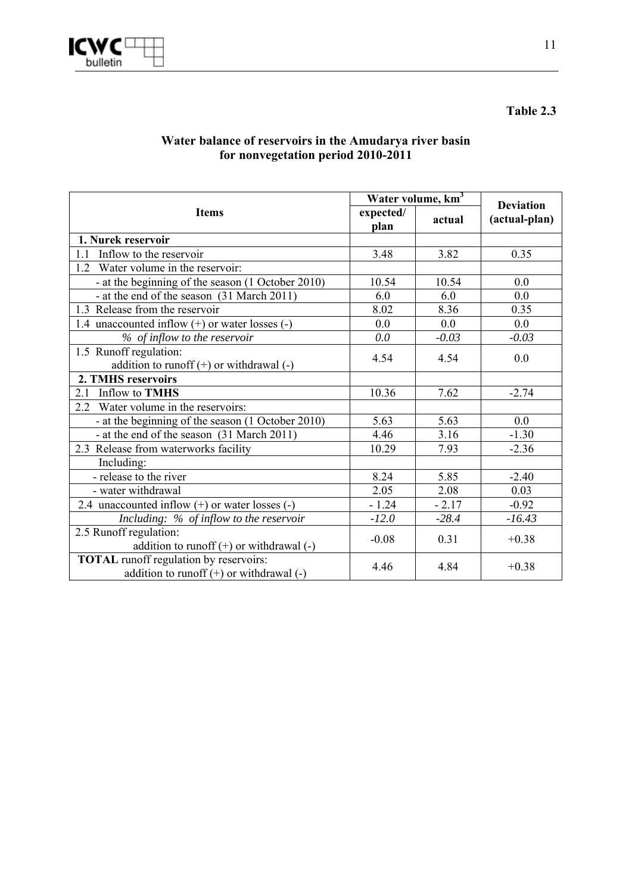

#### **Water balance of reservoirs in the Amudarya river basin for nonvegetation period 2010-2011**

|                                                                                               | Water volume, km <sup>3</sup> |         | <b>Deviation</b> |
|-----------------------------------------------------------------------------------------------|-------------------------------|---------|------------------|
| <b>Items</b>                                                                                  | expected/<br>plan             | actual  | (actual-plan)    |
| 1. Nurek reservoir                                                                            |                               |         |                  |
| $11^{-}$<br>Inflow to the reservoir                                                           | 3.48                          | 3.82    | 0.35             |
| 1.2 Water volume in the reservoir:                                                            |                               |         |                  |
| - at the beginning of the season (1 October 2010)                                             | 10.54                         | 10.54   | 0.0              |
| - at the end of the season (31 March 2011)                                                    | 6.0                           | 6.0     | 0.0              |
| 1.3 Release from the reservoir                                                                | 8.02                          | 8.36    | 0.35             |
| 1.4 unaccounted inflow $(+)$ or water losses $(-)$                                            | 0.0                           | 0.0     | 0.0              |
| % of inflow to the reservoir                                                                  | 0.0                           | $-0.03$ | $-0.03$          |
| 1.5 Runoff regulation:                                                                        | 4.54                          | 4.54    | 0.0              |
| addition to runoff $(+)$ or withdrawal $(-)$                                                  |                               |         |                  |
| 2. TMHS reservoirs                                                                            |                               |         |                  |
| <b>Inflow to TMHS</b><br>2.1                                                                  | 10.36                         | 7.62    | $-2.74$          |
| 2.2 Water volume in the reservoirs:                                                           |                               |         |                  |
| - at the beginning of the season (1 October 2010)                                             | 5.63                          | 5.63    | 0.0              |
| - at the end of the season (31 March 2011)                                                    | 4.46                          | 3.16    | $-1.30$          |
| 2.3 Release from waterworks facility                                                          | 10.29                         | 7.93    | $-2.36$          |
| Including:                                                                                    |                               |         |                  |
| - release to the river                                                                        | 8.24                          | 5.85    | $-2.40$          |
| - water withdrawal                                                                            | 2.05                          | 2.08    | 0.03             |
| 2.4 unaccounted inflow $(+)$ or water losses $(-)$                                            | $-1.24$                       | $-2.17$ | $-0.92$          |
| Including: % of inflow to the reservoir                                                       | $-12.0$                       | $-28.4$ | $-16.43$         |
| 2.5 Runoff regulation:                                                                        | $-0.08$                       | 0.31    | $+0.38$          |
| addition to runoff $(+)$ or withdrawal $(-)$                                                  |                               |         |                  |
| <b>TOTAL</b> runoff regulation by reservoirs:<br>addition to runoff $(+)$ or withdrawal $(-)$ | 4.46                          | 4.84    | $+0.38$          |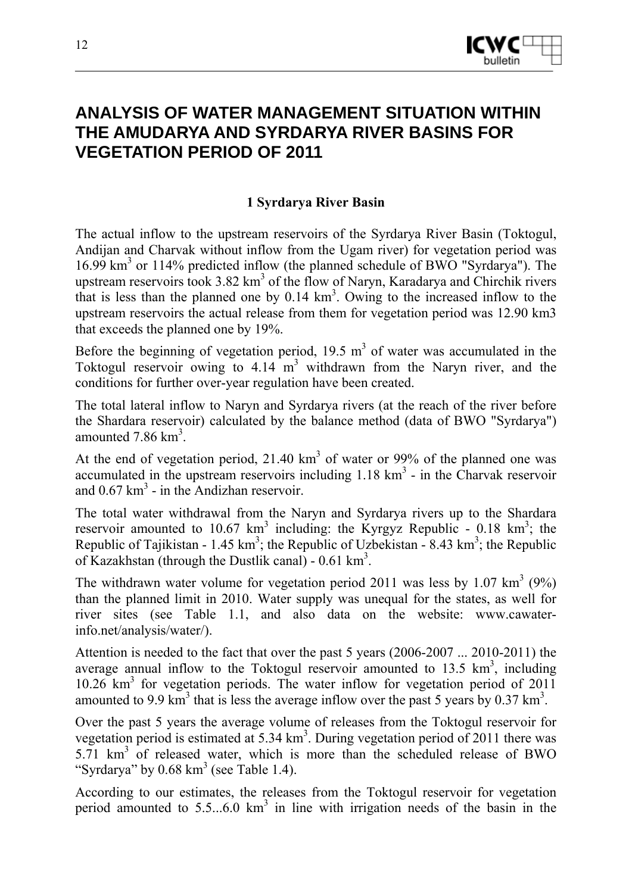

## **ANALYSIS OF WATER MANAGEMENT SITUATION WITHIN THE AMUDARYA AND SYRDARYA RIVER BASINS FOR VEGETATION PERIOD OF 2011**

#### **1 Syrdarya River Basin**

The actual inflow to the upstream reservoirs of the Syrdarya River Basin (Toktogul, Andijan and Charvak without inflow from the Ugam river) for vegetation period was 16.99 km3 or 114% predicted inflow (the planned schedule of BWO "Syrdarya"). The upstream reservoirs took  $3.82 \text{ km}^3$  of the flow of Naryn, Karadarya and Chirchik rivers that is less than the planned one by  $0.14 \text{ km}^3$ . Owing to the increased inflow to the upstream reservoirs the actual release from them for vegetation period was 12.90 km3 that exceeds the planned one by 19%.

Before the beginning of vegetation period,  $19.5 \text{ m}^3$  of water was accumulated in the Toktogul reservoir owing to  $4.14 \text{ m}^3$  withdrawn from the Naryn river, and the conditions for further over-year regulation have been created.

The total lateral inflow to Naryn and Syrdarya rivers (at the reach of the river before the Shardara reservoir) calculated by the balance method (data of BWO "Syrdarya") amounted  $7.86 \text{ km}^3$ .

At the end of vegetation period,  $21.40 \text{ km}^3$  of water or 99% of the planned one was accumulated in the upstream reservoirs including  $1.18 \text{ km}^3$  - in the Charvak reservoir and  $0.67 \text{ km}^3$  - in the Andizhan reservoir.

The total water withdrawal from the Naryn and Syrdarya rivers up to the Shardara reservoir amounted to 10.67  $km^3$  including: the Kyrgyz Republic - 0.18  $km^3$ ; the Republic of Tajikistan - 1.45 km<sup>3</sup>; the Republic of Uzbekistan - 8.43 km<sup>3</sup>; the Republic of Kazakhstan (through the Dustlik canal) -  $0.61 \text{ km}^3$ .

The withdrawn water volume for vegetation period 2011 was less by 1.07  $\text{km}^3$  (9%) than the planned limit in 2010. Water supply was unequal for the states, as well for river sites (see Table 1.1, and also data on the website: www.cawaterinfo.net/analysis/water/).

Attention is needed to the fact that over the past 5 years (2006-2007 ... 2010-2011) the average annual inflow to the Toktogul reservoir amounted to  $13.5 \text{ km}^3$ , including 10.26 km3 for vegetation periods. The water inflow for vegetation period of 2011 amounted to 9.9 km<sup>3</sup> that is less the average inflow over the past 5 years by 0.37 km<sup>3</sup>.

Over the past 5 years the average volume of releases from the Toktogul reservoir for vegetation period is estimated at  $5.34 \text{ km}^3$ . During vegetation period of 2011 there was 5.71 km<sup>3</sup> of released water, which is more than the scheduled release of BWO "Syrdarya" by  $0.68 \text{ km}^3$  (see Table 1.4).

According to our estimates, the releases from the Toktogul reservoir for vegetation period amounted to  $5.5...6.0 \text{ km}^3$  in line with irrigation needs of the basin in the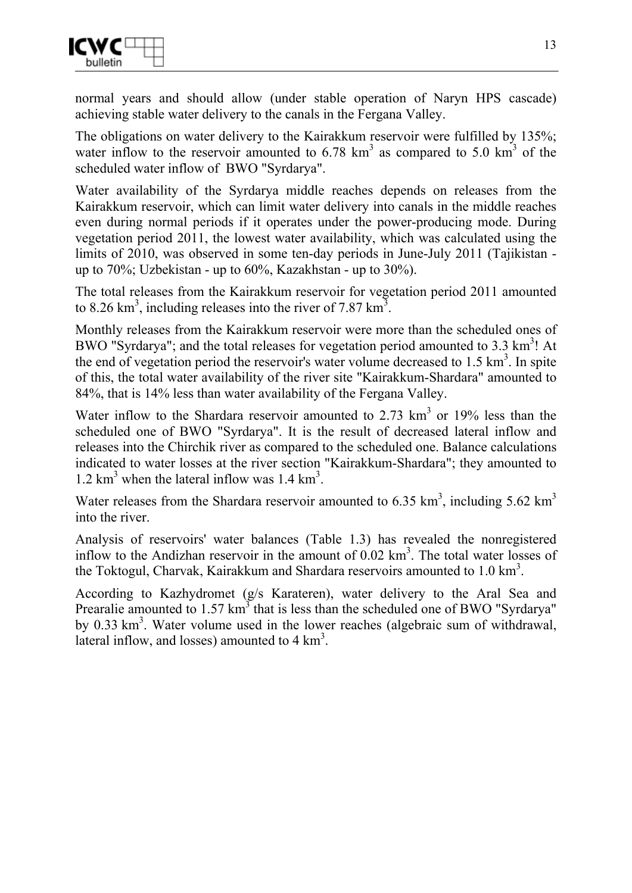

normal years and should allow (under stable operation of Naryn HPS cascade) achieving stable water delivery to the canals in the Fergana Valley.

The obligations on water delivery to the Kairakkum reservoir were fulfilled by 135%; water inflow to the reservoir amounted to  $6.78 \text{ km}^3$  as compared to  $5.0 \text{ km}^3$  of the scheduled water inflow of BWO "Syrdarya".

Water availability of the Syrdarya middle reaches depends on releases from the Kairakkum reservoir, which can limit water delivery into canals in the middle reaches even during normal periods if it operates under the power-producing mode. During vegetation period 2011, the lowest water availability, which was calculated using the limits of 2010, was observed in some ten-day periods in June-July 2011 (Tajikistan up to 70%; Uzbekistan - up to 60%, Kazakhstan - up to 30%).

The total releases from the Kairakkum reservoir for vegetation period 2011 amounted to 8.26 km<sup>3</sup>, including releases into the river of 7.87 km<sup>3</sup>.

Monthly releases from the Kairakkum reservoir were more than the scheduled ones of BWO "Syrdarya"; and the total releases for vegetation period amounted to  $3.3 \text{ km}^3$ ! At the end of vegetation period the reservoir's water volume decreased to  $1.5 \text{ km}^3$ . In spite of this, the total water availability of the river site "Kairakkum-Shardara" amounted to 84%, that is 14% less than water availability of the Fergana Valley.

Water inflow to the Shardara reservoir amounted to  $2.73 \text{ km}^3$  or 19% less than the scheduled one of BWO "Syrdarya". It is the result of decreased lateral inflow and releases into the Chirchik river as compared to the scheduled one. Balance calculations indicated to water losses at the river section "Kairakkum-Shardara"; they amounted to 1.2  $\text{km}^3$  when the lateral inflow was 1.4  $\text{km}^3$ .

Water releases from the Shardara reservoir amounted to 6.35  $\text{km}^3$ , including 5.62  $\text{km}^3$ into the river.

Analysis of reservoirs' water balances (Table 1.3) has revealed the nonregistered inflow to the Andizhan reservoir in the amount of  $0.02 \text{ km}^3$ . The total water losses of the Toktogul, Charvak, Kairakkum and Shardara reservoirs amounted to  $1.0 \text{ km}^3$ .

According to Kazhydromet (g/s Karateren), water delivery to the Aral Sea and Prearalie amounted to  $1.57 \text{ km}^3$  that is less than the scheduled one of BWO "Syrdarya" by 0.33 km<sup>3</sup>. Water volume used in the lower reaches (algebraic sum of withdrawal, lateral inflow, and losses) amounted to  $4 \text{ km}^3$ .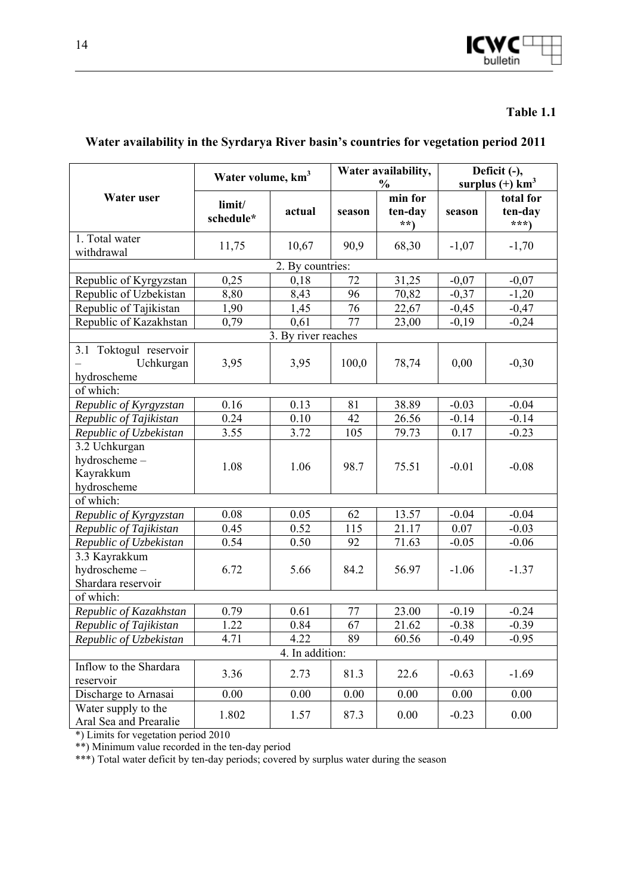

|                                                           | Water volume, km <sup>3</sup> |                     | Water availability,<br>$\frac{0}{0}$ |                           | Deficit (-),<br>surplus $(+)$ km <sup>3</sup> |                               |
|-----------------------------------------------------------|-------------------------------|---------------------|--------------------------------------|---------------------------|-----------------------------------------------|-------------------------------|
| Water user                                                | limit/<br>schedule*           | actual              | season                               | min for<br>ten-day<br>**) | season                                        | total for<br>ten-day<br>$***$ |
| 1. Total water<br>withdrawal                              | 11,75                         | 10,67               | 90,9                                 | 68,30                     | $-1,07$                                       | $-1,70$                       |
|                                                           |                               | 2. By countries:    |                                      |                           |                                               |                               |
| Republic of Kyrgyzstan                                    | 0,25                          | 0,18                | 72                                   | 31,25                     | $-0,07$                                       | $-0,07$                       |
| Republic of Uzbekistan                                    | 8,80                          | 8,43                | 96                                   | 70,82                     | $-0,37$                                       | $-1,20$                       |
| Republic of Tajikistan                                    | 1,90                          | 1,45                | 76                                   | 22,67                     | $-0,45$                                       | $-0,47$                       |
| Republic of Kazakhstan                                    | 0,79                          | 0,61                | 77                                   | 23,00                     | $-0,19$                                       | $-0,24$                       |
|                                                           |                               | 3. By river reaches |                                      |                           |                                               |                               |
| 3.1 Toktogul reservoir<br>Uchkurgan<br>hydroscheme        | 3,95                          | 3,95                | 100,0                                | 78,74                     | 0,00                                          | $-0,30$                       |
| of which:                                                 |                               |                     |                                      |                           |                                               |                               |
| Republic of Kyrgyzstan                                    | 0.16                          | 0.13                | 81                                   | 38.89                     | $-0.03$                                       | $-0.04$                       |
| Republic of Tajikistan                                    | 0.24                          | 0.10                | 42                                   | 26.56                     | $-0.14$                                       | $-0.14$                       |
| Republic of Uzbekistan                                    | 3.55                          | 3.72                | 105                                  | 79.73                     | 0.17                                          | $-0.23$                       |
| 3.2 Uchkurgan<br>hydroscheme-<br>Kayrakkum<br>hydroscheme | 1.08                          | 1.06                | 98.7                                 | 75.51                     | $-0.01$                                       | $-0.08$                       |
| of which:                                                 |                               |                     |                                      |                           |                                               |                               |
| Republic of Kyrgyzstan                                    | 0.08                          | 0.05                | 62                                   | 13.57                     | $-0.04$                                       | $-0.04$                       |
| Republic of Tajikistan                                    | 0.45                          | 0.52                | 115                                  | 21.17                     | 0.07                                          | $-0.03$                       |
| Republic of Uzbekistan                                    | 0.54                          | 0.50                | 92                                   | 71.63                     | $-0.05$                                       | $-0.06$                       |
| 3.3 Kayrakkum<br>hydroscheme-<br>Shardara reservoir       | 6.72                          | 5.66                | 84.2                                 | 56.97                     | $-1.06$                                       | $-1.37$                       |
| of which:                                                 |                               |                     |                                      |                           |                                               |                               |
| Republic of Kazakhstan                                    | 0.79                          | 0.61                | 77                                   | 23.00                     | $-0.19$                                       | $-0.24$                       |
| Republic of Tajikistan                                    | 1.22                          | 0.84                | 67                                   | 21.62                     | $-0.38$                                       | $-0.39$                       |
| Republic of Uzbekistan                                    | 4.71                          | 4.22                | 89                                   | 60.56                     | $-0.49$                                       | $-0.95$                       |
|                                                           |                               | 4. In addition:     |                                      |                           |                                               |                               |
| Inflow to the Shardara<br>reservoir                       | 3.36                          | 2.73                | 81.3                                 | 22.6                      | $-0.63$                                       | $-1.69$                       |
| Discharge to Arnasai                                      | 0.00                          | 0.00                | 0.00                                 | 0.00                      | 0.00                                          | 0.00                          |
| Water supply to the<br>Aral Sea and Prearalie             | 1.802                         | 1.57                | 87.3                                 | 0.00                      | $-0.23$                                       | 0.00                          |

#### **Water availability in the Syrdarya River basin's countries for vegetation period 2011**

\*) Limits for vegetation period 2010

\*\*) Minimum value recorded in the ten-day period

\*\*\*) Total water deficit by ten-day periods; covered by surplus water during the season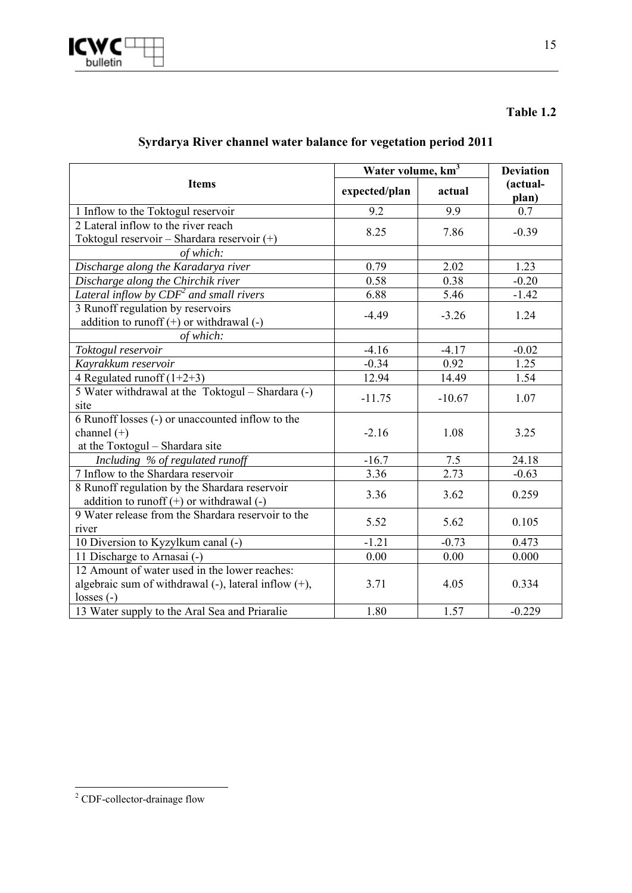

|  |  |  |  | Syrdarya River channel water balance for vegetation period 2011 |
|--|--|--|--|-----------------------------------------------------------------|
|  |  |  |  |                                                                 |

|                                                                                               |                                                                                                                                                                                                    | Water volume, km <sup>3</sup> |                   |  |  |
|-----------------------------------------------------------------------------------------------|----------------------------------------------------------------------------------------------------------------------------------------------------------------------------------------------------|-------------------------------|-------------------|--|--|
| <b>Items</b>                                                                                  | expected/plan                                                                                                                                                                                      | actual                        | (actual-<br>plan) |  |  |
| 1 Inflow to the Toktogul reservoir                                                            | 9.2                                                                                                                                                                                                | 9.9                           | 0.7               |  |  |
| 2 Lateral inflow to the river reach                                                           |                                                                                                                                                                                                    |                               | $-0.39$           |  |  |
| Toktogul reservoir - Shardara reservoir (+)                                                   |                                                                                                                                                                                                    |                               |                   |  |  |
| of which:                                                                                     |                                                                                                                                                                                                    |                               |                   |  |  |
| Discharge along the Karadarya river                                                           | 0.79                                                                                                                                                                                               | 2.02                          | 1.23              |  |  |
| Discharge along the Chirchik river                                                            |                                                                                                                                                                                                    | 0.38                          | $-0.20$           |  |  |
| Lateral inflow by $CDF^2$ and small rivers                                                    | 6.88                                                                                                                                                                                               | 5.46                          | $-1.42$           |  |  |
| 3 Runoff regulation by reservoirs                                                             |                                                                                                                                                                                                    |                               | 1.24              |  |  |
| addition to runoff $(+)$ or withdrawal $(-)$                                                  | 8.25<br>7.86<br>0.58<br>$-4.49$<br>$-3.26$<br>$-4.16$<br>$-4.17$<br>$-0.34$<br>0.92<br>12.94<br>14.49<br>$-11.75$<br>$-10.67$<br>$-2.16$<br>1.08<br>$-16.7$<br>7.5<br>2.73<br>3.36<br>3.36<br>3.62 |                               |                   |  |  |
| of which:                                                                                     |                                                                                                                                                                                                    |                               |                   |  |  |
| Toktogul reservoir                                                                            |                                                                                                                                                                                                    |                               | $-0.02$           |  |  |
| Kayrakkum reservoir                                                                           |                                                                                                                                                                                                    |                               | 1.25              |  |  |
| 4 Regulated runoff $(1+2+3)$                                                                  |                                                                                                                                                                                                    |                               | 1.54              |  |  |
| 5 Water withdrawal at the Toktogul - Shardara (-)<br>site                                     |                                                                                                                                                                                                    |                               | 1.07              |  |  |
| 6 Runoff losses (-) or unaccounted inflow to the                                              |                                                                                                                                                                                                    |                               |                   |  |  |
| channel $(+)$                                                                                 |                                                                                                                                                                                                    |                               | 3.25              |  |  |
| at the Toktogul - Shardara site                                                               |                                                                                                                                                                                                    |                               |                   |  |  |
| Including % of regulated runoff                                                               |                                                                                                                                                                                                    |                               | 24.18             |  |  |
| 7 Inflow to the Shardara reservoir                                                            |                                                                                                                                                                                                    |                               | $-0.63$           |  |  |
| 8 Runoff regulation by the Shardara reservoir<br>addition to runoff $(+)$ or withdrawal $(-)$ |                                                                                                                                                                                                    |                               | 0.259             |  |  |
| 9 Water release from the Shardara reservoir to the                                            |                                                                                                                                                                                                    |                               |                   |  |  |
| river                                                                                         | 5.52                                                                                                                                                                                               | 5.62                          | 0.105             |  |  |
| 10 Diversion to Kyzylkum canal (-)                                                            | $-1.21$                                                                                                                                                                                            | $-0.73$                       | 0.473             |  |  |
| 11 Discharge to Arnasai (-)                                                                   | 0.00                                                                                                                                                                                               | 0.00                          | 0.000             |  |  |
| 12 Amount of water used in the lower reaches:                                                 |                                                                                                                                                                                                    |                               |                   |  |  |
| algebraic sum of withdrawal (-), lateral inflow (+),                                          | 3.71                                                                                                                                                                                               | 4.05                          | 0.334             |  |  |
| $losses(-)$                                                                                   |                                                                                                                                                                                                    |                               |                   |  |  |
| 13 Water supply to the Aral Sea and Priaralie                                                 | 1.80                                                                                                                                                                                               | 1.57                          | $-0.229$          |  |  |

<sup>&</sup>lt;sup>2</sup> CDF-collector-drainage flow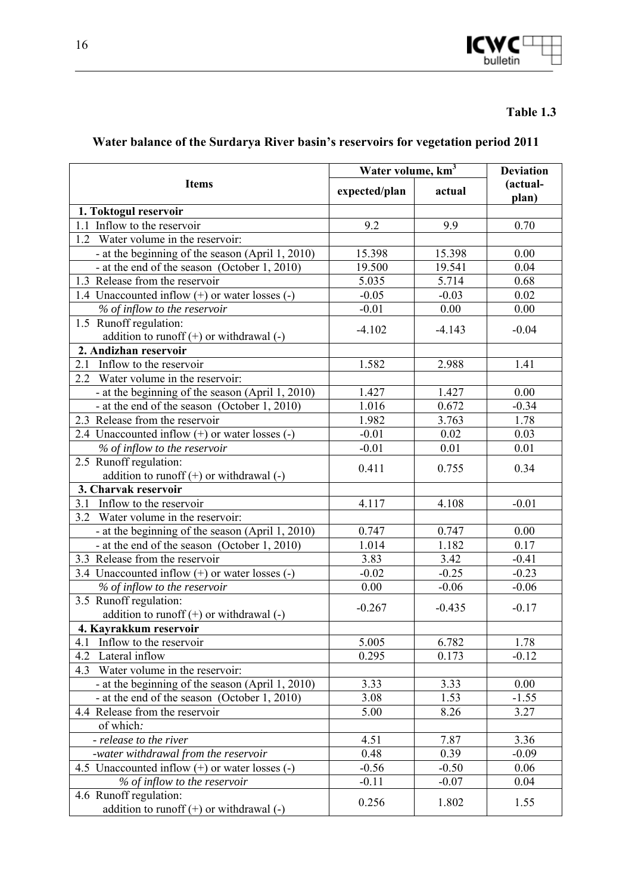

## **Water balance of the Surdarya River basin's reservoirs for vegetation period 2011**

|                                                    | Water volume, km <sup>3</sup> | <b>Deviation</b> |                   |
|----------------------------------------------------|-------------------------------|------------------|-------------------|
| <b>Items</b>                                       | expected/plan                 | actual           | (actual-<br>plan) |
| 1. Toktogul reservoir                              |                               |                  |                   |
| 1.1 Inflow to the reservoir                        | 9.2                           | 9.9              | 0.70              |
| $\overline{1.2}$ Water volume in the reservoir:    |                               |                  |                   |
| - at the beginning of the season (April 1, 2010)   | 15.398                        | 15.398           | 0.00              |
| - at the end of the season (October 1, 2010)       | 19.500                        | 19.541           | 0.04              |
| 1.3 Release from the reservoir                     | 5.035                         | 5.714            | 0.68              |
| 1.4 Unaccounted inflow (+) or water losses (-)     | $-0.05$                       | $-0.03$          | 0.02              |
| % of inflow to the reservoir                       | $-0.01$                       | 0.00             | 0.00              |
| 1.5 Runoff regulation:                             | $-4.102$                      | $-4.143$         | $-0.04$           |
| addition to runoff $(+)$ or withdrawal $(-)$       |                               |                  |                   |
| 2. Andizhan reservoir                              |                               |                  |                   |
| Inflow to the reservoir<br>2.1                     | 1.582                         | 2.988            | 1.41              |
| $\overline{2.2}$ Water volume in the reservoir:    |                               |                  |                   |
| - at the beginning of the season (April 1, 2010)   | 1.427                         | 1.427            | 0.00              |
| - at the end of the season (October 1, 2010)       | 1.016                         | 0.672            | $-0.34$           |
| 2.3 Release from the reservoir                     | 1.982                         | 3.763            | 1.78              |
| 2.4 Unaccounted inflow $(+)$ or water losses $(-)$ | $-0.01$                       | 0.02             | 0.03              |
| % of inflow to the reservoir                       | $-0.01$                       | 0.01             | 0.01              |
| 2.5 Runoff regulation:                             | 0.411                         | 0.755            | 0.34              |
| addition to runoff $(+)$ or withdrawal $(-)$       |                               |                  |                   |
| 3. Charvak reservoir                               |                               |                  |                   |
| Inflow to the reservoir<br>3.1                     | 4.117                         | 4.108            | $-0.01$           |
| 3.2 Water volume in the reservoir:                 |                               |                  |                   |
| - at the beginning of the season (April 1, 2010)   | 0.747                         | 0.747            | 0.00              |
| - at the end of the season (October 1, 2010)       | 1.014                         | 1.182            | 0.17              |
| 3.3 Release from the reservoir                     | 3.83                          | 3.42             | $-0.41$           |
| 3.4 Unaccounted inflow $(+)$ or water losses $(-)$ | $-0.02$                       | $-0.25$          | $-0.23$           |
| % of inflow to the reservoir                       | 0.00                          | $-0.06$          | $-0.06$           |
| 3.5 Runoff regulation:                             | $-0.267$                      | $-0.435$         | $-0.17$           |
| addition to runoff $(+)$ or withdrawal $(-)$       |                               |                  |                   |
| 4. Kayrakkum reservoir                             |                               |                  |                   |
| 4.1<br>Inflow to the reservoir                     | 5.005                         | 6.782            | 1.78              |
| 4.2<br>Lateral inflow                              | 0.295                         | 0.173            | $-0.12$           |
| Water volume in the reservoir:<br>4.3              |                               |                  |                   |
| - at the beginning of the season (April 1, 2010)   | 3.33                          | 3.33             | 0.00              |
| - at the end of the season (October 1, 2010)       | 3.08                          | 1.53             | $-1.55$           |
| 4.4 Release from the reservoir                     | 5.00                          | 8.26             | 3.27              |
| of which:                                          |                               |                  |                   |
| - release to the river                             | 4.51                          | 7.87             | 3.36              |
| -water withdrawal from the reservoir               | 0.48                          | 0.39             | $-0.09$           |
| 4.5 Unaccounted inflow $(+)$ or water losses $(-)$ | $-0.56$                       | $-0.50$          | 0.06              |
| % of inflow to the reservoir                       | $-0.11$                       | $-0.07$          | 0.04              |
| 4.6 Runoff regulation:                             | 0.256                         | 1.802            | 1.55              |
| addition to runoff $(+)$ or withdrawal $(-)$       |                               |                  |                   |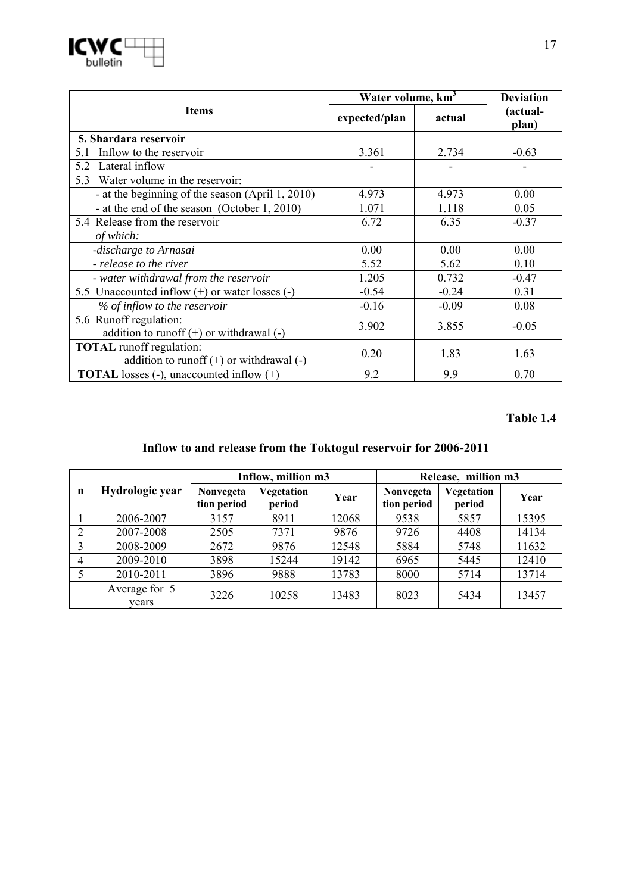|                                                                                 |               | Water volume, km <sup>3</sup> |                   |  |  |
|---------------------------------------------------------------------------------|---------------|-------------------------------|-------------------|--|--|
| <b>Items</b>                                                                    | expected/plan | actual                        | (actual-<br>plan) |  |  |
| 5. Shardara reservoir                                                           |               |                               |                   |  |  |
| Inflow to the reservoir<br>5.1                                                  | 3.361         | 2.734                         | $-0.63$           |  |  |
| Lateral inflow<br>5.2                                                           |               |                               |                   |  |  |
| 5.3 Water volume in the reservoir:                                              |               |                               |                   |  |  |
| - at the beginning of the season (April 1, 2010)                                | 4.973         | 4.973                         | 0.00              |  |  |
| - at the end of the season (October 1, 2010)                                    | 1.071         | 1.118                         | 0.05              |  |  |
| 5.4 Release from the reservoir                                                  | 6.72          | 6.35                          | $-0.37$           |  |  |
| of which:                                                                       |               |                               |                   |  |  |
| -discharge to Arnasai                                                           | 0.00          | 0.00                          | 0.00              |  |  |
| - release to the river                                                          | 5.52          | 5.62                          | 0.10              |  |  |
| - water withdrawal from the reservoir                                           | 1.205         | 0.732                         | $-0.47$           |  |  |
| 5.5 Unaccounted inflow $(+)$ or water losses $(-)$                              | $-0.54$       | $-0.24$                       | 0.31              |  |  |
| % of inflow to the reservoir                                                    | $-0.16$       | $-0.09$                       | 0.08              |  |  |
| 5.6 Runoff regulation:<br>addition to runoff $(+)$ or withdrawal $(-)$          | 3.902         | 3.855                         | $-0.05$           |  |  |
| <b>TOTAL</b> runoff regulation:<br>addition to runoff $(+)$ or withdrawal $(-)$ | 0.20          | 1.83                          | 1.63              |  |  |
| <b>TOTAL</b> losses $(-)$ , unaccounted inflow $(+)$                            | 9.2           | 9.9                           | 0.70              |  |  |

### **Inflow to and release from the Toktogul reservoir for 2006-2011**

|                |                        |                          | Inflow, million m3   |       |                          |                      | Release, million m3 |  |
|----------------|------------------------|--------------------------|----------------------|-------|--------------------------|----------------------|---------------------|--|
| n              | Hydrologic year        | Nonvegeta<br>tion period | Vegetation<br>period | Year  | Nonvegeta<br>tion period | Vegetation<br>period | Year                |  |
|                | 2006-2007              | 3157                     | 8911                 | 12068 | 9538                     | 5857                 | 15395               |  |
| $\overline{2}$ | 2007-2008              | 2505                     | 7371                 | 9876  | 9726                     | 4408                 | 14134               |  |
| 3              | 2008-2009              | 2672                     | 9876                 | 12548 | 5884                     | 5748                 | 11632               |  |
| $\overline{4}$ | 2009-2010              | 3898                     | 15244                | 19142 | 6965                     | 5445                 | 12410               |  |
| 5              | 2010-2011              | 3896                     | 9888                 | 13783 | 8000                     | 5714                 | 13714               |  |
|                | Average for 5<br>vears | 3226                     | 10258                | 13483 | 8023                     | 5434                 | 13457               |  |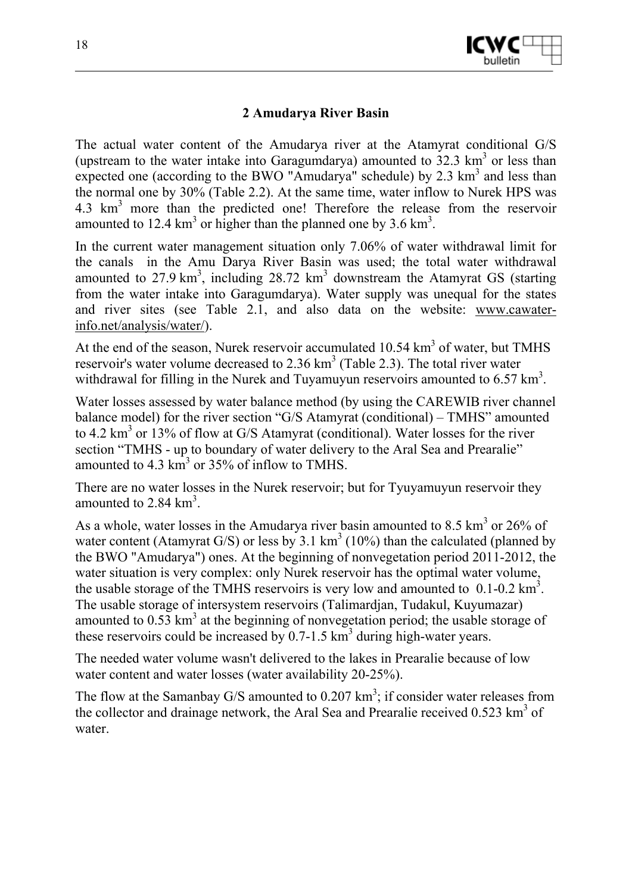

#### **2 Amudarya River Basin**

The actual water content of the Amudarya river at the Atamyrat conditional G/S (upstream to the water intake into Garagumdarya) amounted to  $32.3 \text{ km}^3$  or less than expected one (according to the BWO "Amudarya" schedule) by 2.3  $\text{km}^3$  and less than the normal one by 30% (Table 2.2). At the same time, water inflow to Nurek HPS was 4.3 km<sup>3</sup> more than the predicted one! Therefore the release from the reservoir amounted to 12.4  $\text{km}^3$  or higher than the planned one by 3.6  $\text{km}^3$ .

In the current water management situation only 7.06% of water withdrawal limit for the canals in the Amu Darya River Basin was used; the total water withdrawal amounted to  $27.9 \text{ km}^3$ , including  $28.72 \text{ km}^3$  downstream the Atamyrat GS (starting from the water intake into Garagumdarya). Water supply was unequal for the states and river sites (see Table 2.1, and also data on the website: www.cawaterinfo.net/analysis/water/).

At the end of the season, Nurek reservoir accumulated  $10.54 \text{ km}^3$  of water, but TMHS reservoir's water volume decreased to 2.36  $km<sup>3</sup>$  (Table 2.3). The total river water withdrawal for filling in the Nurek and Tuyamuyun reservoirs amounted to  $6.57 \text{ km}^3$ .

Water losses assessed by water balance method (by using the CAREWIB river channel balance model) for the river section "G/S Atamyrat (conditional) – TMHS" amounted to 4.2 km<sup>3</sup> or 13% of flow at G/S Atamyrat (conditional). Water losses for the river section "TMHS - up to boundary of water delivery to the Aral Sea and Prearalie" amounted to  $4.3 \text{ km}^3$  or  $35\%$  of inflow to TMHS.

There are no water losses in the Nurek reservoir; but for Tyuyamuyun reservoir they amounted to  $2.84 \text{ km}^3$ .

As a whole, water losses in the Amudarya river basin amounted to 8.5  $\text{km}^3$  or 26% of water content (Atamyrat G/S) or less by  $3.1 \text{ km}^3$  (10%) than the calculated (planned by the BWO "Amudarya") ones. At the beginning of nonvegetation period 2011-2012, the water situation is very complex: only Nurek reservoir has the optimal water volume, the usable storage of the TMHS reservoirs is very low and amounted to  $0.1$ -0.2 km<sup>3</sup>. The usable storage of intersystem reservoirs (Talimardjan, Tudakul, Kuyumazar) amounted to  $0.53 \text{ km}^3$  at the beginning of nonvegetation period; the usable storage of these reservoirs could be increased by  $0.7$ -1.5 km<sup>3</sup> during high-water years.

The needed water volume wasn't delivered to the lakes in Prearalie because of low water content and water losses (water availability 20-25%).

The flow at the Samanbay G/S amounted to  $0.207 \text{ km}^3$ ; if consider water releases from the collector and drainage network, the Aral Sea and Prearalie received  $0.523 \text{ km}^3$  of water.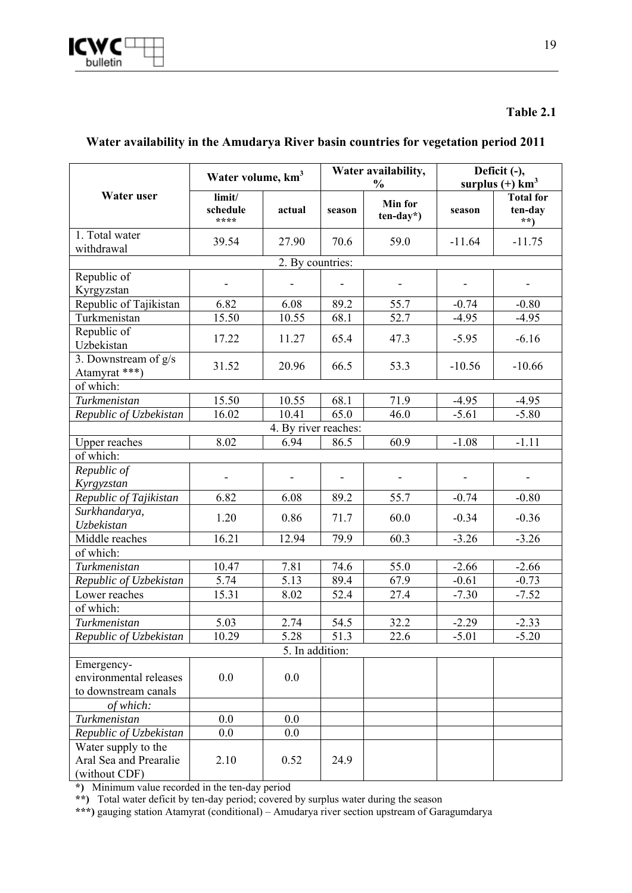|                                                                | Water volume, km <sup>3</sup> |                      |        | Water availability,      | Deficit (-), |                                    |  |
|----------------------------------------------------------------|-------------------------------|----------------------|--------|--------------------------|--------------|------------------------------------|--|
|                                                                |                               |                      |        | $\frac{0}{0}$            |              | surplus $(+)$ km <sup>3</sup>      |  |
| Water user                                                     | limit/<br>schedule<br>****    | actual               | season | Min for<br>$ten-day*$ )  | season       | <b>Total for</b><br>ten-day<br>**) |  |
| 1. Total water                                                 | 39.54                         | 27.90                | 70.6   | 59.0                     | $-11.64$     | $-11.75$                           |  |
| withdrawal                                                     |                               |                      |        |                          |              |                                    |  |
|                                                                |                               | 2. By countries:     |        |                          |              |                                    |  |
| Republic of                                                    |                               |                      |        |                          |              |                                    |  |
| Kyrgyzstan                                                     |                               |                      |        |                          |              |                                    |  |
| Republic of Tajikistan                                         | 6.82                          | 6.08                 | 89.2   | 55.7                     | $-0.74$      | $-0.80$                            |  |
| Turkmenistan                                                   | 15.50                         | 10.55                | 68.1   | 52.7                     | $-4.95$      | $-4.95$                            |  |
| Republic of<br>Uzbekistan                                      | 17.22                         | 11.27                | 65.4   | 47.3                     | $-5.95$      | $-6.16$                            |  |
| 3. Downstream of g/s<br>Atamyrat ***)                          | 31.52                         | 20.96                | 66.5   | 53.3                     | $-10.56$     | $-10.66$                           |  |
| of which:                                                      |                               |                      |        |                          |              |                                    |  |
| Turkmenistan                                                   | 15.50                         | 10.55                | 68.1   | 71.9                     | $-4.95$      | $-4.95$                            |  |
| Republic of Uzbekistan                                         | 16.02                         | 10.41                | 65.0   | 46.0                     | $-5.61$      | $-5.80$                            |  |
|                                                                |                               | 4. By river reaches: |        |                          |              |                                    |  |
| <b>Upper reaches</b>                                           | 8.02                          | 6.94                 | 86.5   | 60.9                     | $-1.08$      | $-1.11$                            |  |
| of which:                                                      |                               |                      |        |                          |              |                                    |  |
| Republic of                                                    |                               |                      |        |                          |              |                                    |  |
| Kyrgyzstan                                                     |                               |                      |        | $\overline{\phantom{0}}$ |              |                                    |  |
| Republic of Tajikistan                                         | 6.82                          | 6.08                 | 89.2   | 55.7                     | $-0.74$      | $-0.80$                            |  |
| Surkhandarya,                                                  | 1.20                          | 0.86                 | 71.7   | 60.0                     | $-0.34$      | $-0.36$                            |  |
| Uzbekistan                                                     |                               |                      |        |                          |              |                                    |  |
| Middle reaches                                                 | 16.21                         | 12.94                | 79.9   | 60.3                     | $-3.26$      | $-3.26$                            |  |
| of which:                                                      |                               |                      |        |                          |              |                                    |  |
| Turkmenistan                                                   | 10.47                         | 7.81                 | 74.6   | 55.0                     | $-2.66$      | $-2.66$                            |  |
| Republic of Uzbekistan                                         | 5.74                          | 5.13                 | 89.4   | 67.9                     | $-0.61$      | $-0.73$                            |  |
| Lower reaches                                                  | 15.31                         | 8.02                 | 52.4   | 27.4                     | $-7.30$      | $-7.52$                            |  |
| of which:                                                      |                               |                      |        |                          |              |                                    |  |
| Turkmenistan                                                   | 5.03                          | 2.74                 | 54.5   | 32.2                     | $-2.29$      | $-2.33$                            |  |
| Republic of Uzbekistan                                         | 10.29                         | 5.28                 | 51.3   | 22.6                     | $-5.01$      | $-5.20$                            |  |
|                                                                |                               | 5. In addition:      |        |                          |              |                                    |  |
| Emergency-                                                     |                               |                      |        |                          |              |                                    |  |
| environmental releases                                         | 0.0                           | 0.0                  |        |                          |              |                                    |  |
| to downstream canals                                           |                               |                      |        |                          |              |                                    |  |
| of which:                                                      |                               |                      |        |                          |              |                                    |  |
| Turkmenistan                                                   | 0.0                           | 0.0                  |        |                          |              |                                    |  |
| Republic of Uzbekistan                                         | 0.0                           | 0.0                  |        |                          |              |                                    |  |
| Water supply to the<br>Aral Sea and Prearalie<br>(without CDF) | 2.10                          | 0.52                 | 24.9   |                          |              |                                    |  |

#### **Water availability in the Amudarya River basin countries for vegetation period 2011**

**\*)** Minimum value recorded in the ten-day period

**\*\*)** Total water deficit by ten-day period; covered by surplus water during the season

**\*\*\*)** gauging station Atamyrat (conditional) – Amudarya river section upstream of Garagumdarya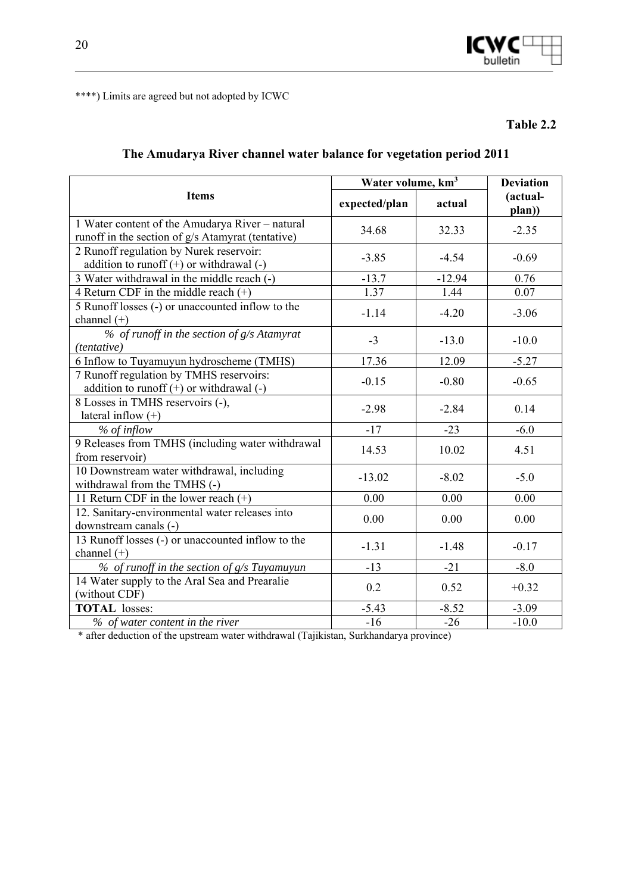

\*\*\*\*) Limits are agreed but not adopted by ICWC

**Table 2.2** 

#### **The Amudarya River channel water balance for vegetation period 2011**

|                                                           | Water volume, km <sup>3</sup> |          | <b>Deviation</b>   |  |
|-----------------------------------------------------------|-------------------------------|----------|--------------------|--|
| <b>Items</b>                                              | expected/plan                 | actual   | (actual-<br>plan)) |  |
| 1 Water content of the Amudarya River - natural           | 34.68                         | 32.33    | $-2.35$            |  |
| runoff in the section of g/s Atamyrat (tentative)         |                               |          |                    |  |
| 2 Runoff regulation by Nurek reservoir:                   | $-3.85$                       | $-4.54$  | $-0.69$            |  |
| addition to runoff $(+)$ or withdrawal $(-)$              |                               |          |                    |  |
| 3 Water withdrawal in the middle reach (-)                | $-13.7$                       | $-12.94$ | 0.76               |  |
| 4 Return CDF in the middle reach $(+)$                    | 1.37                          | 1.44     | 0.07               |  |
| 5 Runoff losses (-) or unaccounted inflow to the          | $-1.14$                       | $-4.20$  | $-3.06$            |  |
| channel $(+)$                                             |                               |          |                    |  |
| % of runoff in the section of g/s Atamyrat<br>(tentative) | $-3$                          | $-13.0$  | $-10.0$            |  |
| 6 Inflow to Tuyamuyun hydroscheme (TMHS)                  | 17.36                         | 12.09    | $-5.27$            |  |
| 7 Runoff regulation by TMHS reservoirs:                   |                               |          |                    |  |
| addition to runoff $(+)$ or withdrawal $(-)$              | $-0.15$                       | $-0.80$  | $-0.65$            |  |
| 8 Losses in TMHS reservoirs (-),                          |                               |          |                    |  |
| lateral inflow $(+)$                                      | $-2.98$                       | $-2.84$  | 0.14               |  |
| $%$ of inflow                                             | $-17$                         | $-23$    | $-6.0$             |  |
| 9 Releases from TMHS (including water withdrawal          |                               |          |                    |  |
| from reservoir)                                           | 14.53                         | 10.02    | 4.51               |  |
| 10 Downstream water withdrawal, including                 | $-13.02$                      | $-8.02$  | $-5.0$             |  |
| withdrawal from the TMHS (-)                              |                               |          |                    |  |
| 11 Return CDF in the lower reach (+)                      | 0.00                          | 0.00     | 0.00               |  |
| 12. Sanitary-environmental water releases into            | 0.00                          | 0.00     | 0.00               |  |
| downstream canals (-)                                     |                               |          |                    |  |
| 13 Runoff losses (-) or unaccounted inflow to the         | $-1.31$                       | $-1.48$  | $-0.17$            |  |
| channel $(+)$                                             |                               |          |                    |  |
| $%$ of runoff in the section of $g/s$ Tuyamuyun           | $-13$                         | $-21$    | $-8.0$             |  |
| 14 Water supply to the Aral Sea and Prearalie             | 0.2                           | 0.52     | $+0.32$            |  |
| (without CDF)                                             |                               |          |                    |  |
| <b>TOTAL</b> losses:                                      | $-5.43$                       | $-8.52$  | $-3.09$            |  |
| % of water content in the river                           | $-16$                         | $-26$    | $-10.0$            |  |

\* after deduction of the upstream water withdrawal (Tajikistan, Surkhandarya province)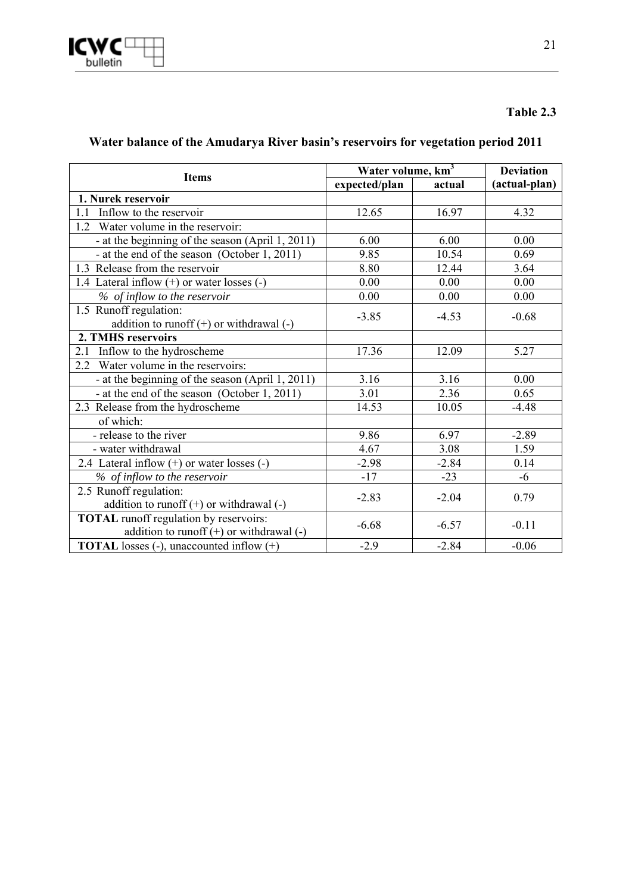## **Water balance of the Amudarya River basin's reservoirs for vegetation period 2011**

|                                                  | Water volume, km <sup>3</sup> |         | <b>Deviation</b> |
|--------------------------------------------------|-------------------------------|---------|------------------|
| <b>Items</b>                                     | expected/plan                 | actual  | (actual-plan)    |
| 1. Nurek reservoir                               |                               |         |                  |
| 1.1<br>Inflow to the reservoir                   | 12.65                         | 16.97   | 4.32             |
| 1.2 Water volume in the reservoir:               |                               |         |                  |
| - at the beginning of the season (April 1, 2011) | 6.00                          | 6.00    | 0.00             |
| - at the end of the season (October 1, 2011)     | 9.85                          | 10.54   | 0.69             |
| 1.3 Release from the reservoir                   | 8.80                          | 12.44   | 3.64             |
| 1.4 Lateral inflow (+) or water losses (-)       | 0.00                          | 0.00    | 0.00             |
| % of inflow to the reservoir                     | 0.00                          | 0.00    | 0.00             |
| 1.5 Runoff regulation:                           |                               | $-4.53$ | $-0.68$          |
| addition to runoff $(+)$ or withdrawal $(-)$     | $-3.85$                       |         |                  |
| 2. TMHS reservoirs                               |                               |         |                  |
| Inflow to the hydroscheme<br>2.1                 | 17.36                         | 12.09   | 5.27             |
| 2.2 Water volume in the reservoirs:              |                               |         |                  |
| - at the beginning of the season (April 1, 2011) | 3.16                          | 3.16    | 0.00             |
| - at the end of the season (October 1, 2011)     | 3.01                          | 2.36    | 0.65             |
| 2.3 Release from the hydroscheme                 | 14.53                         | 10.05   | $-4.48$          |
| of which:                                        |                               |         |                  |
| - release to the river                           | 9.86                          | 6.97    | $-2.89$          |
| - water withdrawal                               | 4.67                          | 3.08    | 1.59             |
| 2.4 Lateral inflow $(+)$ or water losses $(-)$   | $-2.98$                       | $-2.84$ | 0.14             |
| % of inflow to the reservoir                     | $-17$                         | $-23$   | $-6$             |
| 2.5 Runoff regulation:                           | $-2.83$                       | $-2.04$ | 0.79             |
| addition to runoff $(+)$ or withdrawal $(-)$     |                               |         |                  |
| <b>TOTAL</b> runoff regulation by reservoirs:    | $-6.68$                       | $-6.57$ | $-0.11$          |
| addition to runoff $(+)$ or withdrawal $(-)$     |                               |         |                  |
| <b>TOTAL</b> losses (-), unaccounted inflow (+)  | $-2.9$                        | $-2.84$ | $-0.06$          |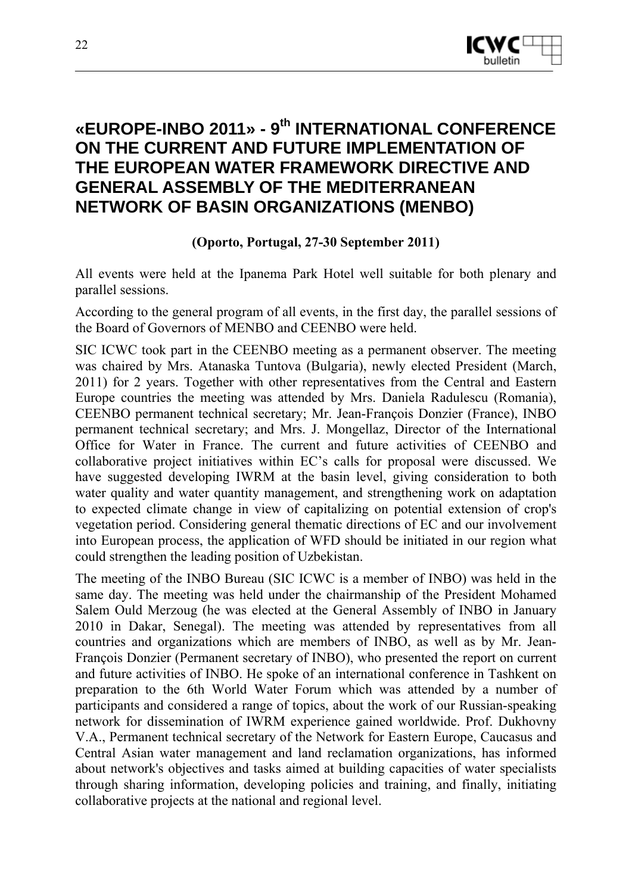

## **«EUROPE-INBO 2011» - 9th INTERNATIONAL CONFERENCE ON THE CURRENT AND FUTURE IMPLEMENTATION OF THE EUROPEAN WATER FRAMEWORK DIRECTIVE AND GENERAL ASSEMBLY OF THE MEDITERRANEAN NETWORK OF BASIN ORGANIZATIONS (MENBO)**

**(Oporto, Portugal, 27-30 September 2011)** 

All events were held at the Ipanema Park Hotel well suitable for both plenary and parallel sessions.

According to the general program of all events, in the first day, the parallel sessions of the Board of Governors of MENBO and CEENBO were held.

SIC ICWC took part in the CEENBO meeting as a permanent observer. The meeting was chaired by Mrs. Atanaska Tuntova (Bulgaria), newly elected President (March, 2011) for 2 years. Together with other representatives from the Central and Eastern Europe countries the meeting was attended by Mrs. Daniela Radulescu (Romania), CEENBO permanent technical secretary; Mr. Jean-François Donzier (France), INBO permanent technical secretary; and Mrs. J. Mongellaz, Director of the International Office for Water in France. The current and future activities of CEENBO and collaborative project initiatives within EC's calls for proposal were discussed. We have suggested developing IWRM at the basin level, giving consideration to both water quality and water quantity management, and strengthening work on adaptation to expected climate change in view of capitalizing on potential extension of crop's vegetation period. Considering general thematic directions of EC and our involvement into European process, the application of WFD should be initiated in our region what could strengthen the leading position of Uzbekistan.

The meeting of the INBO Bureau (SIC ICWC is a member of INBO) was held in the same day. The meeting was held under the chairmanship of the President Mohamed Salem Ould Merzoug (he was elected at the General Assembly of INBO in January 2010 in Dakar, Senegal). The meeting was attended by representatives from all countries and organizations which are members of INBO, as well as by Mr. Jean-François Donzier (Permanent secretary of INBO), who presented the report on current and future activities of INBO. He spoke of an international conference in Tashkent on preparation to the 6th World Water Forum which was attended by a number of participants and considered a range of topics, about the work of our Russian-speaking network for dissemination of IWRM experience gained worldwide. Prof. Dukhovny V.A., Permanent technical secretary of the Network for Eastern Europe, Caucasus and Central Asian water management and land reclamation organizations, has informed about network's objectives and tasks aimed at building capacities of water specialists through sharing information, developing policies and training, and finally, initiating collaborative projects at the national and regional level.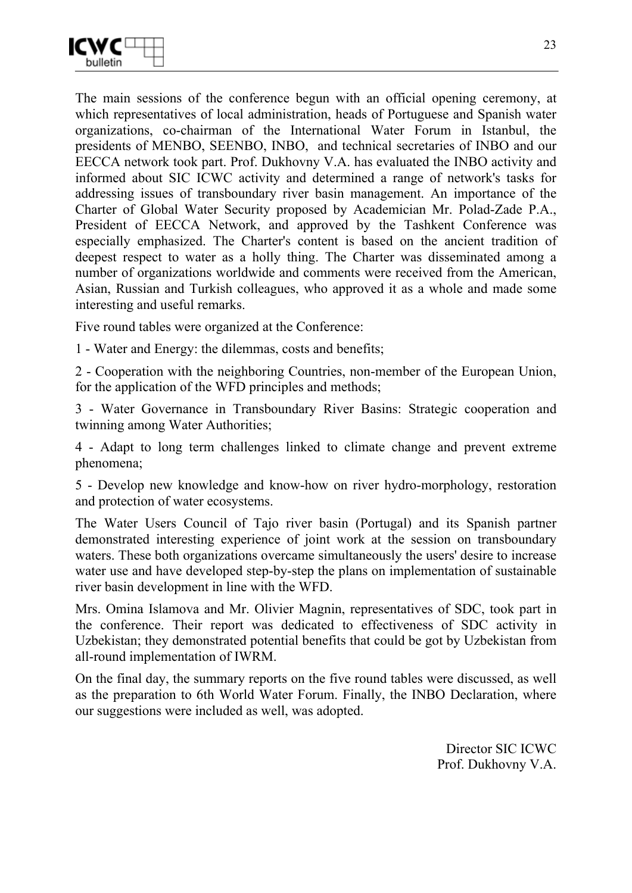

The main sessions of the conference begun with an official opening ceremony, at which representatives of local administration, heads of Portuguese and Spanish water organizations, co-chairman of the International Water Forum in Istanbul, the presidents of MENBO, SEENBO, INBO, and technical secretaries of INBO and our EECCA network took part. Prof. Dukhovny V.A. has evaluated the INBO activity and informed about SIC ICWC activity and determined a range of network's tasks for addressing issues of transboundary river basin management. An importance of the Charter of Global Water Security proposed by Academician Mr. Polad-Zade P.A., President of EECCA Network, and approved by the Tashkent Conference was especially emphasized. The Charter's content is based on the ancient tradition of deepest respect to water as a holly thing. The Charter was disseminated among a number of organizations worldwide and comments were received from the American, Asian, Russian and Turkish colleagues, who approved it as a whole and made some interesting and useful remarks.

Five round tables were organized at the Conference:

1 - Water and Energy: the dilemmas, costs and benefits;

2 - Cooperation with the neighboring Countries, non-member of the European Union, for the application of the WFD principles and methods;

3 - Water Governance in Transboundary River Basins: Strategic cooperation and twinning among Water Authorities;

4 - Adapt to long term challenges linked to climate change and prevent extreme phenomena;

5 - Develop new knowledge and know-how on river hydro-morphology, restoration and protection of water ecosystems.

The Water Users Council of Tajo river basin (Portugal) and its Spanish partner demonstrated interesting experience of joint work at the session on transboundary waters. These both organizations overcame simultaneously the users' desire to increase water use and have developed step-by-step the plans on implementation of sustainable river basin development in line with the WFD.

Mrs. Omina Islamova and Mr. Olivier Magnin, representatives of SDC, took part in the conference. Their report was dedicated to effectiveness of SDC activity in Uzbekistan; they demonstrated potential benefits that could be got by Uzbekistan from all-round implementation of IWRM.

On the final day, the summary reports on the five round tables were discussed, as well as the preparation to 6th World Water Forum. Finally, the INBO Declaration, where our suggestions were included as well, was adopted.

> Director SIC ICWC Prof. Dukhovny V.A.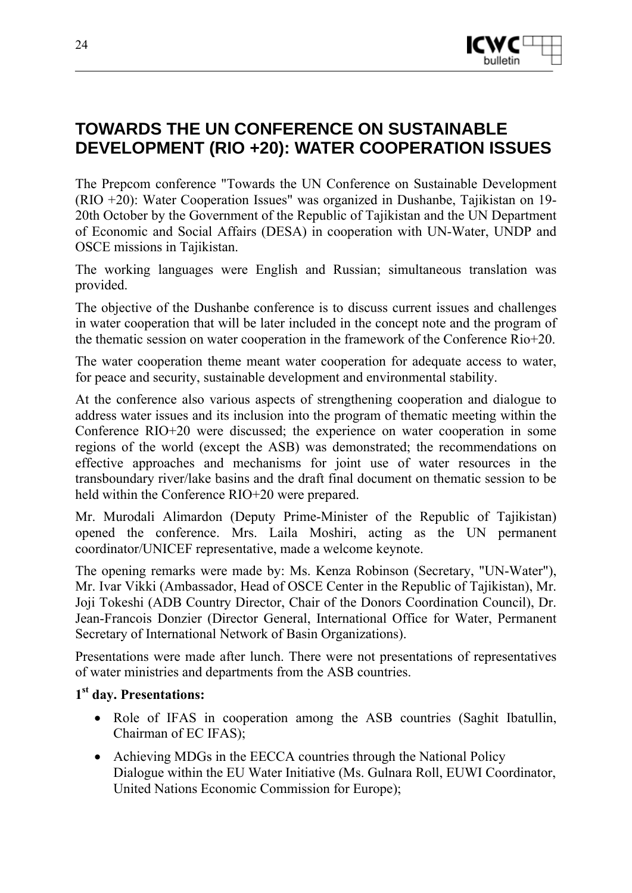

## **TOWARDS THE UN CONFERENCE ON SUSTAINABLE DEVELOPMENT (RIO +20): WATER COOPERATION ISSUES**

The Prepcom conference "Towards the UN Conference on Sustainable Development (RIO +20): Water Cooperation Issues" was organized in Dushanbe, Tajikistan on 19- 20th October by the Government of the Republic of Tajikistan and the UN Department of Economic and Social Affairs (DESA) in cooperation with UN-Water, UNDP and OSCE missions in Tajikistan.

The working languages were English and Russian; simultaneous translation was provided.

The objective of the Dushanbe conference is to discuss current issues and challenges in water cooperation that will be later included in the concept note and the program of the thematic session on water cooperation in the framework of the Conference Rio+20.

The water cooperation theme meant water cooperation for adequate access to water, for peace and security, sustainable development and environmental stability.

At the conference also various aspects of strengthening cooperation and dialogue to address water issues and its inclusion into the program of thematic meeting within the Conference RIO+20 were discussed; the experience on water cooperation in some regions of the world (except the ASB) was demonstrated; the recommendations on effective approaches and mechanisms for joint use of water resources in the transboundary river/lake basins and the draft final document on thematic session to be held within the Conference RIO+20 were prepared.

Mr. Murodali Alimardon (Deputy Prime-Minister of the Republic of Tajikistan) opened the conference. Mrs. Laila Moshiri, acting as the UN permanent coordinator/UNICEF representative, made a welcome keynote.

The opening remarks were made by: Ms. Kenza Robinson (Secretary, "UN-Water"), Mr. Ivar Vikki (Ambassador, Head of OSCE Center in the Republic of Tajikistan), Mr. Joji Tokeshi (ADB Country Director, Chair of the Donors Coordination Council), Dr. Jean-Francois Donzier (Director General, International Office for Water, Permanent Secretary of International Network of Basin Organizations).

Presentations were made after lunch. There were not presentations of representatives of water ministries and departments from the ASB countries.

#### **1st day. Presentations:**

- Role of IFAS in cooperation among the ASB countries (Saghit Ibatullin, Chairman of EC IFAS);
- Achieving MDGs in the EECCA countries through the National Policy Dialogue within the EU Water Initiative (Ms. Gulnara Roll, EUWI Coordinator, United Nations Economic Commission for Europe);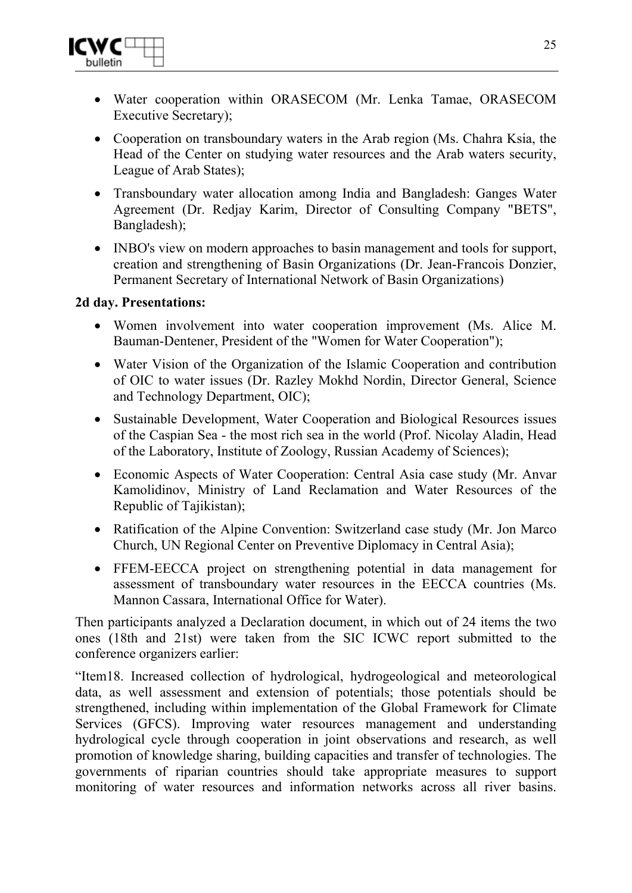

- Water cooperation within ORASECOM (Mr. Lenka Tamae, ORASECOM Executive Secretary);
- Cooperation on transboundary waters in the Arab region (Ms. Chahra Ksia, the Head of the Center on studying water resources and the Arab waters security, League of Arab States);
- Transboundary water allocation among India and Bangladesh: Ganges Water Agreement (Dr. Redjay Karim, Director of Consulting Company "BETS", Bangladesh);
- INBO's view on modern approaches to basin management and tools for support, creation and strengthening of Basin Organizations (Dr. Jean-Francois Donzier, Permanent Secretary of International Network of Basin Organizations)

#### **2d day. Presentations:**

- Women involvement into water cooperation improvement (Ms. Alice M. Bauman-Dentener, President of the "Women for Water Cooperation");
- Water Vision of the Organization of the Islamic Cooperation and contribution of OIC to water issues (Dr. Razley Mokhd Nordin, Director General, Science and Technology Department, OIC);
- Sustainable Development, Water Cooperation and Biological Resources issues of the Caspian Sea - the most rich sea in the world (Prof. Nicolay Aladin, Head of the Laboratory, Institute of Zoology, Russian Academy of Sciences);
- Economic Aspects of Water Cooperation: Central Asia case study (Mr. Anvar Kamolidinov, Ministry of Land Reclamation and Water Resources of the Republic of Tajikistan);
- Ratification of the Alpine Convention: Switzerland case study (Mr. Jon Marco) Church, UN Regional Center on Preventive Diplomacy in Central Asia);
- FFEM-EECCA project on strengthening potential in data management for assessment of transboundary water resources in the EECCA countries (Ms. Mannon Cassara, International Office for Water).

Then participants analyzed a Declaration document, in which out of 24 items the two ones (18th and 21st) were taken from the SIC ICWC report submitted to the conference organizers earlier:

"Item18. Increased collection of hydrological, hydrogeological and meteorological data, as well assessment and extension of potentials; those potentials should be strengthened, including within implementation of the Global Framework for Climate Services (GFCS). Improving water resources management and understanding hydrological cycle through cooperation in joint observations and research, as well promotion of knowledge sharing, building capacities and transfer of technologies. The governments of riparian countries should take appropriate measures to support monitoring of water resources and information networks across all river basins.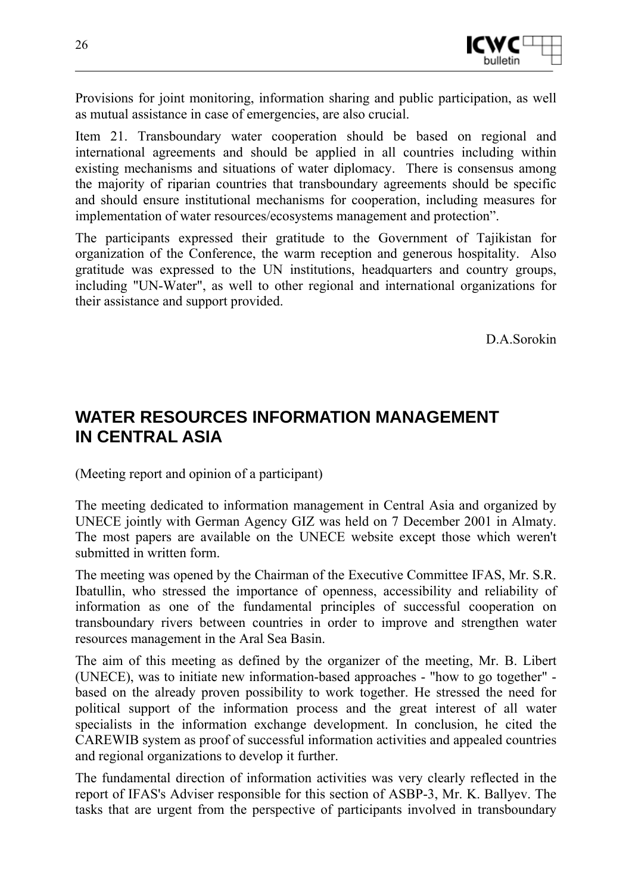

Provisions for joint monitoring, information sharing and public participation, as well as mutual assistance in case of emergencies, are also crucial.

Item 21. Transboundary water cooperation should be based on regional and international agreements and should be applied in all countries including within existing mechanisms and situations of water diplomacy. There is consensus among the majority of riparian countries that transboundary agreements should be specific and should ensure institutional mechanisms for cooperation, including measures for implementation of water resources/ecosystems management and protection".

The participants expressed their gratitude to the Government of Tajikistan for organization of the Conference, the warm reception and generous hospitality. Also gratitude was expressed to the UN institutions, headquarters and country groups, including "UN-Water", as well to other regional and international organizations for their assistance and support provided.

D.A.Sorokin

## **WATER RESOURCES INFORMATION MANAGEMENT IN CENTRAL ASIA**

(Meeting report and opinion of a participant)

The meeting dedicated to information management in Central Asia and organized by UNECE jointly with German Agency GIZ was held on 7 December 2001 in Almaty. The most papers are available on the UNECE website except those which weren't submitted in written form.

The meeting was opened by the Chairman of the Executive Committee IFAS, Mr. S.R. Ibatullin, who stressed the importance of openness, accessibility and reliability of information as one of the fundamental principles of successful cooperation on transboundary rivers between countries in order to improve and strengthen water resources management in the Aral Sea Basin.

The aim of this meeting as defined by the organizer of the meeting, Mr. B. Libert (UNECE), was to initiate new information-based approaches - "how to go together" based on the already proven possibility to work together. He stressed the need for political support of the information process and the great interest of all water specialists in the information exchange development. In conclusion, he cited the CAREWIB system as proof of successful information activities and appealed countries and regional organizations to develop it further.

The fundamental direction of information activities was very clearly reflected in the report of IFAS's Adviser responsible for this section of ASBP-3, Mr. K. Ballyev. The tasks that are urgent from the perspective of participants involved in transboundary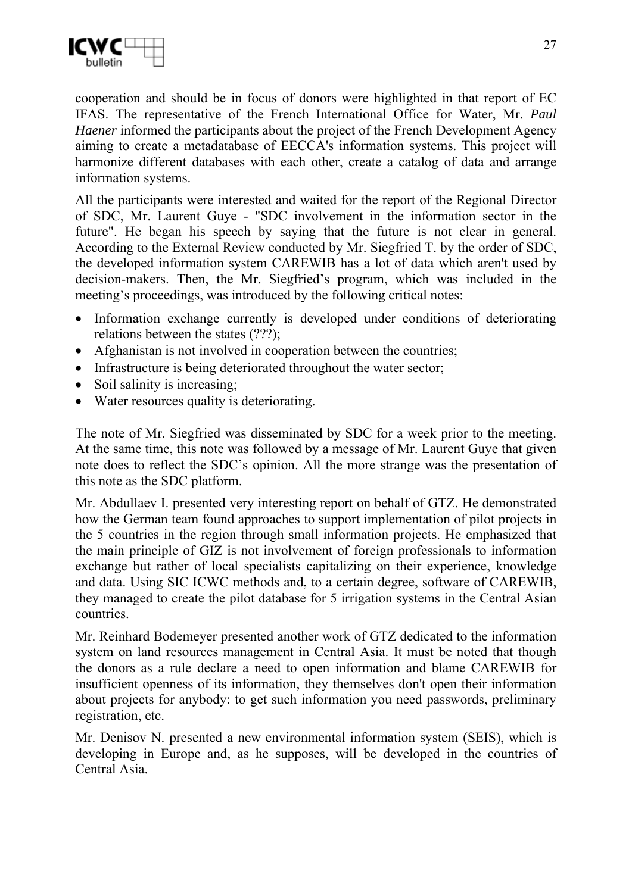

cooperation and should be in focus of donors were highlighted in that report of EC IFAS. The representative of the French International Office for Water, Mr. *Paul Haener* informed the participants about the project of the French Development Agency aiming to create a metadatabase of EECCA's information systems. This project will harmonize different databases with each other, create a catalog of data and arrange information systems.

All the participants were interested and waited for the report of the Regional Director of SDC, Mr. Laurent Guye - "SDC involvement in the information sector in the future". He began his speech by saying that the future is not clear in general. According to the External Review conducted by Mr. Siegfried T. by the order of SDC, the developed information system CAREWIB has a lot of data which aren't used by decision-makers. Then, the Mr. Siegfried's program, which was included in the meeting's proceedings, was introduced by the following critical notes:

- Information exchange currently is developed under conditions of deteriorating relations between the states (???);
- Afghanistan is not involved in cooperation between the countries;
- Infrastructure is being deteriorated throughout the water sector;
- Soil salinity is increasing;
- Water resources quality is deteriorating.

The note of Mr. Siegfried was disseminated by SDC for a week prior to the meeting. At the same time, this note was followed by a message of Mr. Laurent Guye that given note does to reflect the SDC's opinion. All the more strange was the presentation of this note as the SDC platform.

Mr. Abdullaev I. presented very interesting report on behalf of GTZ. He demonstrated how the German team found approaches to support implementation of pilot projects in the 5 countries in the region through small information projects. He emphasized that the main principle of GIZ is not involvement of foreign professionals to information exchange but rather of local specialists capitalizing on their experience, knowledge and data. Using SIC ICWC methods and, to a certain degree, software of CAREWIB, they managed to create the pilot database for 5 irrigation systems in the Central Asian countries.

Mr. Reinhard Bodemeyer presented another work of GTZ dedicated to the information system on land resources management in Central Asia. It must be noted that though the donors as a rule declare a need to open information and blame CAREWIB for insufficient openness of its information, they themselves don't open their information about projects for anybody: to get such information you need passwords, preliminary registration, etc.

Mr. Denisov N. presented a new environmental information system (SEIS), which is developing in Europe and, as he supposes, will be developed in the countries of Central Asia.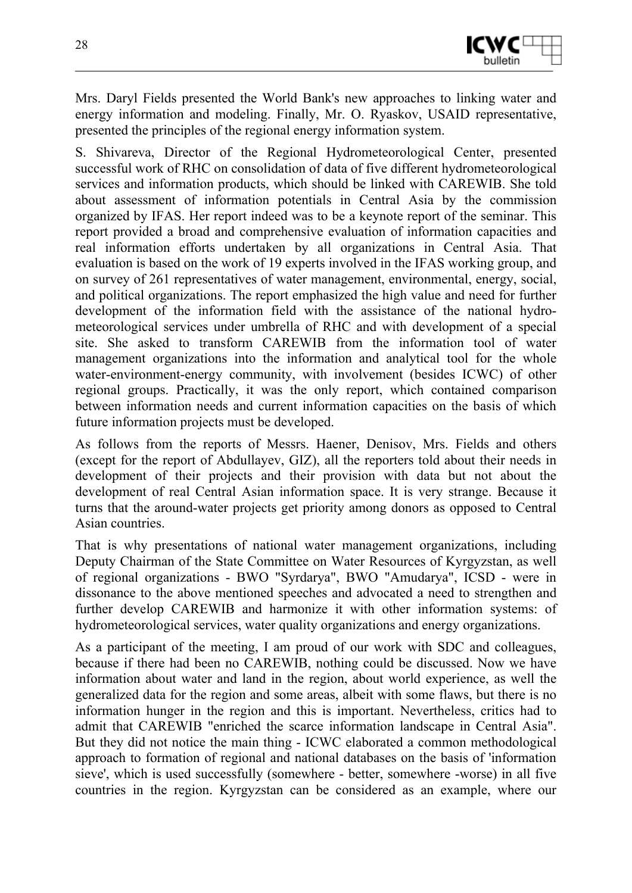

Mrs. Daryl Fields presented the World Bank's new approaches to linking water and energy information and modeling. Finally, Mr. O. Ryaskov, USAID representative, presented the principles of the regional energy information system.

S. Shivareva, Director of the Regional Hydrometeorological Center, presented successful work of RHC on consolidation of data of five different hydrometeorological services and information products, which should be linked with CAREWIB. She told about assessment of information potentials in Central Asia by the commission organized by IFAS. Her report indeed was to be a keynote report of the seminar. This report provided a broad and comprehensive evaluation of information capacities and real information efforts undertaken by all organizations in Central Asia. That evaluation is based on the work of 19 experts involved in the IFAS working group, and on survey of 261 representatives of water management, environmental, energy, social, and political organizations. The report emphasized the high value and need for further development of the information field with the assistance of the national hydrometeorological services under umbrella of RHC and with development of a special site. She asked to transform CAREWIB from the information tool of water management organizations into the information and analytical tool for the whole water-environment-energy community, with involvement (besides ICWC) of other regional groups. Practically, it was the only report, which contained comparison between information needs and current information capacities on the basis of which future information projects must be developed.

As follows from the reports of Messrs. Haener, Denisov, Mrs. Fields and others (except for the report of Abdullayev, GIZ), all the reporters told about their needs in development of their projects and their provision with data but not about the development of real Central Asian information space. It is very strange. Because it turns that the around-water projects get priority among donors as opposed to Central Asian countries.

That is why presentations of national water management organizations, including Deputy Chairman of the State Committee on Water Resources of Kyrgyzstan, as well of regional organizations - BWO "Syrdarya", BWO "Amudarya", ICSD - were in dissonance to the above mentioned speeches and advocated a need to strengthen and further develop CAREWIB and harmonize it with other information systems: of hydrometeorological services, water quality organizations and energy organizations.

As a participant of the meeting, I am proud of our work with SDC and colleagues, because if there had been no CAREWIB, nothing could be discussed. Now we have information about water and land in the region, about world experience, as well the generalized data for the region and some areas, albeit with some flaws, but there is no information hunger in the region and this is important. Nevertheless, critics had to admit that CAREWIB "enriched the scarce information landscape in Central Asia". But they did not notice the main thing - ICWC elaborated a common methodological approach to formation of regional and national databases on the basis of 'information sieve', which is used successfully (somewhere - better, somewhere -worse) in all five countries in the region. Kyrgyzstan can be considered as an example, where our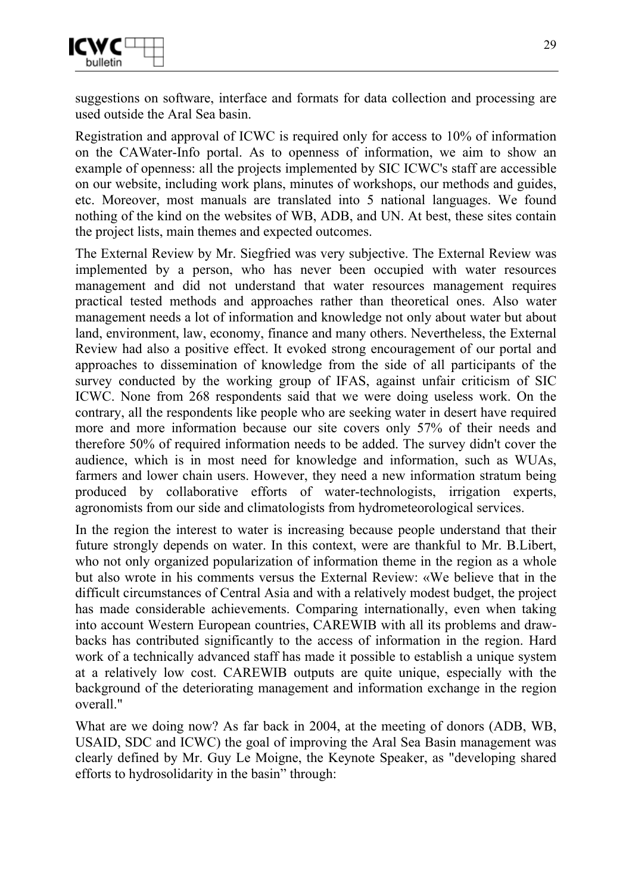

suggestions on software, interface and formats for data collection and processing are used outside the Aral Sea basin.

Registration and approval of ICWC is required only for access to 10% of information on the CAWater-Info portal. As to openness of information, we aim to show an example of openness: all the projects implemented by SIC ICWC's staff are accessible on our website, including work plans, minutes of workshops, our methods and guides, etc. Moreover, most manuals are translated into 5 national languages. We found nothing of the kind on the websites of WB, ADB, and UN. At best, these sites contain the project lists, main themes and expected outcomes.

The External Review by Mr. Siegfried was very subjective. The External Review was implemented by a person, who has never been occupied with water resources management and did not understand that water resources management requires practical tested methods and approaches rather than theoretical ones. Also water management needs a lot of information and knowledge not only about water but about land, environment, law, economy, finance and many others. Nevertheless, the External Review had also a positive effect. It evoked strong encouragement of our portal and approaches to dissemination of knowledge from the side of all participants of the survey conducted by the working group of IFAS, against unfair criticism of SIC ICWC. None from 268 respondents said that we were doing useless work. On the contrary, all the respondents like people who are seeking water in desert have required more and more information because our site covers only 57% of their needs and therefore 50% of required information needs to be added. The survey didn't cover the audience, which is in most need for knowledge and information, such as WUAs, farmers and lower chain users. However, they need a new information stratum being produced by collaborative efforts of water-technologists, irrigation experts, agronomists from our side and climatologists from hydrometeorological services.

In the region the interest to water is increasing because people understand that their future strongly depends on water. In this context, were are thankful to Mr. B.Libert, who not only organized popularization of information theme in the region as a whole but also wrote in his comments versus the External Review: «We believe that in the difficult circumstances of Central Asia and with a relatively modest budget, the project has made considerable achievements. Comparing internationally, even when taking into account Western European countries, CAREWIB with all its problems and drawbacks has contributed significantly to the access of information in the region. Hard work of a technically advanced staff has made it possible to establish a unique system at a relatively low cost. CAREWIB outputs are quite unique, especially with the background of the deteriorating management and information exchange in the region overall."

What are we doing now? As far back in 2004, at the meeting of donors (ADB, WB, USAID, SDC and ICWC) the goal of improving the Aral Sea Basin management was clearly defined by Mr. Guy Le Moigne, the Keynote Speaker, as "developing shared efforts to hydrosolidarity in the basin" through: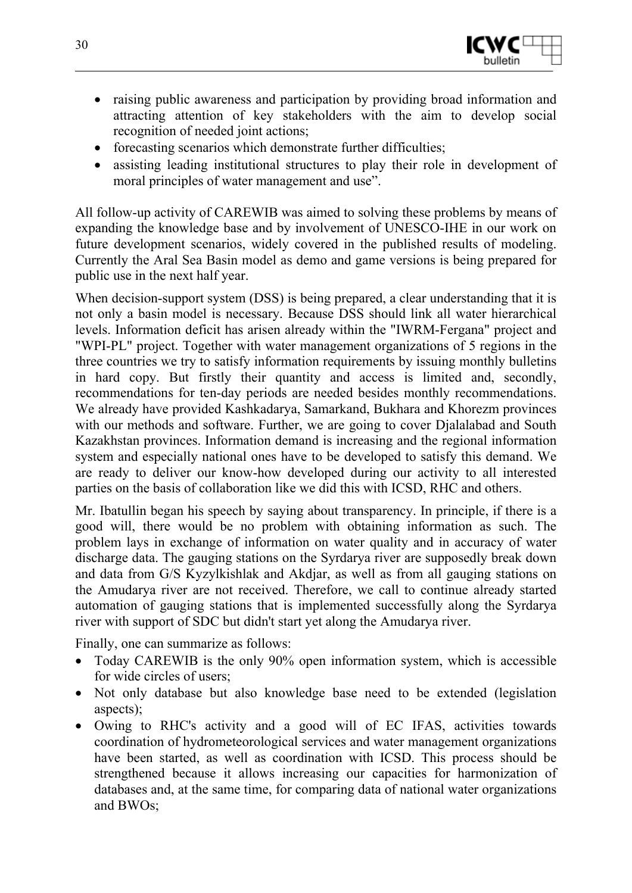

- raising public awareness and participation by providing broad information and attracting attention of key stakeholders with the aim to develop social recognition of needed joint actions;
- forecasting scenarios which demonstrate further difficulties;
- assisting leading institutional structures to play their role in development of moral principles of water management and use".

All follow-up activity of CAREWIB was aimed to solving these problems by means of expanding the knowledge base and by involvement of UNESCO-IHE in our work on future development scenarios, widely covered in the published results of modeling. Currently the Aral Sea Basin model as demo and game versions is being prepared for public use in the next half year.

When decision-support system (DSS) is being prepared, a clear understanding that it is not only a basin model is necessary. Because DSS should link all water hierarchical levels. Information deficit has arisen already within the "IWRM-Fergana" project and "WPI-PL" project. Together with water management organizations of 5 regions in the three countries we try to satisfy information requirements by issuing monthly bulletins in hard copy. But firstly their quantity and access is limited and, secondly, recommendations for ten-day periods are needed besides monthly recommendations. We already have provided Kashkadarya, Samarkand, Bukhara and Khorezm provinces with our methods and software. Further, we are going to cover Dialalabad and South Kazakhstan provinces. Information demand is increasing and the regional information system and especially national ones have to be developed to satisfy this demand. We are ready to deliver our know-how developed during our activity to all interested parties on the basis of collaboration like we did this with ICSD, RHC and others.

Mr. Ibatullin began his speech by saying about transparency. In principle, if there is a good will, there would be no problem with obtaining information as such. The problem lays in exchange of information on water quality and in accuracy of water discharge data. The gauging stations on the Syrdarya river are supposedly break down and data from G/S Kyzylkishlak and Akdjar, as well as from all gauging stations on the Amudarya river are not received. Therefore, we call to continue already started automation of gauging stations that is implemented successfully along the Syrdarya river with support of SDC but didn't start yet along the Amudarya river.

Finally, one can summarize as follows:

- Today CAREWIB is the only 90% open information system, which is accessible for wide circles of users;
- Not only database but also knowledge base need to be extended (legislation aspects);
- Owing to RHC's activity and a good will of EC IFAS, activities towards coordination of hydrometeorological services and water management organizations have been started, as well as coordination with ICSD. This process should be strengthened because it allows increasing our capacities for harmonization of databases and, at the same time, for comparing data of national water organizations and BWOs;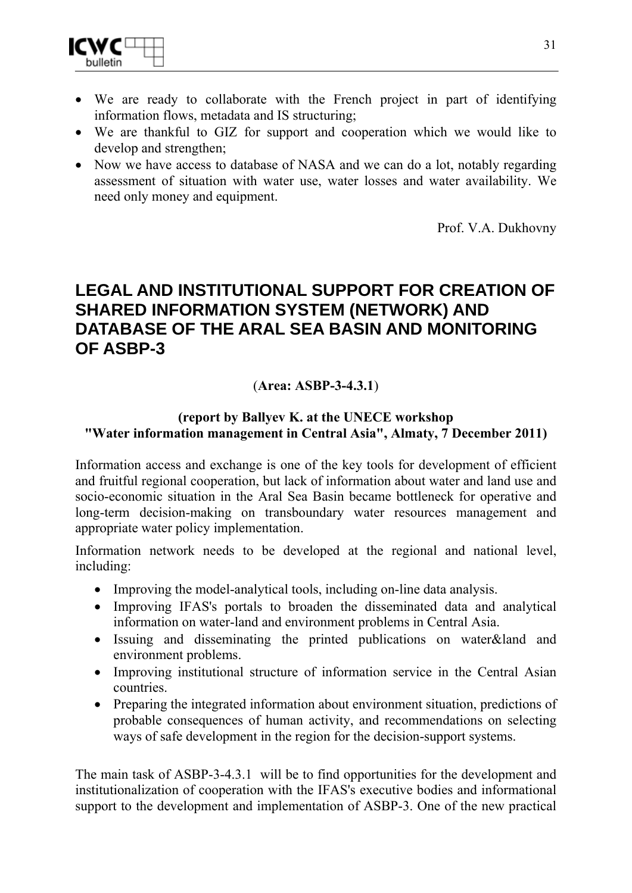- We are ready to collaborate with the French project in part of identifying information flows, metadata and IS structuring;
- We are thankful to GIZ for support and cooperation which we would like to develop and strengthen;
- Now we have access to database of NASA and we can do a lot, notably regarding assessment of situation with water use, water losses and water availability. We need only money and equipment.

Prof. V.A. Dukhovny

## **LEGAL AND INSTITUTIONAL SUPPORT FOR CREATION OF SHARED INFORMATION SYSTEM (NETWORK) AND DATABASE OF THE ARAL SEA BASIN AND MONITORING OF ASBP-3**

### (**Area: ASBP-3-4.3.1**)

#### **(report by Ballyev K. at the UNEСЕ workshop "Water information management in Central Asia", Almaty, 7 December 2011)**

Information access and exchange is one of the key tools for development of efficient and fruitful regional cooperation, but lack of information about water and land use and socio-economic situation in the Aral Sea Basin became bottleneck for operative and long-term decision-making on transboundary water resources management and appropriate water policy implementation.

Information network needs to be developed at the regional and national level, including:

- Improving the model-analytical tools, including on-line data analysis.
- Improving IFAS's portals to broaden the disseminated data and analytical information on water-land and environment problems in Central Asia.
- Issuing and disseminating the printed publications on water&land and environment problems.
- Improving institutional structure of information service in the Central Asian countries.
- Preparing the integrated information about environment situation, predictions of probable consequences of human activity, and recommendations on selecting ways of safe development in the region for the decision-support systems.

The main task of ASBP-3-4.3.1 will be to find opportunities for the development and institutionalization of cooperation with the IFAS's executive bodies and informational support to the development and implementation of ASBP-3. One of the new practical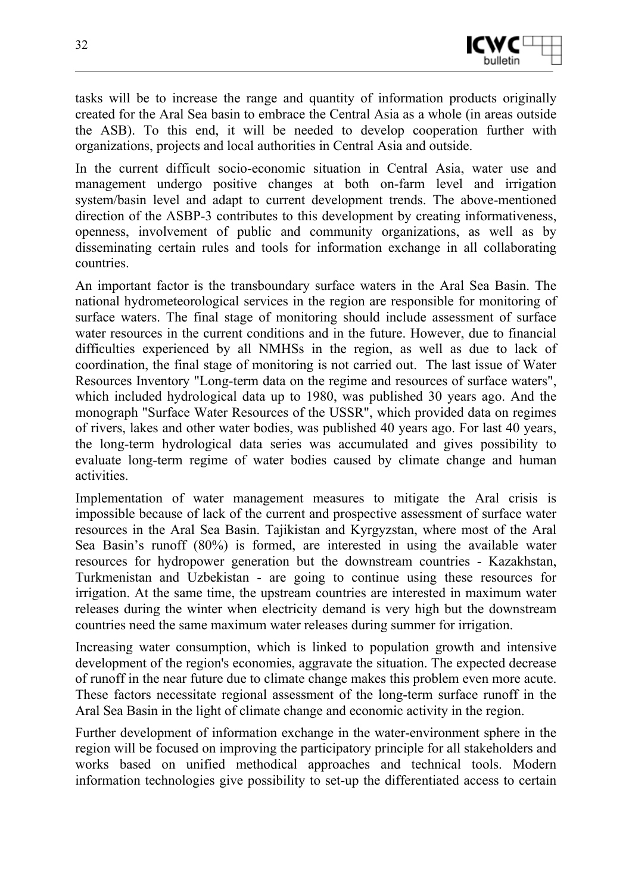

tasks will be to increase the range and quantity of information products originally created for the Aral Sea basin to embrace the Central Asia as a whole (in areas outside the ASB). To this end, it will be needed to develop cooperation further with organizations, projects and local authorities in Central Asia and outside.

In the current difficult socio-economic situation in Central Asia, water use and management undergo positive changes at both on-farm level and irrigation system/basin level and adapt to current development trends. The above-mentioned direction of the ASBP-3 contributes to this development by creating informativeness, openness, involvement of public and community organizations, as well as by disseminating certain rules and tools for information exchange in all collaborating countries.

An important factor is the transboundary surface waters in the Aral Sea Basin. The national hydrometeorological services in the region are responsible for monitoring of surface waters. The final stage of monitoring should include assessment of surface water resources in the current conditions and in the future. However, due to financial difficulties experienced by all NMHSs in the region, as well as due to lack of coordination, the final stage of monitoring is not carried out. The last issue of Water Resources Inventory "Long-term data on the regime and resources of surface waters", which included hydrological data up to 1980, was published 30 years ago. And the monograph "Surface Water Resources of the USSR", which provided data on regimes of rivers, lakes and other water bodies, was published 40 years ago. For last 40 years, the long-term hydrological data series was accumulated and gives possibility to evaluate long-term regime of water bodies caused by climate change and human activities.

Implementation of water management measures to mitigate the Aral crisis is impossible because of lack of the current and prospective assessment of surface water resources in the Aral Sea Basin. Tajikistan and Kyrgyzstan, where most of the Aral Sea Basin's runoff (80%) is formed, are interested in using the available water resources for hydropower generation but the downstream countries - Kazakhstan, Turkmenistan and Uzbekistan - are going to continue using these resources for irrigation. At the same time, the upstream countries are interested in maximum water releases during the winter when electricity demand is very high but the downstream countries need the same maximum water releases during summer for irrigation.

Increasing water consumption, which is linked to population growth and intensive development of the region's economies, aggravate the situation. The expected decrease of runoff in the near future due to climate change makes this problem even more acute. These factors necessitate regional assessment of the long-term surface runoff in the Aral Sea Basin in the light of climate change and economic activity in the region.

Further development of information exchange in the water-environment sphere in the region will be focused on improving the participatory principle for all stakeholders and works based on unified methodical approaches and technical tools. Modern information technologies give possibility to set-up the differentiated access to certain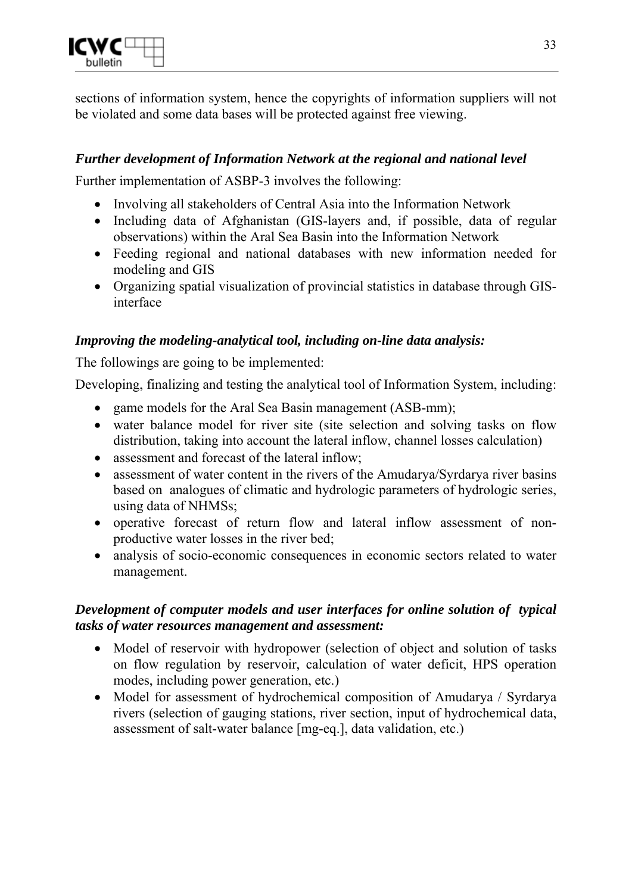

sections of information system, hence the copyrights of information suppliers will not be violated and some data bases will be protected against free viewing.

#### *Further development of Information Network at the regional and national level*

Further implementation of ASBP-3 involves the following:

- Involving all stakeholders of Central Asia into the Information Network
- Including data of Afghanistan (GIS-layers and, if possible, data of regular observations) within the Aral Sea Basin into the Information Network
- Feeding regional and national databases with new information needed for modeling and GIS
- Organizing spatial visualization of provincial statistics in database through GISinterface

#### *Improving the modeling-analytical tool, including on-line data analysis:*

The followings are going to be implemented:

Developing, finalizing and testing the analytical tool of Information System, including:

- game models for the Aral Sea Basin management (ASB-mm);
- water balance model for river site (site selection and solving tasks on flow distribution, taking into account the lateral inflow, channel losses calculation)
- assessment and forecast of the lateral inflow;
- assessment of water content in the rivers of the Amudarya/Syrdarya river basins based on analogues of climatic and hydrologic parameters of hydrologic series, using data of NHMSs;
- operative forecast of return flow and lateral inflow assessment of nonproductive water losses in the river bed;
- analysis of socio-economic consequences in economic sectors related to water management.

#### *Development of computer models and user interfaces for online solution of typical tasks of water resources management and assessment:*

- Model of reservoir with hydropower (selection of object and solution of tasks on flow regulation by reservoir, calculation of water deficit, HPS operation modes, including power generation, etc.)
- Model for assessment of hydrochemical composition of Amudarya / Syrdarya rivers (selection of gauging stations, river section, input of hydrochemical data, assessment of salt-water balance [mg-eq.], data validation, etc.)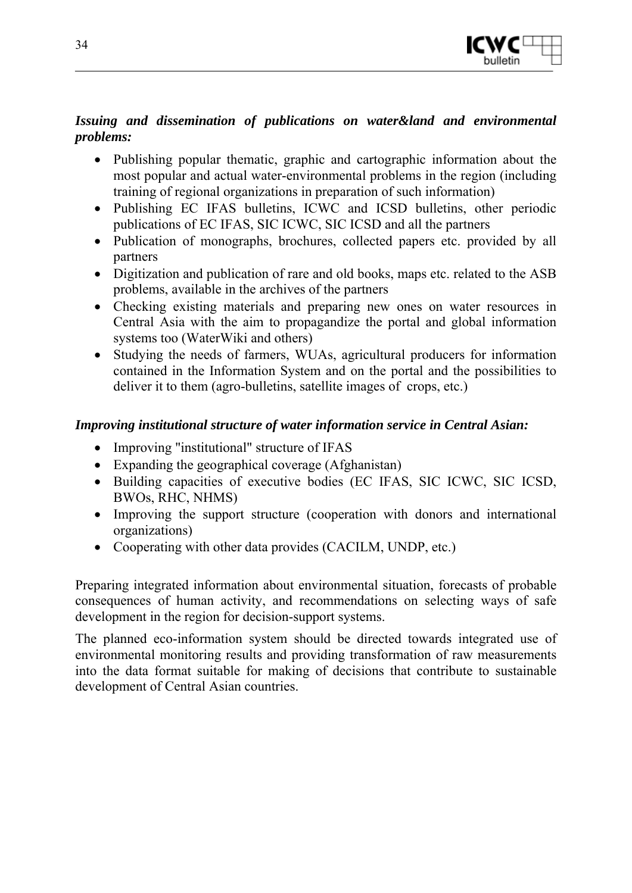

#### *Issuing and dissemination of publications on water&land and environmental problems:*

- Publishing popular thematic, graphic and cartographic information about the most popular and actual water-environmental problems in the region (including training of regional organizations in preparation of such information)
- Publishing EC IFAS bulletins, ICWC and ICSD bulletins, other periodic publications of EC IFAS, SIC ICWC, SIC ICSD and all the partners
- Publication of monographs, brochures, collected papers etc. provided by all partners
- Digitization and publication of rare and old books, maps etc. related to the ASB problems, available in the archives of the partners
- Checking existing materials and preparing new ones on water resources in Central Asia with the aim to propagandize the portal and global information systems too (WaterWiki and others)
- Studying the needs of farmers, WUAs, agricultural producers for information contained in the Information System and on the portal and the possibilities to deliver it to them (agro-bulletins, satellite images of crops, etc.)

#### *Improving institutional structure of water information service in Central Asian:*

- Improving "institutional" structure of IFAS
- Expanding the geographical coverage (Afghanistan)
- Building capacities of executive bodies (EC IFAS, SIC ICWC, SIC ICSD, BWOs, RHC, NHMS)
- Improving the support structure (cooperation with donors and international organizations)
- Cooperating with other data provides (CACILM, UNDP, etc.)

Preparing integrated information about environmental situation, forecasts of probable consequences of human activity, and recommendations on selecting ways of safe development in the region for decision-support systems.

The planned eco-information system should be directed towards integrated use of environmental monitoring results and providing transformation of raw measurements into the data format suitable for making of decisions that contribute to sustainable development of Central Asian countries.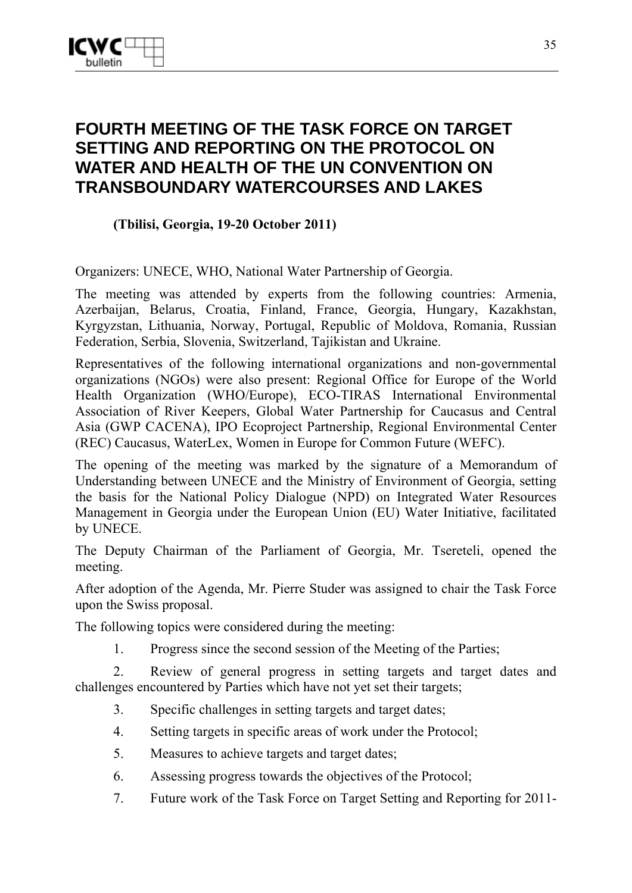## **FOURTH MEETING OF THE TASK FORCE ON TARGET SETTING AND REPORTING ON THE PROTOCOL ON WATER AND HEALTH OF THE UN CONVENTION ON TRANSBOUNDARY WATERCOURSES AND LAKES**

#### **(Tbilisi, Georgia, 19-20 October 2011)**

Organizers: UNECE, WHO, National Water Partnership of Georgia.

The meeting was attended by experts from the following countries: Armenia, Azerbaijan, Belarus, Croatia, Finland, France, Georgia, Hungary, Kazakhstan, Kyrgyzstan, Lithuania, Norway, Portugal, Republic of Moldova, Romania, Russian Federation, Serbia, Slovenia, Switzerland, Tajikistan and Ukraine.

Representatives of the following international organizations and non-governmental organizations (NGOs) were also present: Regional Office for Europe of the World Health Organization (WHO/Europe), ECO-TIRAS International Environmental Association of River Keepers, Global Water Partnership for Caucasus and Central Asia (GWP CACENA), IPO Ecoproject Partnership, Regional Environmental Center (REC) Caucasus, WaterLex, Women in Europe for Common Future (WEFC).

The opening of the meeting was marked by the signature of a Memorandum of Understanding between UNECE and the Ministry of Environment of Georgia, setting the basis for the National Policy Dialogue (NPD) on Integrated Water Resources Management in Georgia under the European Union (EU) Water Initiative, facilitated by UNECE.

The Deputy Chairman of the Parliament of Georgia, Mr. Tsereteli, opened the meeting.

After adoption of the Agenda, Mr. Pierre Studer was assigned to chair the Task Force upon the Swiss proposal.

The following topics were considered during the meeting:

1. Progress since the second session of the Meeting of the Parties;

2. Review of general progress in setting targets and target dates and challenges encountered by Parties which have not yet set their targets;

- 3. Specific challenges in setting targets and target dates;
- 4. Setting targets in specific areas of work under the Protocol;
- 5. Measures to achieve targets and target dates;
- 6. Assessing progress towards the objectives of the Protocol;
- 7. Future work of the Task Force on Target Setting and Reporting for 2011-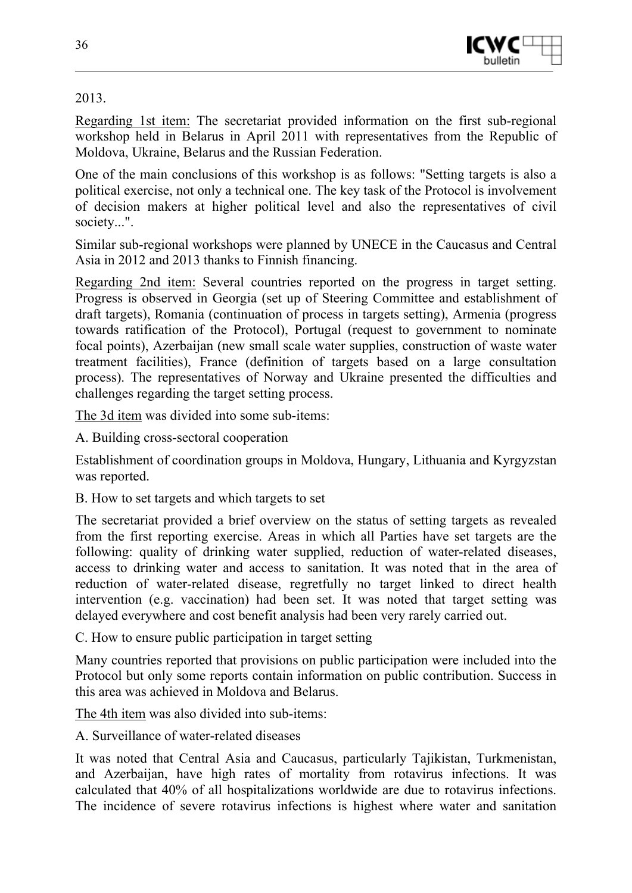

#### 2013.

Regarding 1st item: The secretariat provided information on the first sub-regional workshop held in Belarus in April 2011 with representatives from the Republic of Moldova, Ukraine, Belarus and the Russian Federation.

One of the main conclusions of this workshop is as follows: "Setting targets is also a political exercise, not only a technical one. The key task of the Protocol is involvement of decision makers at higher political level and also the representatives of civil society...".

Similar sub-regional workshops were planned by UNECE in the Caucasus and Central Asia in 2012 and 2013 thanks to Finnish financing.

Regarding 2nd item: Several countries reported on the progress in target setting. Progress is observed in Georgia (set up of Steering Committee and establishment of draft targets), Romania (continuation of process in targets setting), Armenia (progress towards ratification of the Protocol), Portugal (request to government to nominate focal points), Azerbaijan (new small scale water supplies, construction of waste water treatment facilities), France (definition of targets based on a large consultation process). The representatives of Norway and Ukraine presented the difficulties and challenges regarding the target setting process.

The 3d item was divided into some sub-items:

A. Building cross-sectoral cooperation

Establishment of coordination groups in Moldova, Hungary, Lithuania and Kyrgyzstan was reported.

B. How to set targets and which targets to set

The secretariat provided a brief overview on the status of setting targets as revealed from the first reporting exercise. Areas in which all Parties have set targets are the following: quality of drinking water supplied, reduction of water-related diseases, access to drinking water and access to sanitation. It was noted that in the area of reduction of water-related disease, regretfully no target linked to direct health intervention (e.g. vaccination) had been set. It was noted that target setting was delayed everywhere and cost benefit analysis had been very rarely carried out.

C. How to ensure public participation in target setting

Many countries reported that provisions on public participation were included into the Protocol but only some reports contain information on public contribution. Success in this area was achieved in Moldova and Belarus.

The 4th item was also divided into sub-items:

A. Surveillance of water-related diseases

It was noted that Central Asia and Caucasus, particularly Tajikistan, Turkmenistan, and Azerbaijan, have high rates of mortality from rotavirus infections. It was calculated that 40% of all hospitalizations worldwide are due to rotavirus infections. The incidence of severe rotavirus infections is highest where water and sanitation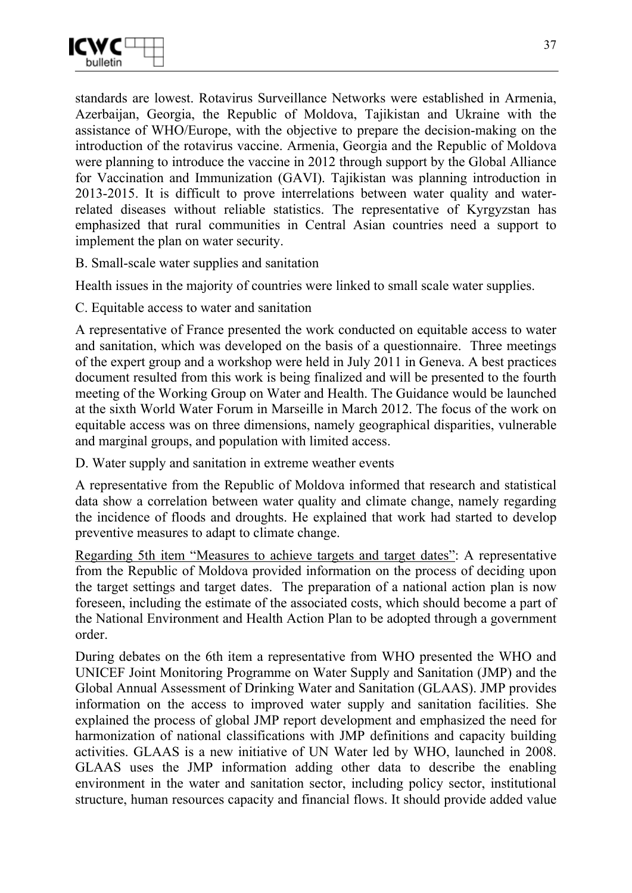

standards are lowest. Rotavirus Surveillance Networks were established in Armenia, Azerbaijan, Georgia, the Republic of Moldova, Tajikistan and Ukraine with the assistance of WHO/Europe, with the objective to prepare the decision-making on the introduction of the rotavirus vaccine. Armenia, Georgia and the Republic of Moldova were planning to introduce the vaccine in 2012 through support by the Global Alliance for Vaccination and Immunization (GAVI). Tajikistan was planning introduction in 2013-2015. It is difficult to prove interrelations between water quality and waterrelated diseases without reliable statistics. The representative of Kyrgyzstan has emphasized that rural communities in Central Asian countries need a support to implement the plan on water security.

B. Small-scale water supplies and sanitation

Health issues in the majority of countries were linked to small scale water supplies.

C. Equitable access to water and sanitation

A representative of France presented the work conducted on equitable access to water and sanitation, which was developed on the basis of a questionnaire. Three meetings of the expert group and a workshop were held in July 2011 in Geneva. A best practices document resulted from this work is being finalized and will be presented to the fourth meeting of the Working Group on Water and Health. The Guidance would be launched at the sixth World Water Forum in Marseille in March 2012. The focus of the work on equitable access was on three dimensions, namely geographical disparities, vulnerable and marginal groups, and population with limited access.

D. Water supply and sanitation in extreme weather events

A representative from the Republic of Moldova informed that research and statistical data show a correlation between water quality and climate change, namely regarding the incidence of floods and droughts. He explained that work had started to develop preventive measures to adapt to climate change.

Regarding 5th item "Measures to achieve targets and target dates": A representative from the Republic of Moldova provided information on the process of deciding upon the target settings and target dates. The preparation of a national action plan is now foreseen, including the estimate of the associated costs, which should become a part of the National Environment and Health Action Plan to be adopted through a government order.

During debates on the 6th item a representative from WHO presented the WHO and UNICEF Joint Monitoring Programme on Water Supply and Sanitation (JMP) and the Global Annual Assessment of Drinking Water and Sanitation (GLAAS). JMP provides information on the access to improved water supply and sanitation facilities. She explained the process of global JMP report development and emphasized the need for harmonization of national classifications with JMP definitions and capacity building activities. GLAAS is a new initiative of UN Water led by WHO, launched in 2008. GLAAS uses the JMP information adding other data to describe the enabling environment in the water and sanitation sector, including policy sector, institutional structure, human resources capacity and financial flows. It should provide added value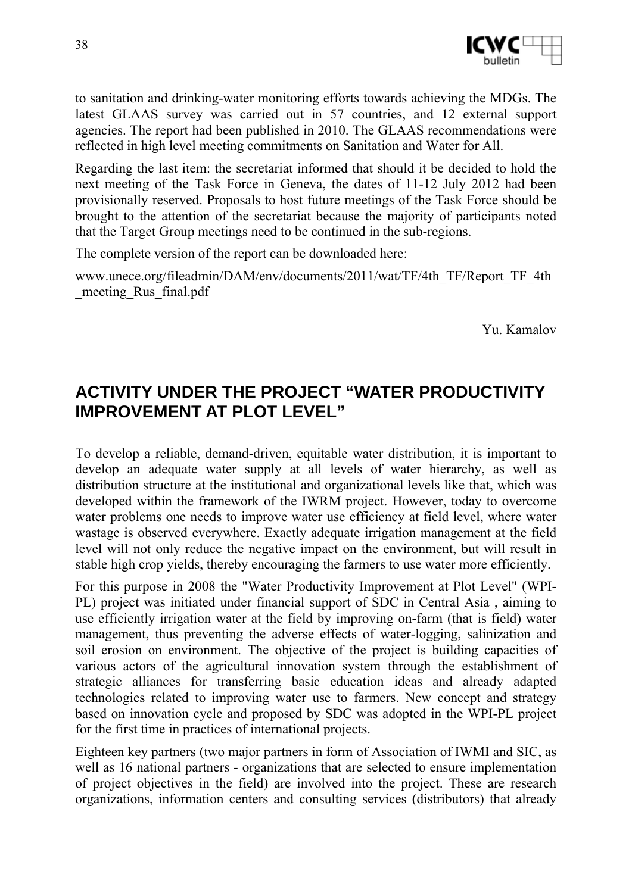

to sanitation and drinking-water monitoring efforts towards achieving the MDGs. The latest GLAAS survey was carried out in 57 countries, and 12 external support agencies. The report had been published in 2010. The GLAAS recommendations were reflected in high level meeting commitments on Sanitation and Water for All.

Regarding the last item: the secretariat informed that should it be decided to hold the next meeting of the Task Force in Geneva, the dates of 11-12 July 2012 had been provisionally reserved. Proposals to host future meetings of the Task Force should be brought to the attention of the secretariat because the majority of participants noted that the Target Group meetings need to be continued in the sub-regions.

The complete version of the report can be downloaded here:

www.unece.org/fileadmin/DAM/env/documents/2011/wat/TF/4th\_TF/Report\_TF\_4th \_meeting\_Rus\_final.pdf

Yu. Kamalov

## **ACTIVITY UNDER THE PROJECT "WATER PRODUCTIVITY IMPROVEMENT AT PLOT LEVEL"**

To develop a reliable, demand-driven, equitable water distribution, it is important to develop an adequate water supply at all levels of water hierarchy, as well as distribution structure at the institutional and organizational levels like that, which was developed within the framework of the IWRM project. However, today to overcome water problems one needs to improve water use efficiency at field level, where water wastage is observed everywhere. Exactly adequate irrigation management at the field level will not only reduce the negative impact on the environment, but will result in stable high crop yields, thereby encouraging the farmers to use water more efficiently.

For this purpose in 2008 the "Water Productivity Improvement at Plot Level" (WPI-PL) project was initiated under financial support of SDC in Central Asia , aiming to use efficiently irrigation water at the field by improving on-farm (that is field) water management, thus preventing the adverse effects of water-logging, salinization and soil erosion on environment. The objective of the project is building capacities of various actors of the agricultural innovation system through the establishment of strategic alliances for transferring basic education ideas and already adapted technologies related to improving water use to farmers. New concept and strategy based on innovation cycle and proposed by SDC was adopted in the WPI-PL project for the first time in practices of international projects.

Eighteen key partners (two major partners in form of Association of IWMI and SIC, as well as 16 national partners - organizations that are selected to ensure implementation of project objectives in the field) are involved into the project. These are research organizations, information centers and consulting services (distributors) that already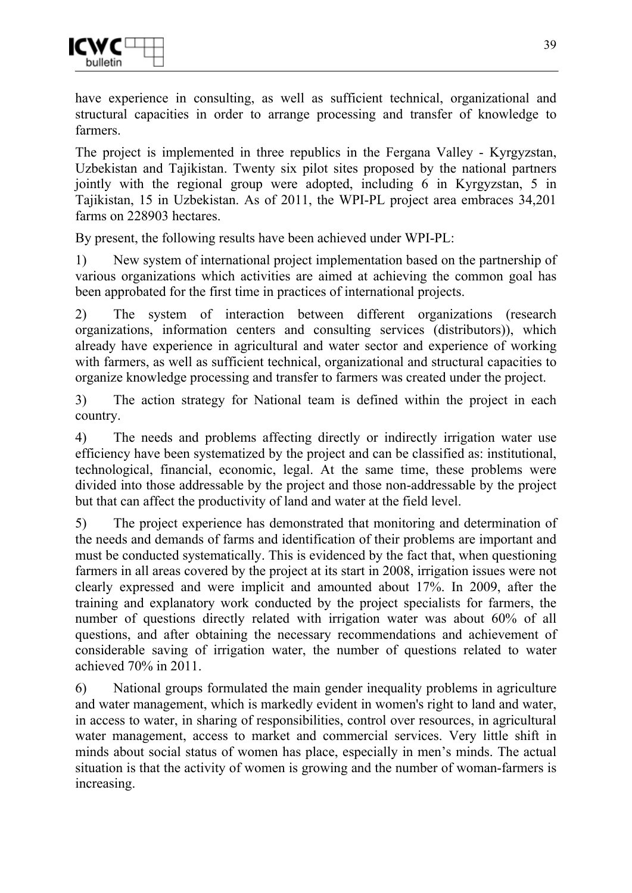have experience in consulting, as well as sufficient technical, organizational and structural capacities in order to arrange processing and transfer of knowledge to farmers.

The project is implemented in three republics in the Fergana Valley - Kyrgyzstan, Uzbekistan and Tajikistan. Twenty six pilot sites proposed by the national partners jointly with the regional group were adopted, including 6 in Kyrgyzstan, 5 in Tajikistan, 15 in Uzbekistan. As of 2011, the WPI-PL project area embraces 34,201 farms on 228903 hectares.

By present, the following results have been achieved under WPI-PL:

1) New system of international project implementation based on the partnership of various organizations which activities are aimed at achieving the common goal has been approbated for the first time in practices of international projects.

2) The system of interaction between different organizations (research organizations, information centers and consulting services (distributors)), which already have experience in agricultural and water sector and experience of working with farmers, as well as sufficient technical, organizational and structural capacities to organize knowledge processing and transfer to farmers was created under the project.

3) The action strategy for National team is defined within the project in each country.

4) The needs and problems affecting directly or indirectly irrigation water use efficiency have been systematized by the project and can be classified as: institutional, technological, financial, economic, legal. At the same time, these problems were divided into those addressable by the project and those non-addressable by the project but that can affect the productivity of land and water at the field level.

5) The project experience has demonstrated that monitoring and determination of the needs and demands of farms and identification of their problems are important and must be conducted systematically. This is evidenced by the fact that, when questioning farmers in all areas covered by the project at its start in 2008, irrigation issues were not clearly expressed and were implicit and amounted about 17%. In 2009, after the training and explanatory work conducted by the project specialists for farmers, the number of questions directly related with irrigation water was about 60% of all questions, and after obtaining the necessary recommendations and achievement of considerable saving of irrigation water, the number of questions related to water achieved 70% in 2011.

6) National groups formulated the main gender inequality problems in agriculture and water management, which is markedly evident in women's right to land and water, in access to water, in sharing of responsibilities, control over resources, in agricultural water management, access to market and commercial services. Very little shift in minds about social status of women has place, especially in men's minds. The actual situation is that the activity of women is growing and the number of woman-farmers is increasing.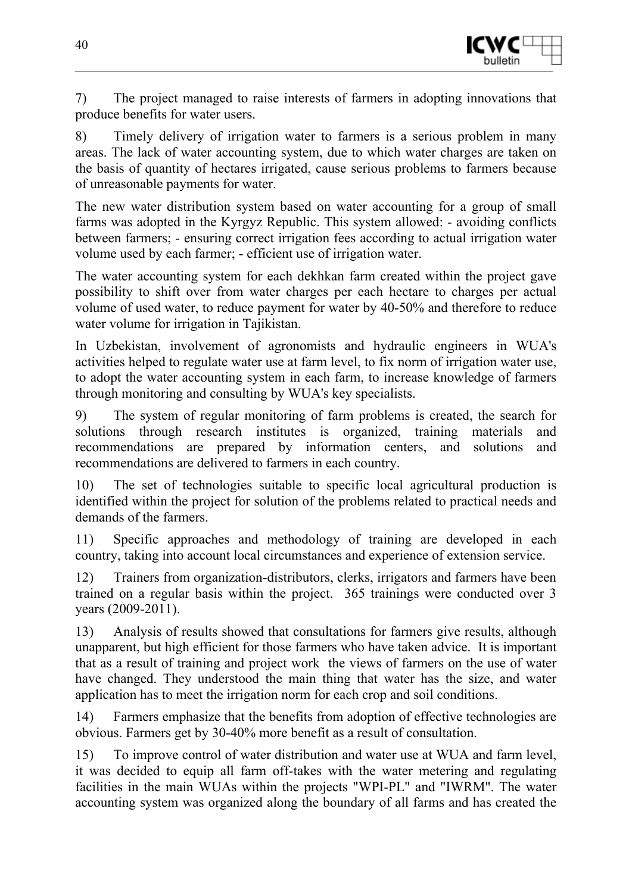

7) The project managed to raise interests of farmers in adopting innovations that produce benefits for water users.

8) Timely delivery of irrigation water to farmers is a serious problem in many areas. The lack of water accounting system, due to which water charges are taken on the basis of quantity of hectares irrigated, cause serious problems to farmers because of unreasonable payments for water.

The new water distribution system based on water accounting for a group of small farms was adopted in the Kyrgyz Republic. This system allowed: - avoiding conflicts between farmers; - ensuring correct irrigation fees according to actual irrigation water volume used by each farmer; - efficient use of irrigation water.

The water accounting system for each dekhkan farm created within the project gave possibility to shift over from water charges per each hectare to charges per actual volume of used water, to reduce payment for water by 40-50% and therefore to reduce water volume for irrigation in Tajikistan.

In Uzbekistan, involvement of agronomists and hydraulic engineers in WUA's activities helped to regulate water use at farm level, to fix norm of irrigation water use, to adopt the water accounting system in each farm, to increase knowledge of farmers through monitoring and consulting by WUA's key specialists.

9) The system of regular monitoring of farm problems is created, the search for solutions through research institutes is organized, training materials and recommendations are prepared by information centers, and solutions and recommendations are delivered to farmers in each country.

10) The set of technologies suitable to specific local agricultural production is identified within the project for solution of the problems related to practical needs and demands of the farmers.

11) Specific approaches and methodology of training are developed in each country, taking into account local circumstances and experience of extension service.

12) Trainers from organization-distributors, clerks, irrigators and farmers have been trained on a regular basis within the project. 365 trainings were conducted over 3 years (2009-2011).

13) Analysis of results showed that consultations for farmers give results, although unapparent, but high efficient for those farmers who have taken advice. It is important that as a result of training and project work the views of farmers on the use of water have changed. They understood the main thing that water has the size, and water application has to meet the irrigation norm for each crop and soil conditions.

14) Farmers emphasize that the benefits from adoption of effective technologies are obvious. Farmers get by 30-40% more benefit as a result of consultation.

15) To improve control of water distribution and water use at WUA and farm level, it was decided to equip all farm off-takes with the water metering and regulating facilities in the main WUAs within the projects "WPI-PL" and "IWRM". The water accounting system was organized along the boundary of all farms and has created the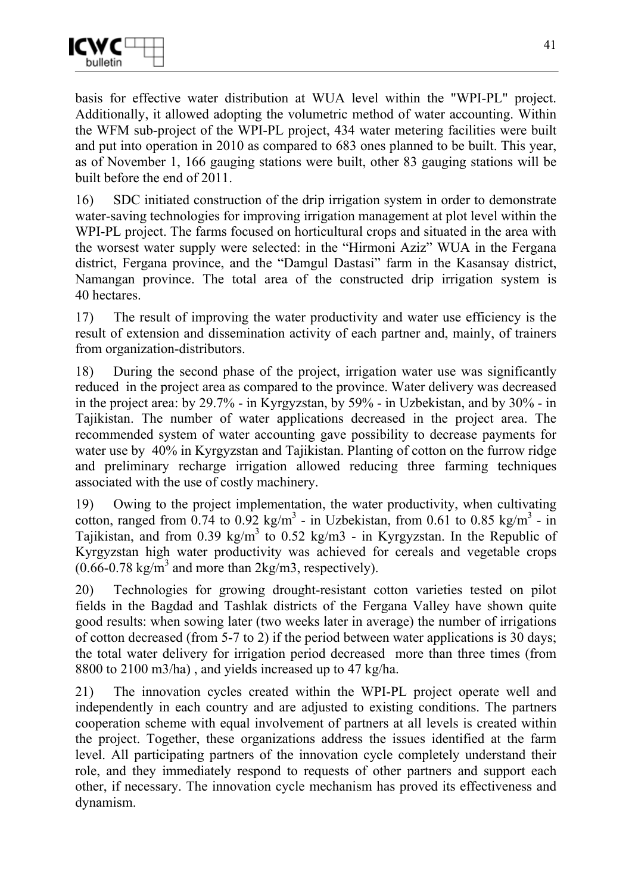basis for effective water distribution at WUA level within the "WPI-PL" project. Additionally, it allowed adopting the volumetric method of water accounting. Within the WFM sub-project of the WPI-PL project, 434 water metering facilities were built and put into operation in 2010 as compared to 683 ones planned to be built. This year, as of November 1, 166 gauging stations were built, other 83 gauging stations will be built before the end of 2011.

16) SDC initiated construction of the drip irrigation system in order to demonstrate water-saving technologies for improving irrigation management at plot level within the WPI-PL project. The farms focused on horticultural crops and situated in the area with the worsest water supply were selected: in the "Hirmoni Aziz" WUA in the Fergana district, Fergana province, and the "Damgul Dastasi" farm in the Kasansay district, Namangan province. The total area of the constructed drip irrigation system is 40 hectares.

17) The result of improving the water productivity and water use efficiency is the result of extension and dissemination activity of each partner and, mainly, of trainers from organization-distributors.

18) During the second phase of the project, irrigation water use was significantly reduced in the project area as compared to the province. Water delivery was decreased in the project area: by 29.7% - in Kyrgyzstan, by 59% - in Uzbekistan, and by 30% - in Tajikistan. The number of water applications decreased in the project area. The recommended system of water accounting gave possibility to decrease payments for water use by 40% in Kyrgyzstan and Tajikistan. Planting of cotton on the furrow ridge and preliminary recharge irrigation allowed reducing three farming techniques associated with the use of costly machinery.

19) Owing to the project implementation, the water productivity, when cultivating cotton, ranged from  $0.74$  to  $0.92$  kg/m<sup>3</sup> - in Uzbekistan, from 0.61 to 0.85 kg/m<sup>3</sup> - in Tajikistan, and from  $0.39 \text{ kg/m}^3$  to  $0.52 \text{ kg/m}^3$  - in Kyrgyzstan. In the Republic of Kyrgyzstan high water productivity was achieved for cereals and vegetable crops  $(0.66 - 0.78 \text{ kg/m}^3 \text{ and more than } 2 \text{ kg/m}^3 \text{, respectively}).$ 

20) Technologies for growing drought-resistant cotton varieties tested on pilot fields in the Bagdad and Tashlak districts of the Fergana Valley have shown quite good results: when sowing later (two weeks later in average) the number of irrigations of cotton decreased (from 5-7 to 2) if the period between water applications is 30 days; the total water delivery for irrigation period decreased more than three times (from 8800 to 2100 m3/ha) , and yields increased up to 47 kg/ha.

21) The innovation cycles created within the WPI-PL project operate well and independently in each country and are adjusted to existing conditions. The partners cooperation scheme with equal involvement of partners at all levels is created within the project. Together, these organizations address the issues identified at the farm level. All participating partners of the innovation cycle completely understand their role, and they immediately respond to requests of other partners and support each other, if necessary. The innovation cycle mechanism has proved its effectiveness and dynamism.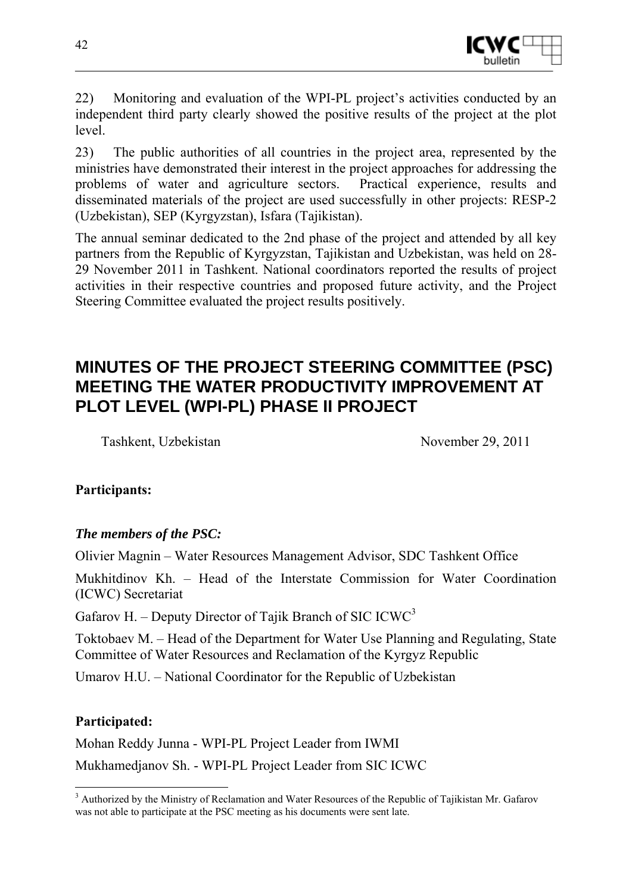

22) Monitoring and evaluation of the WPI-PL project's activities conducted by an independent third party clearly showed the positive results of the project at the plot level.

23) The public authorities of all countries in the project area, represented by the ministries have demonstrated their interest in the project approaches for addressing the problems of water and agriculture sectors. Practical experience, results and disseminated materials of the project are used successfully in other projects: RESP-2 (Uzbekistan), SEP (Kyrgyzstan), Isfara (Tajikistan).

The annual seminar dedicated to the 2nd phase of the project and attended by all key partners from the Republic of Kyrgyzstan, Tajikistan and Uzbekistan, was held on 28- 29 November 2011 in Tashkent. National coordinators reported the results of project activities in their respective countries and proposed future activity, and the Project Steering Committee evaluated the project results positively.

## **MINUTES OF THE PROJECT STEERING COMMITTEE (PSC) MEETING THE WATER PRODUCTIVITY IMPROVEMENT AT PLOT LEVEL (WPI-PL) PHASE II PROJECT**

Tashkent, Uzbekistan November 29, 2011

#### **Participants:**

#### *The members of the PSC:*

Olivier Magnin – Water Resources Management Advisor, SDC Tashkent Office

Mukhitdinov Kh. – Head of the Interstate Commission for Water Coordination (ICWC) Secretariat

Gafarov H. – Deputy Director of Tajik Branch of SIC ICWC<sup>3</sup>

Toktobaev М. – Head of the Department for Water Use Planning and Regulating, State Committee of Water Resources and Reclamation of the Kyrgyz Republic

Umarov H.U. – National Coordinator for the Republic of Uzbekistan

#### **Participated:**

Mohan Reddy Junna - WPI-PL Project Leader from IWMI

Mukhamedjanov Sh. - WPI-PL Project Leader from SIC ICWC

<sup>&</sup>lt;u>.</u> <sup>3</sup> Authorized by the Ministry of Reclamation and Water Resources of the Republic of Tajikistan Mr. Gafarov was not able to participate at the PSC meeting as his documents were sent late.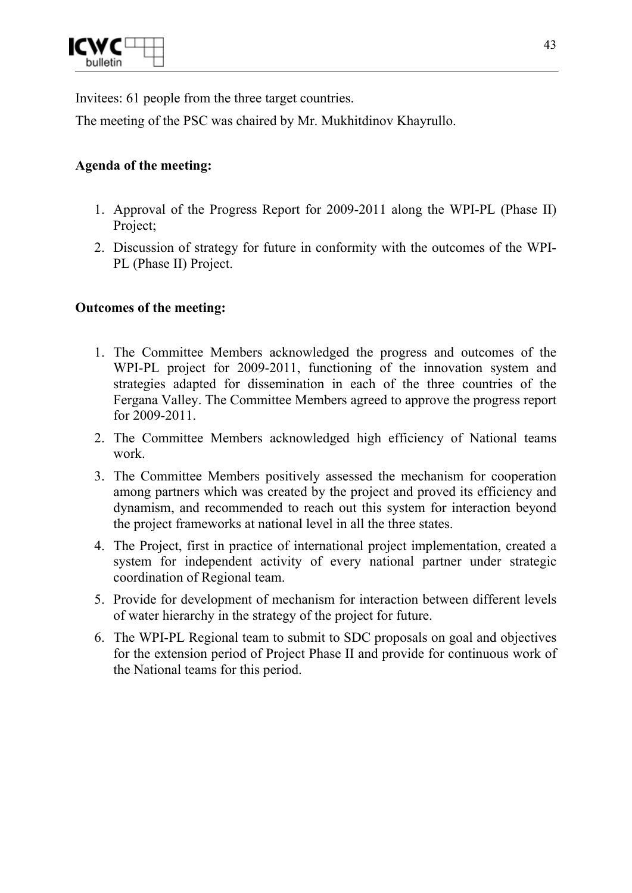

Invitees: 61 people from the three target countries.

The meeting of the PSC was chaired by Mr. Mukhitdinov Khayrullo.

#### **Agenda of the meeting:**

- 1. Approval of the Progress Report for 2009-2011 along the WPI-PL (Phase II) Project;
- 2. Discussion of strategy for future in conformity with the outcomes of the WPI-PL (Phase II) Project.

#### **Outcomes of the meeting:**

- 1. The Committee Members acknowledged the progress and outcomes of the WPI-PL project for 2009-2011, functioning of the innovation system and strategies adapted for dissemination in each of the three countries of the Fergana Valley. The Committee Members agreed to approve the progress report for 2009-2011.
- 2. The Committee Members acknowledged high efficiency of National teams work.
- 3. The Committee Members positively assessed the mechanism for cooperation among partners which was created by the project and proved its efficiency and dynamism, and recommended to reach out this system for interaction beyond the project frameworks at national level in all the three states.
- 4. The Project, first in practice of international project implementation, created a system for independent activity of every national partner under strategic coordination of Regional team.
- 5. Provide for development of mechanism for interaction between different levels of water hierarchy in the strategy of the project for future.
- 6. The WPI-PL Regional team to submit to SDC proposals on goal and objectives for the extension period of Project Phase II and provide for continuous work of the National teams for this period.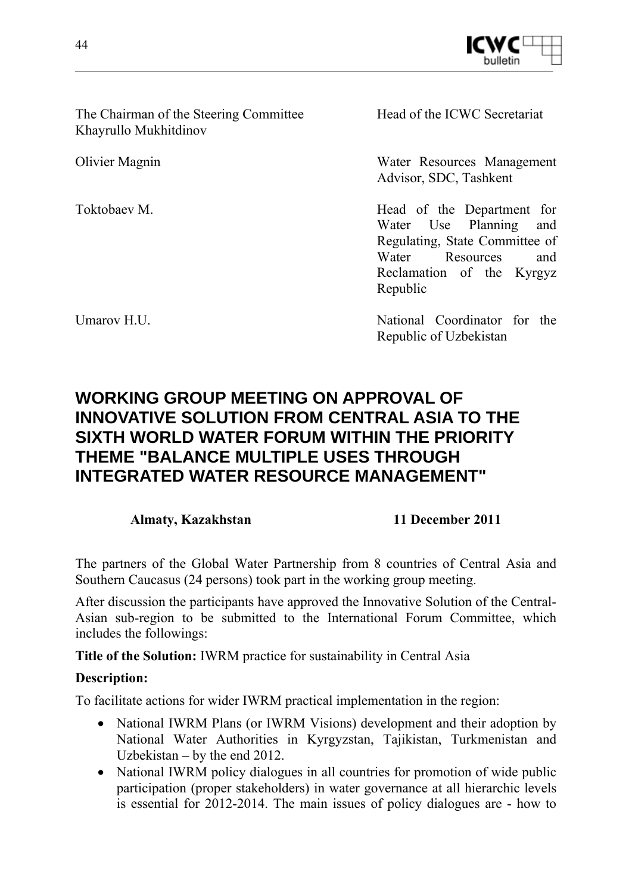

The Chairman of the Steering Committee Khayrullo Mukhitdinov

Head of the ICWC Secretariat

Olivier Magnin Water Resources Management Advisor, SDC, Tashkent

Toktobaev M. **Head** of the Department for Water Use Planning and Regulating, State Committee of Water Resources and Reclamation of the Kyrgyz Republic

Umarov H.U. National Coordinator for the Umarov H.U. Republic of Uzbekistan

## **WORKING GROUP MEETING ON APPROVAL OF INNOVATIVE SOLUTION FROM CENTRAL ASIA TO THE SIXTH WORLD WATER FORUM WITHIN THE PRIORITY THEME "BALANCE MULTIPLE USES THROUGH INTEGRATED WATER RESOURCE MANAGEMENT"**

#### **Almaty, Kazakhstan 11 December 2011**

The partners of the Global Water Partnership from 8 countries of Central Asia and Southern Caucasus (24 persons) took part in the working group meeting.

After discussion the participants have approved the Innovative Solution of the Central-Asian sub-region to be submitted to the International Forum Committee, which includes the followings:

**Title of the Solution:** IWRM practice for sustainability in Central Asia

#### **Description:**

To facilitate actions for wider IWRM practical implementation in the region:

- National IWRM Plans (or IWRM Visions) development and their adoption by National Water Authorities in Kyrgyzstan, Tajikistan, Turkmenistan and Uzbekistan – by the end 2012.
- National IWRM policy dialogues in all countries for promotion of wide public participation (proper stakeholders) in water governance at all hierarchic levels is essential for 2012-2014. The main issues of policy dialogues are - how to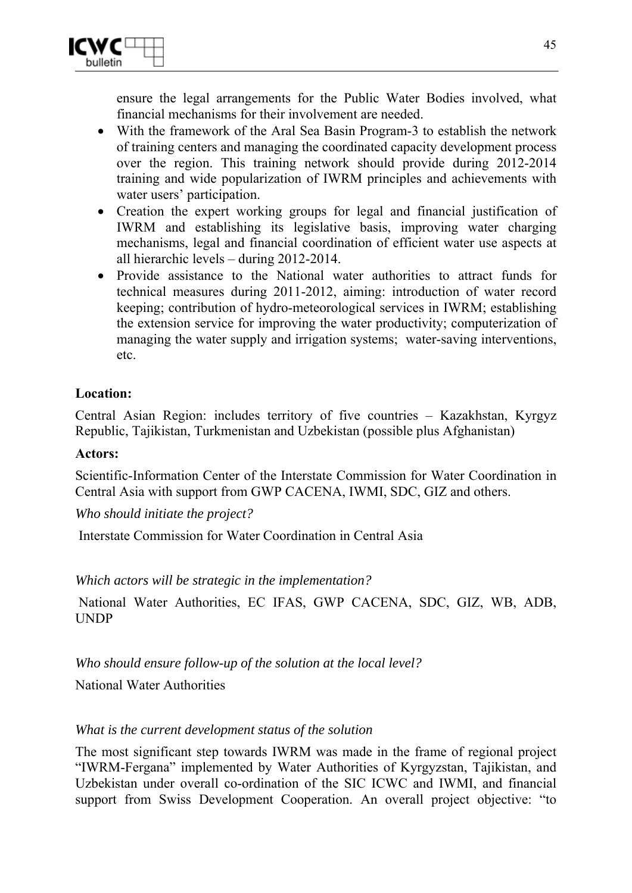ensure the legal arrangements for the Public Water Bodies involved, what financial mechanisms for their involvement are needed.

- With the framework of the Aral Sea Basin Program-3 to establish the network of training centers and managing the coordinated capacity development process over the region. This training network should provide during 2012-2014 training and wide popularization of IWRM principles and achievements with water users' participation.
- Creation the expert working groups for legal and financial justification of IWRM and establishing its legislative basis, improving water charging mechanisms, legal and financial coordination of efficient water use aspects at all hierarchic levels – during 2012-2014.
- Provide assistance to the National water authorities to attract funds for technical measures during 2011-2012, aiming: introduction of water record keeping; contribution of hydro-meteorological services in IWRM; establishing the extension service for improving the water productivity; computerization of managing the water supply and irrigation systems; water-saving interventions, etc.

#### **Location:**

Central Asian Region: includes territory of five countries – Kazakhstan, Kyrgyz Republic, Tajikistan, Turkmenistan and Uzbekistan (possible plus Afghanistan)

#### **Actors:**

Scientific-Information Center of the Interstate Commission for Water Coordination in Central Asia with support from GWP CACENA, IWMI, SDC, GIZ and others.

*Who should initiate the project?* 

Interstate Commission for Water Coordination in Central Asia

#### *Which actors will be strategic in the implementation?*

National Water Authorities, EC IFAS, GWP CACENA, SDC, GIZ, WB, ADB, UNDP

*Who should ensure follow-up of the solution at the local level?* 

National Water Authorities

#### *What is the current development status of the solution*

The most significant step towards IWRM was made in the frame of regional project "IWRM-Fergana" implemented by Water Authorities of Kyrgyzstan, Tajikistan, and Uzbekistan under overall co-ordination of the SIC ICWC and IWMI, and financial support from Swiss Development Cooperation. An overall project objective: "to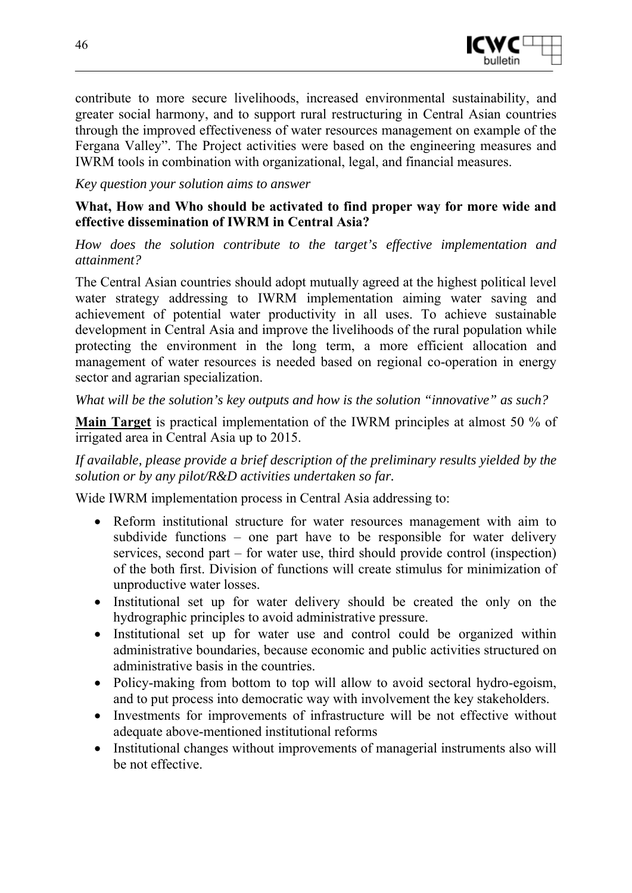

contribute to more secure livelihoods, increased environmental sustainability, and greater social harmony, and to support rural restructuring in Central Asian countries through the improved effectiveness of water resources management on example of the Fergana Valley". The Project activities were based on the engineering measures and IWRM tools in combination with organizational, legal, and financial measures.

*Key question your solution aims to answer* 

#### **What, How and Who should be activated to find proper way for more wide and effective dissemination of IWRM in Central Asia?**

*How does the solution contribute to the target's effective implementation and attainment?* 

The Central Asian countries should adopt mutually agreed at the highest political level water strategy addressing to IWRM implementation aiming water saving and achievement of potential water productivity in all uses. To achieve sustainable development in Central Asia and improve the livelihoods of the rural population while protecting the environment in the long term, a more efficient allocation and management of water resources is needed based on regional co-operation in energy sector and agrarian specialization.

*What will be the solution's key outputs and how is the solution "innovative" as such?* 

**Main Target** is practical implementation of the IWRM principles at almost 50 % of irrigated area in Central Asia up to 2015.

*If available, please provide a brief description of the preliminary results yielded by the solution or by any pilot/R&D activities undertaken so far.* 

Wide IWRM implementation process in Central Asia addressing to:

- Reform institutional structure for water resources management with aim to subdivide functions – one part have to be responsible for water delivery services, second part – for water use, third should provide control (inspection) of the both first. Division of functions will create stimulus for minimization of unproductive water losses.
- Institutional set up for water delivery should be created the only on the hydrographic principles to avoid administrative pressure.
- Institutional set up for water use and control could be organized within administrative boundaries, because economic and public activities structured on administrative basis in the countries.
- Policy-making from bottom to top will allow to avoid sectoral hydro-egoism, and to put process into democratic way with involvement the key stakeholders.
- Investments for improvements of infrastructure will be not effective without adequate above-mentioned institutional reforms
- Institutional changes without improvements of managerial instruments also will be not effective.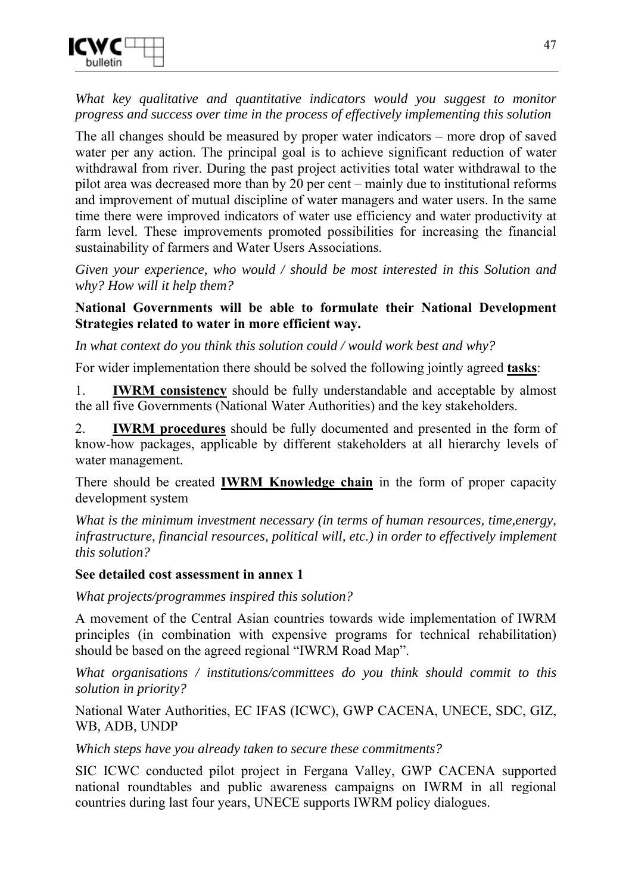

*What key qualitative and quantitative indicators would you suggest to monitor progress and success over time in the process of effectively implementing this solution* 

The all changes should be measured by proper water indicators – more drop of saved water per any action. The principal goal is to achieve significant reduction of water withdrawal from river. During the past project activities total water withdrawal to the pilot area was decreased more than by 20 per cent – mainly due to institutional reforms and improvement of mutual discipline of water managers and water users. In the same time there were improved indicators of water use efficiency and water productivity at farm level. These improvements promoted possibilities for increasing the financial sustainability of farmers and Water Users Associations.

*Given your experience, who would / should be most interested in this Solution and why? How will it help them?* 

#### **National Governments will be able to formulate their National Development Strategies related to water in more efficient way.**

*In what context do you think this solution could / would work best and why?* 

For wider implementation there should be solved the following jointly agreed **tasks**:

1. **IWRM consistency** should be fully understandable and acceptable by almost the all five Governments (National Water Authorities) and the key stakeholders.

2. **IWRM procedures** should be fully documented and presented in the form of know-how packages, applicable by different stakeholders at all hierarchy levels of water management.

There should be created **IWRM Knowledge chain** in the form of proper capacity development system

*What is the minimum investment necessary (in terms of human resources, time,energy, infrastructure, financial resources, political will, etc.) in order to effectively implement this solution?* 

#### **See detailed cost assessment in annex 1**

*What projects/programmes inspired this solution?* 

A movement of the Central Asian countries towards wide implementation of IWRM principles (in combination with expensive programs for technical rehabilitation) should be based on the agreed regional "IWRM Road Map".

*What organisations / institutions/committees do you think should commit to this solution in priority?* 

National Water Authorities, EC IFAS (ICWC), GWP CACENA, UNECE, SDC, GIZ, WB, ADB, UNDP

*Which steps have you already taken to secure these commitments?* 

SIC ICWC conducted pilot project in Fergana Valley, GWP CACENA supported national roundtables and public awareness campaigns on IWRM in all regional countries during last four years, UNECE supports IWRM policy dialogues.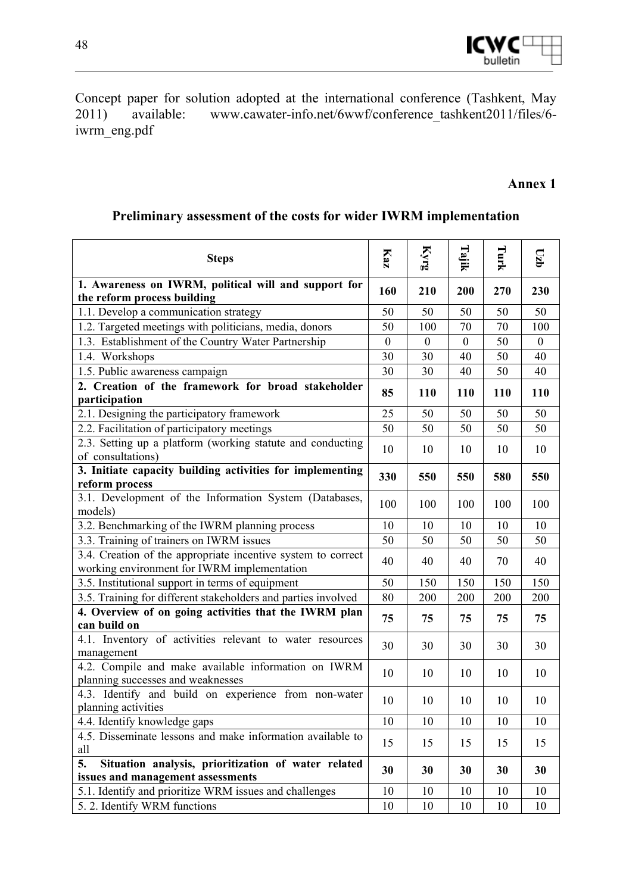

Concept paper for solution adopted at the international conference (Tashkent, May 2011) available: www.cawater-info.net/6wwf/conference\_tashkent2011/files/6 iwrm\_eng.pdf

#### **Annex 1**

#### **Steps Kaz Kyrg Tajik Turk**  l**zb 1. Awareness on IWRM, political will and support for 1. Awareness on TWKW, political with and support for**  $\begin{bmatrix} 160 \\ 210 \end{bmatrix}$  **200**  $\begin{bmatrix} 270 \\ 270 \end{bmatrix}$  **230** 1.1. Develop a communication strategy 50 50 50 50 50 1.2. Targeted meetings with politicians, media, donors 50 100 70 70 100 1.3. Establishment of the Country Water Partnership 0 0 0 50 0 1.4. Workshops 30 30 40 50 40 1.5. Public awareness campaign 20 40  $\mid$  30  $\mid$  30  $\mid$  40  $\mid$  50  $\mid$  40 2. Creation of the framework for broad stakeholder | 85 | 110 | 110 | 110 | 110 | 110 2.1. Designing the participatory framework 25 50 50 50 50 2.2. Facilitation of participatory meetings 50 50 50 50 50 2.3. Setting up a platform (working statute and conducting of consultations) 10 10 10 10 10 **3. Initiate capacity building activities for implementing**  $\begin{array}{|l} 330 \end{array}$  **550**  $\begin{array}{|l} 550 \end{array}$  **580**  $\begin{array}{|l} 550 \end{array}$  **550** 3.1. Development of the Information System (Databases, models) 100 100 100 100 100 3.2. Benchmarking of the IWRM planning process  $10 \mid 10 \mid 10 \mid 10 \mid 10$ 3.3. Training of trainers on IWRM issues  $\begin{array}{|c|c|c|c|c|c|c|c|c|} \hline 50 & 50 & 50 & 50 \\ \hline \end{array}$ 3.4. Creation of the appropriate incentive system to correct EX-3.4. Creation of the appropriate incentive system to correct  $\begin{vmatrix} 40 \end{vmatrix}$  40  $\begin{vmatrix} 40 \end{vmatrix}$  40  $\begin{vmatrix} 70 \end{vmatrix}$  40 3.5. Institutional support in terms of equipment 50 150 150 150 150 3.5. Training for different stakeholders and parties involved 80 200 200 200 200 **4. Overview of on going activities that the IWRM plan can build on 75 75 75 75 75**  4.1. Inventory of activities relevant to water resources  $\begin{vmatrix} 30 & 30 \end{vmatrix}$  30  $\begin{vmatrix} 30 & 30 \end{vmatrix}$  30 30 4.2. Compile and make available information on IWRM  $\frac{1}{2}$ . Compre and make available information on TWKW  $\left[ \begin{array}{c|c} 10 \\ 10 \end{array} \right]$  10  $\left[ \begin{array}{c|c} 10 \\ 10 \end{array} \right]$  10  $\left[ \begin{array}{c|c} 10 \\ 10 \end{array} \right]$  10 4.3. Identify and build on experience from non-water  $\begin{vmatrix} 10 \\ 10 \end{vmatrix}$   $\begin{vmatrix} 10 \\ 10 \end{vmatrix}$   $\begin{vmatrix} 10 \\ 10 \end{vmatrix}$   $\begin{vmatrix} 10 \\ 10 \end{vmatrix}$   $\begin{vmatrix} 10 \\ 10 \end{vmatrix}$   $\begin{vmatrix} 10 \\ 10 \end{vmatrix}$   $\begin{vmatrix} 10 \\ 10 \end{vmatrix}$   $\begin{vmatrix} 10 \\ 10$ 4.4. Identify knowledge gaps 10 10 10 10 10 10 10 10 4.5. Disseminate lessons and make information available to all 15 15 15 15 15 **5. Situation analysis, prioritization of water related issues and management assessments i i water i clauded**  $\begin{bmatrix} 30 \\ 30 \end{bmatrix}$   $\begin{bmatrix} 30 \\ 30 \end{bmatrix}$   $\begin{bmatrix} 30 \\ 30 \end{bmatrix}$   $\begin{bmatrix} 30 \\ 30 \end{bmatrix}$   $\begin{bmatrix} 30 \\ 30 \end{bmatrix}$ 5.1. Identify and prioritize WRM issues and challenges 10 10 10 10 10 5. 2. Identify WRM functions 10 10 10 10 10 10 10 10

#### **Preliminary assessment of the costs for wider IWRM implementation**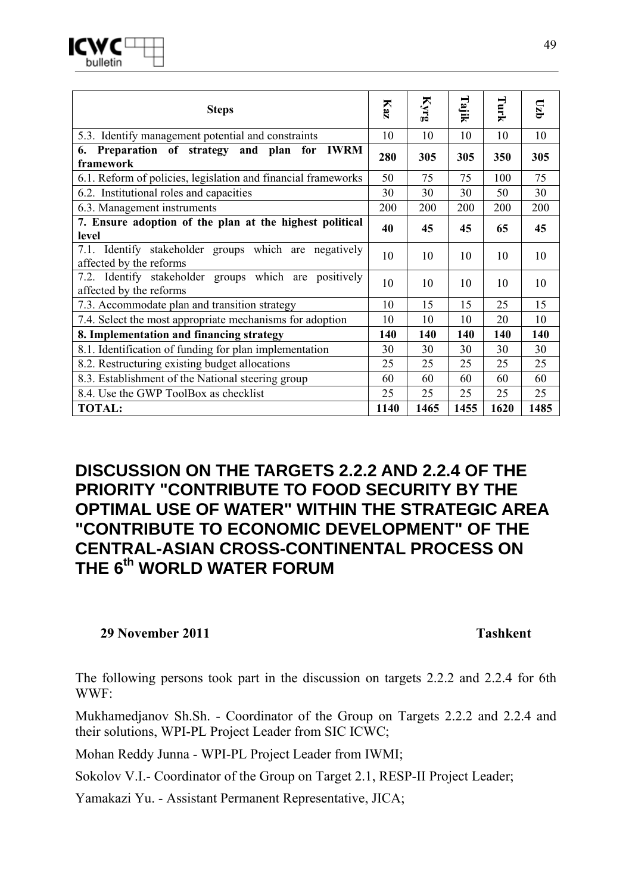| <b>Steps</b>                                                                     | Kaz  | Kyrg | Tajik | Turk | $qz_0$ |
|----------------------------------------------------------------------------------|------|------|-------|------|--------|
| 5.3. Identify management potential and constraints                               | 10   | 10   | 10    | 10   | 10     |
| Preparation of strategy and plan for<br><b>IWRM</b><br>6.<br>framework           | 280  | 305  | 305   | 350  | 305    |
| 6.1. Reform of policies, legislation and financial frameworks                    | 50   | 75   | 75    | 100  | 75     |
| 6.2. Institutional roles and capacities                                          | 30   | 30   | 30    | 50   | 30     |
| 6.3. Management instruments                                                      | 200  | 200  | 200   | 200  | 200    |
| 7. Ensure adoption of the plan at the highest political<br>level                 | 40   | 45   | 45    | 65   | 45     |
| 7.1. Identify stakeholder groups which are negatively<br>affected by the reforms | 10   | 10   | 10    | 10   | 10     |
| 7.2. Identify stakeholder groups which are positively<br>affected by the reforms | 10   | 10   | 10    | 10   | 10     |
| 7.3. Accommodate plan and transition strategy                                    | 10   | 15   | 15    | 25   | 15     |
| 7.4. Select the most appropriate mechanisms for adoption                         | 10   | 10   | 10    | 20   | 10     |
| 8. Implementation and financing strategy                                         | 140  | 140  | 140   | 140  | 140    |
| 8.1. Identification of funding for plan implementation                           | 30   | 30   | 30    | 30   | 30     |
| 8.2. Restructuring existing budget allocations                                   | 25   | 25   | 25    | 25   | 25     |
| 8.3. Establishment of the National steering group                                | 60   | 60   | 60    | 60   | 60     |
| 8.4. Use the GWP ToolBox as checklist                                            | 25   | 25   | 25    | 25   | 25     |
| <b>TOTAL:</b>                                                                    | 1140 | 1465 | 1455  | 1620 | 1485   |

## **DISCUSSION ON THE TARGETS 2.2.2 AND 2.2.4 OF THE PRIORITY "CONTRIBUTE TO FOOD SECURITY BY THE OPTIMAL USE OF WATER" WITHIN THE STRATEGIC AREA "CONTRIBUTE TO ECONOMIC DEVELOPMENT" OF THE CENTRAL-ASIAN CROSS-CONTINENTAL PROCESS ON THE 6th WORLD WATER FORUM**

#### **29 November 2011 Tashkent**

The following persons took part in the discussion on targets 2.2.2 and 2.2.4 for 6th WWF:

Mukhamedjanov Sh.Sh. - Coordinator of the Group on Targets 2.2.2 and 2.2.4 and their solutions, WPI-PL Project Leader from SIC ICWC;

Mohan Reddy Junna - WPI-PL Project Leader from IWMI;

Sokolov V.I.- Coordinator of the Group on Target 2.1, RESP-II Project Leader;

Yamakazi Yu. - Assistant Permanent Representative, JICA;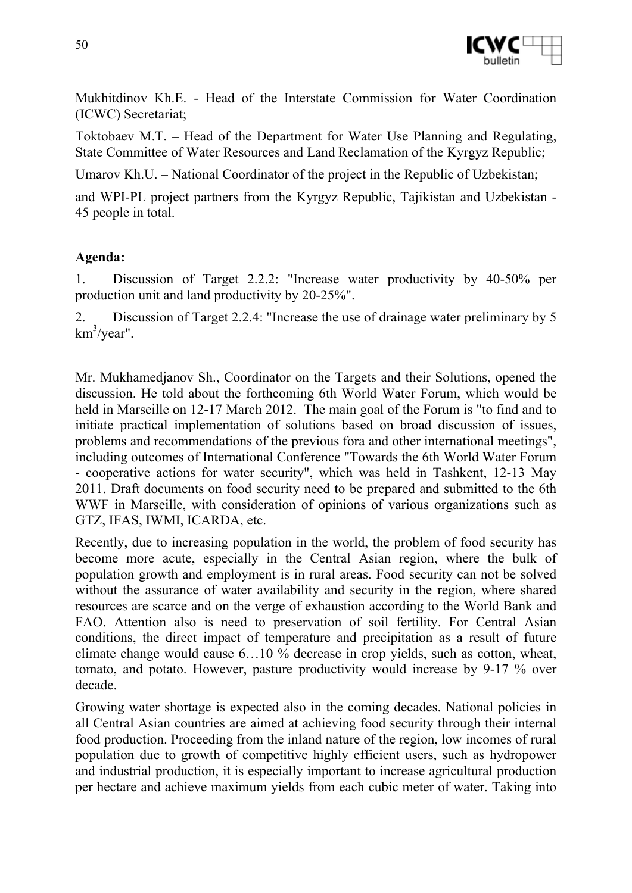

Mukhitdinov Kh.E. - Head of the Interstate Commission for Water Coordination (ICWC) Secretariat;

Toktobaev М.T. – Head of the Department for Water Use Planning and Regulating, State Committee of Water Resources and Land Reclamation of the Kyrgyz Republic;

Umarov Kh.U. – National Coordinator of the project in the Republic of Uzbekistan;

and WPI-PL project partners from the Kyrgyz Republic, Tajikistan and Uzbekistan - 45 people in total.

#### **Agenda:**

1. Discussion of Target 2.2.2: "Increase water productivity by 40-50% per production unit and land productivity by 20-25%".

2. Discussion of Target 2.2.4: "Increase the use of drainage water preliminary by 5 km<sup>3</sup>/year".

Mr. Mukhamedjanov Sh., Coordinator on the Targets and their Solutions, opened the discussion. He told about the forthcoming 6th World Water Forum, which would be held in Marseille on 12-17 March 2012. The main goal of the Forum is "to find and to initiate practical implementation of solutions based on broad discussion of issues, problems and recommendations of the previous fora and other international meetings", including outcomes of International Conference "Towards the 6th World Water Forum - cooperative actions for water security", which was held in Tashkent, 12-13 May 2011. Draft documents on food security need to be prepared and submitted to the 6th WWF in Marseille, with consideration of opinions of various organizations such as GTZ, IFAS, IWMI, ICARDA, etc.

Recently, due to increasing population in the world, the problem of food security has become more acute, especially in the Central Asian region, where the bulk of population growth and employment is in rural areas. Food security can not be solved without the assurance of water availability and security in the region, where shared resources are scarce and on the verge of exhaustion according to the World Bank and FAO. Attention also is need to preservation of soil fertility. For Central Asian conditions, the direct impact of temperature and precipitation as a result of future climate change would cause 6…10 % decrease in crop yields, such as cotton, wheat, tomato, and potato. However, pasture productivity would increase by 9-17 % over decade.

Growing water shortage is expected also in the coming decades. National policies in all Central Asian countries are aimed at achieving food security through their internal food production. Proceeding from the inland nature of the region, low incomes of rural population due to growth of competitive highly efficient users, such as hydropower and industrial production, it is especially important to increase agricultural production per hectare and achieve maximum yields from each cubic meter of water. Taking into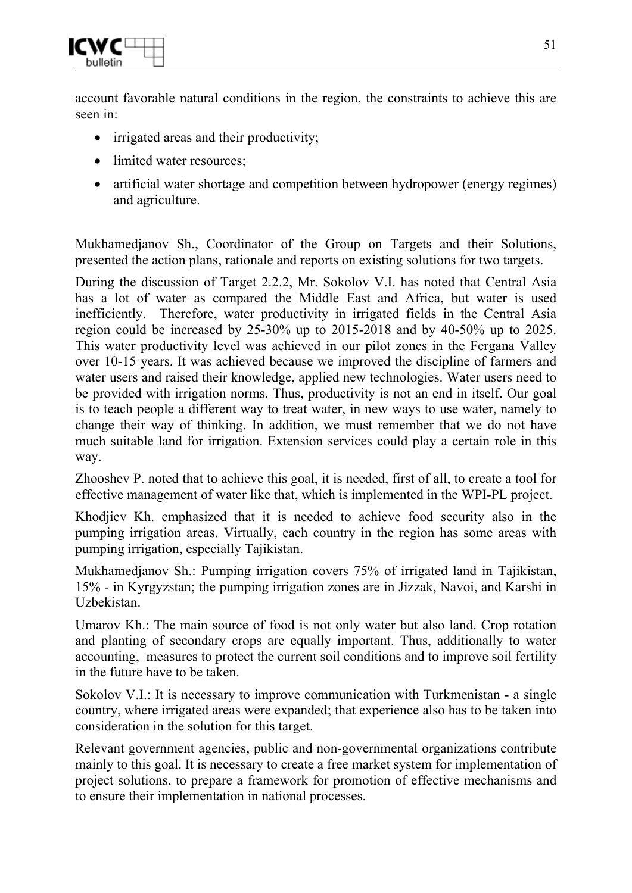

account favorable natural conditions in the region, the constraints to achieve this are seen in:

- irrigated areas and their productivity;
- limited water resources;
- artificial water shortage and competition between hydropower (energy regimes) and agriculture.

Mukhamedjanov Sh., Coordinator of the Group on Targets and their Solutions, presented the action plans, rationale and reports on existing solutions for two targets.

During the discussion of Target 2.2.2, Mr. Sokolov V.I. has noted that Central Asia has a lot of water as compared the Middle East and Africa, but water is used inefficiently. Therefore, water productivity in irrigated fields in the Central Asia region could be increased by 25-30% up to 2015-2018 and by 40-50% up to 2025. This water productivity level was achieved in our pilot zones in the Fergana Valley over 10-15 years. It was achieved because we improved the discipline of farmers and water users and raised their knowledge, applied new technologies. Water users need to be provided with irrigation norms. Thus, productivity is not an end in itself. Our goal is to teach people a different way to treat water, in new ways to use water, namely to change their way of thinking. In addition, we must remember that we do not have much suitable land for irrigation. Extension services could play a certain role in this way.

Zhooshev P. noted that to achieve this goal, it is needed, first of all, to create a tool for effective management of water like that, which is implemented in the WPI-PL project.

Khodjiev Kh. emphasized that it is needed to achieve food security also in the pumping irrigation areas. Virtually, each country in the region has some areas with pumping irrigation, especially Tajikistan.

Mukhamedjanov Sh.: Pumping irrigation covers 75% of irrigated land in Tajikistan, 15% - in Kyrgyzstan; the pumping irrigation zones are in Jizzak, Navoi, and Karshi in Uzbekistan.

Umarov Kh.: The main source of food is not only water but also land. Crop rotation and planting of secondary crops are equally important. Thus, additionally to water accounting, measures to protect the current soil conditions and to improve soil fertility in the future have to be taken.

Sokolov V.I.: It is necessary to improve communication with Turkmenistan - a single country, where irrigated areas were expanded; that experience also has to be taken into consideration in the solution for this target.

Relevant government agencies, public and non-governmental organizations contribute mainly to this goal. It is necessary to create a free market system for implementation of project solutions, to prepare a framework for promotion of effective mechanisms and to ensure their implementation in national processes.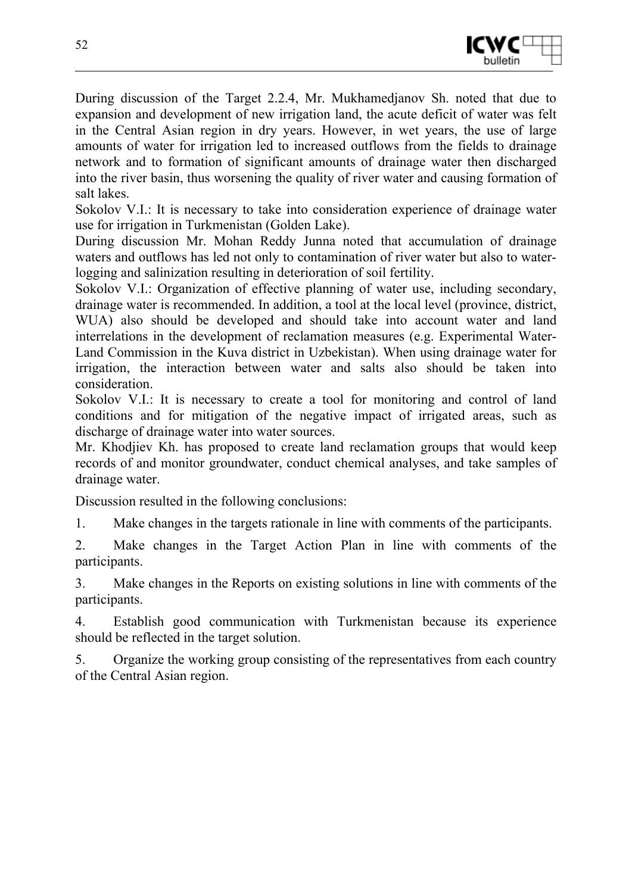

During discussion of the Target 2.2.4, Mr. Mukhamedjanov Sh. noted that due to expansion and development of new irrigation land, the acute deficit of water was felt in the Central Asian region in dry years. However, in wet years, the use of large amounts of water for irrigation led to increased outflows from the fields to drainage network and to formation of significant amounts of drainage water then discharged into the river basin, thus worsening the quality of river water and causing formation of salt lakes.

Sokolov V.I.: It is necessary to take into consideration experience of drainage water use for irrigation in Turkmenistan (Golden Lake).

During discussion Mr. Mohan Reddy Junna noted that accumulation of drainage waters and outflows has led not only to contamination of river water but also to waterlogging and salinization resulting in deterioration of soil fertility.

Sokolov V.I.: Organization of effective planning of water use, including secondary, drainage water is recommended. In addition, a tool at the local level (province, district, WUA) also should be developed and should take into account water and land interrelations in the development of reclamation measures (e.g. Experimental Water-Land Commission in the Kuva district in Uzbekistan). When using drainage water for irrigation, the interaction between water and salts also should be taken into consideration.

Sokolov V.I.: It is necessary to create a tool for monitoring and control of land conditions and for mitigation of the negative impact of irrigated areas, such as discharge of drainage water into water sources.

Mr. Khodjiev Kh. has proposed to create land reclamation groups that would keep records of and monitor groundwater, conduct chemical analyses, and take samples of drainage water.

Discussion resulted in the following conclusions:

1. Make changes in the targets rationale in line with comments of the participants.

2. Make changes in the Target Action Plan in line with comments of the participants.

3. Make changes in the Reports on existing solutions in line with comments of the participants.

4. Establish good communication with Turkmenistan because its experience should be reflected in the target solution.

5. Organize the working group consisting of the representatives from each country of the Central Asian region.